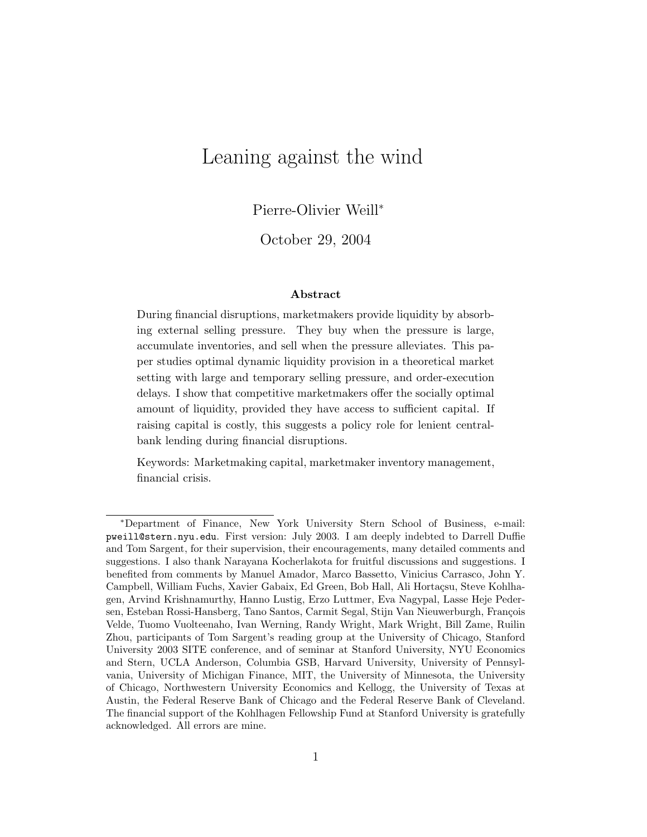# Leaning against the wind

Pierre-Olivier Weill<sup>∗</sup>

October 29, 2004

### Abstract

During financial disruptions, marketmakers provide liquidity by absorbing external selling pressure. They buy when the pressure is large, accumulate inventories, and sell when the pressure alleviates. This paper studies optimal dynamic liquidity provision in a theoretical market setting with large and temporary selling pressure, and order-execution delays. I show that competitive marketmakers offer the socially optimal amount of liquidity, provided they have access to sufficient capital. If raising capital is costly, this suggests a policy role for lenient centralbank lending during financial disruptions.

Keywords: Marketmaking capital, marketmaker inventory management, financial crisis.

<sup>∗</sup>Department of Finance, New York University Stern School of Business, e-mail: pweill@stern.nyu.edu. First version: July 2003. I am deeply indebted to Darrell Duffie and Tom Sargent, for their supervision, their encouragements, many detailed comments and suggestions. I also thank Narayana Kocherlakota for fruitful discussions and suggestions. I benefited from comments by Manuel Amador, Marco Bassetto, Vinicius Carrasco, John Y. Campbell, William Fuchs, Xavier Gabaix, Ed Green, Bob Hall, Ali Hortaçsu, Steve Kohlhagen, Arvind Krishnamurthy, Hanno Lustig, Erzo Luttmer, Eva Nagypal, Lasse Heje Pedersen, Esteban Rossi-Hansberg, Tano Santos, Carmit Segal, Stijn Van Nieuwerburgh, François Velde, Tuomo Vuolteenaho, Ivan Werning, Randy Wright, Mark Wright, Bill Zame, Ruilin Zhou, participants of Tom Sargent's reading group at the University of Chicago, Stanford University 2003 SITE conference, and of seminar at Stanford University, NYU Economics and Stern, UCLA Anderson, Columbia GSB, Harvard University, University of Pennsylvania, University of Michigan Finance, MIT, the University of Minnesota, the University of Chicago, Northwestern University Economics and Kellogg, the University of Texas at Austin, the Federal Reserve Bank of Chicago and the Federal Reserve Bank of Cleveland. The financial support of the Kohlhagen Fellowship Fund at Stanford University is gratefully acknowledged. All errors are mine.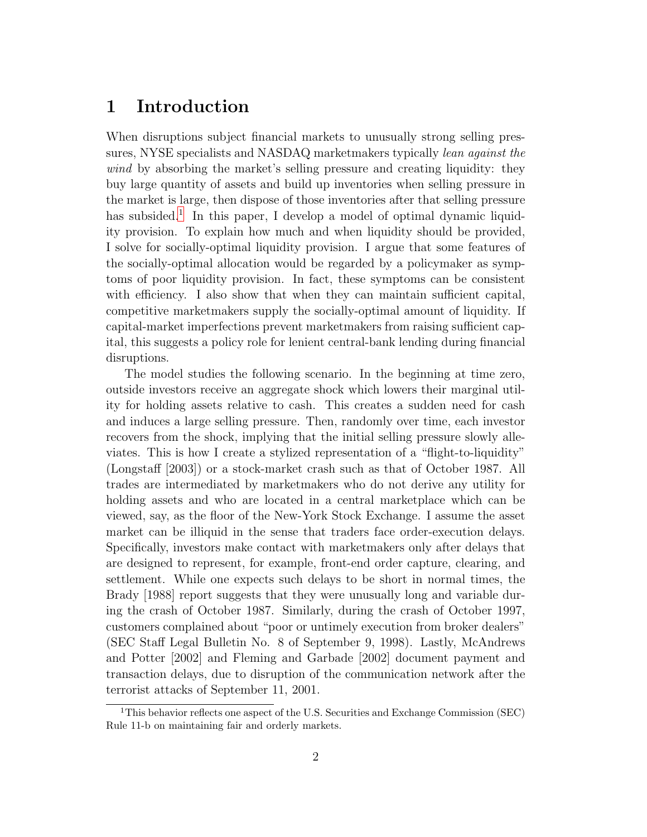## 1 Introduction

When disruptions subject financial markets to unusually strong selling pressures, NYSE specialists and NASDAQ marketmakers typically lean against the wind by absorbing the market's selling pressure and creating liquidity: they buy large quantity of assets and build up inventories when selling pressure in the market is large, then dispose of those inventories after that selling pressure has subsided.<sup>[1](#page-1-0)</sup> In this paper, I develop a model of optimal dynamic liquidity provision. To explain how much and when liquidity should be provided, I solve for socially-optimal liquidity provision. I argue that some features of the socially-optimal allocation would be regarded by a policymaker as symptoms of poor liquidity provision. In fact, these symptoms can be consistent with efficiency. I also show that when they can maintain sufficient capital, competitive marketmakers supply the socially-optimal amount of liquidity. If capital-market imperfections prevent marketmakers from raising sufficient capital, this suggests a policy role for lenient central-bank lending during financial disruptions.

The model studies the following scenario. In the beginning at time zero, outside investors receive an aggregate shock which lowers their marginal utility for holding assets relative to cash. This creates a sudden need for cash and induces a large selling pressure. Then, randomly over time, each investor recovers from the shock, implying that the initial selling pressure slowly alleviates. This is how I create a stylized representation of a "flight-to-liquidity" (Longstaff [2003]) or a stock-market crash such as that of October 1987. All trades are intermediated by marketmakers who do not derive any utility for holding assets and who are located in a central marketplace which can be viewed, say, as the floor of the New-York Stock Exchange. I assume the asset market can be illiquid in the sense that traders face order-execution delays. Specifically, investors make contact with marketmakers only after delays that are designed to represent, for example, front-end order capture, clearing, and settlement. While one expects such delays to be short in normal times, the Brady [1988] report suggests that they were unusually long and variable during the crash of October 1987. Similarly, during the crash of October 1997, customers complained about "poor or untimely execution from broker dealers" (SEC Staff Legal Bulletin No. 8 of September 9, 1998). Lastly, McAndrews and Potter [2002] and Fleming and Garbade [2002] document payment and transaction delays, due to disruption of the communication network after the terrorist attacks of September 11, 2001.

<span id="page-1-0"></span><sup>&</sup>lt;sup>1</sup>This behavior reflects one aspect of the U.S. Securities and Exchange Commission (SEC) Rule 11-b on maintaining fair and orderly markets.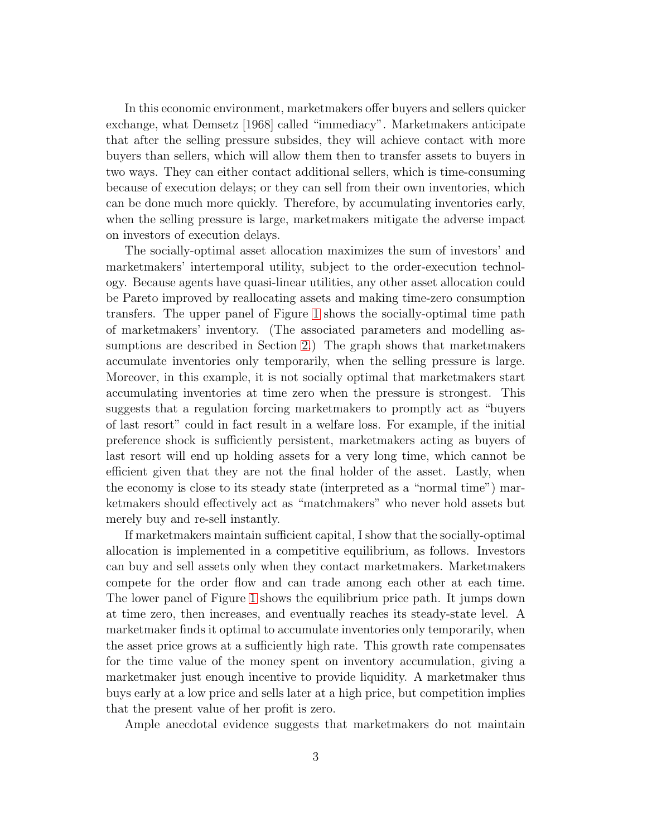In this economic environment, marketmakers offer buyers and sellers quicker exchange, what Demsetz [1968] called "immediacy". Marketmakers anticipate that after the selling pressure subsides, they will achieve contact with more buyers than sellers, which will allow them then to transfer assets to buyers in two ways. They can either contact additional sellers, which is time-consuming because of execution delays; or they can sell from their own inventories, which can be done much more quickly. Therefore, by accumulating inventories early, when the selling pressure is large, marketmakers mitigate the adverse impact on investors of execution delays.

The socially-optimal asset allocation maximizes the sum of investors' and marketmakers' intertemporal utility, subject to the order-execution technology. Because agents have quasi-linear utilities, any other asset allocation could be Pareto improved by reallocating assets and making time-zero consumption transfers. The upper panel of Figure [1](#page-3-0) shows the socially-optimal time path of marketmakers' inventory. (The associated parameters and modelling assumptions are described in Section [2.](#page-5-0)) The graph shows that marketmakers accumulate inventories only temporarily, when the selling pressure is large. Moreover, in this example, it is not socially optimal that marketmakers start accumulating inventories at time zero when the pressure is strongest. This suggests that a regulation forcing marketmakers to promptly act as "buyers of last resort" could in fact result in a welfare loss. For example, if the initial preference shock is sufficiently persistent, marketmakers acting as buyers of last resort will end up holding assets for a very long time, which cannot be efficient given that they are not the final holder of the asset. Lastly, when the economy is close to its steady state (interpreted as a "normal time") marketmakers should effectively act as "matchmakers" who never hold assets but merely buy and re-sell instantly.

If marketmakers maintain sufficient capital, I show that the socially-optimal allocation is implemented in a competitive equilibrium, as follows. Investors can buy and sell assets only when they contact marketmakers. Marketmakers compete for the order flow and can trade among each other at each time. The lower panel of Figure [1](#page-3-0) shows the equilibrium price path. It jumps down at time zero, then increases, and eventually reaches its steady-state level. A marketmaker finds it optimal to accumulate inventories only temporarily, when the asset price grows at a sufficiently high rate. This growth rate compensates for the time value of the money spent on inventory accumulation, giving a marketmaker just enough incentive to provide liquidity. A marketmaker thus buys early at a low price and sells later at a high price, but competition implies that the present value of her profit is zero.

Ample anecdotal evidence suggests that marketmakers do not maintain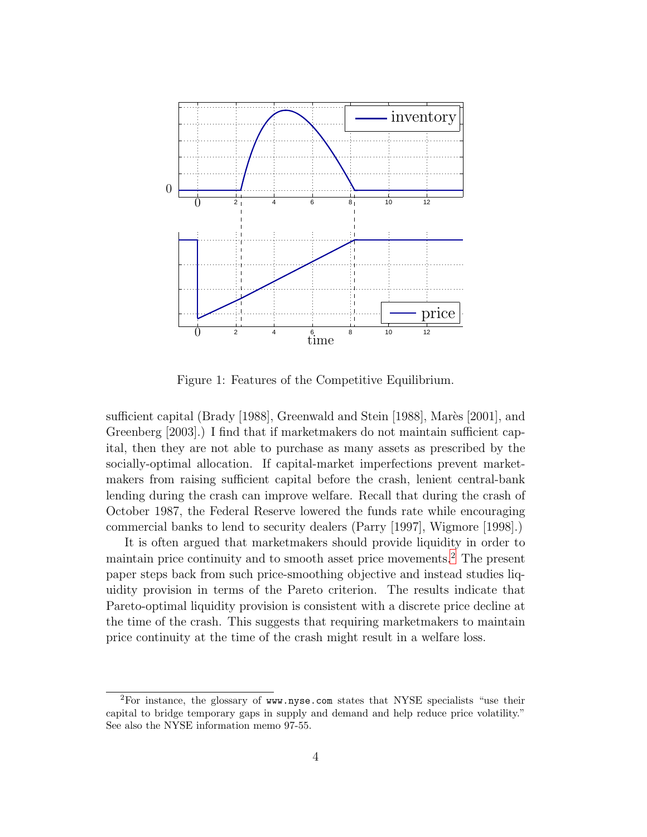

<span id="page-3-0"></span>Figure 1: Features of the Competitive Equilibrium.

sufficient capital (Brady [1988], Greenwald and Stein [1988], Marès [2001], and Greenberg [2003].) I find that if marketmakers do not maintain sufficient capital, then they are not able to purchase as many assets as prescribed by the socially-optimal allocation. If capital-market imperfections prevent marketmakers from raising sufficient capital before the crash, lenient central-bank lending during the crash can improve welfare. Recall that during the crash of October 1987, the Federal Reserve lowered the funds rate while encouraging commercial banks to lend to security dealers (Parry [1997], Wigmore [1998].)

It is often argued that marketmakers should provide liquidity in order to maintain price continuity and to smooth asset price movements.<sup>[2](#page-3-1)</sup> The present paper steps back from such price-smoothing objective and instead studies liquidity provision in terms of the Pareto criterion. The results indicate that Pareto-optimal liquidity provision is consistent with a discrete price decline at the time of the crash. This suggests that requiring marketmakers to maintain price continuity at the time of the crash might result in a welfare loss.

<span id="page-3-1"></span> ${}^{2}$ For instance, the glossary of www.nyse.com states that NYSE specialists "use their capital to bridge temporary gaps in supply and demand and help reduce price volatility." See also the NYSE information memo 97-55.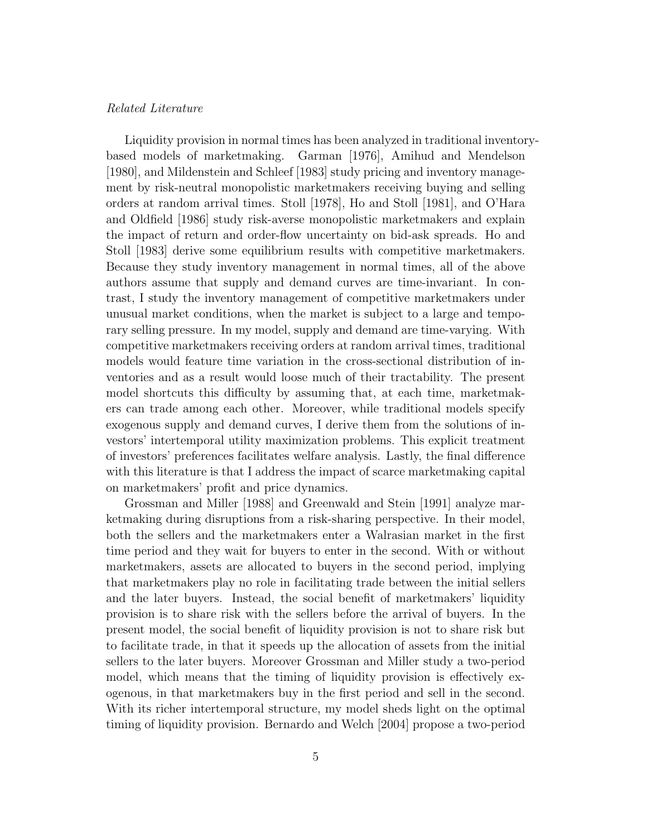#### Related Literature

Liquidity provision in normal times has been analyzed in traditional inventorybased models of marketmaking. Garman [1976], Amihud and Mendelson [1980], and Mildenstein and Schleef [1983] study pricing and inventory management by risk-neutral monopolistic marketmakers receiving buying and selling orders at random arrival times. Stoll [1978], Ho and Stoll [1981], and O'Hara and Oldfield [1986] study risk-averse monopolistic marketmakers and explain the impact of return and order-flow uncertainty on bid-ask spreads. Ho and Stoll [1983] derive some equilibrium results with competitive marketmakers. Because they study inventory management in normal times, all of the above authors assume that supply and demand curves are time-invariant. In contrast, I study the inventory management of competitive marketmakers under unusual market conditions, when the market is subject to a large and temporary selling pressure. In my model, supply and demand are time-varying. With competitive marketmakers receiving orders at random arrival times, traditional models would feature time variation in the cross-sectional distribution of inventories and as a result would loose much of their tractability. The present model shortcuts this difficulty by assuming that, at each time, marketmakers can trade among each other. Moreover, while traditional models specify exogenous supply and demand curves, I derive them from the solutions of investors' intertemporal utility maximization problems. This explicit treatment of investors' preferences facilitates welfare analysis. Lastly, the final difference with this literature is that I address the impact of scarce marketmaking capital on marketmakers' profit and price dynamics.

Grossman and Miller [1988] and Greenwald and Stein [1991] analyze marketmaking during disruptions from a risk-sharing perspective. In their model, both the sellers and the marketmakers enter a Walrasian market in the first time period and they wait for buyers to enter in the second. With or without marketmakers, assets are allocated to buyers in the second period, implying that marketmakers play no role in facilitating trade between the initial sellers and the later buyers. Instead, the social benefit of marketmakers' liquidity provision is to share risk with the sellers before the arrival of buyers. In the present model, the social benefit of liquidity provision is not to share risk but to facilitate trade, in that it speeds up the allocation of assets from the initial sellers to the later buyers. Moreover Grossman and Miller study a two-period model, which means that the timing of liquidity provision is effectively exogenous, in that marketmakers buy in the first period and sell in the second. With its richer intertemporal structure, my model sheds light on the optimal timing of liquidity provision. Bernardo and Welch [2004] propose a two-period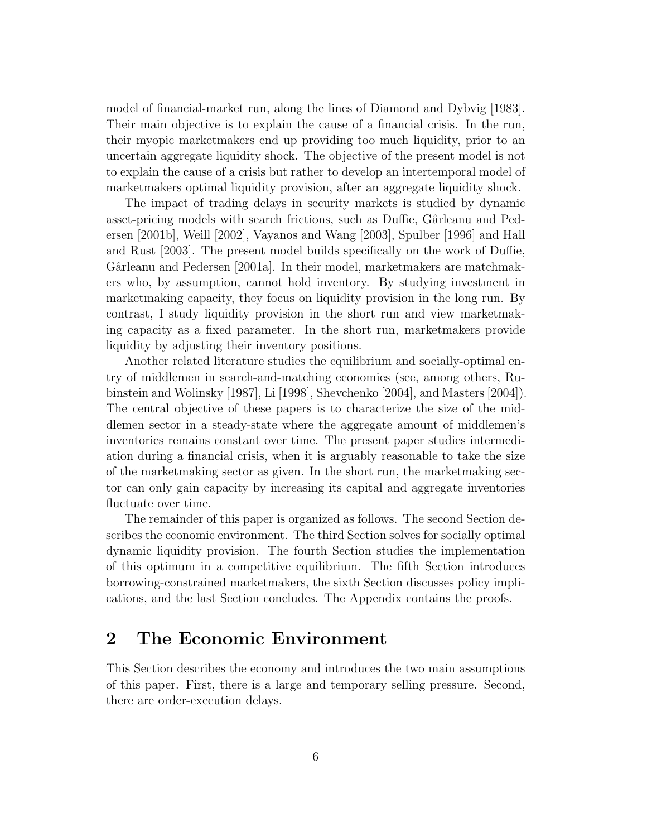model of financial-market run, along the lines of Diamond and Dybvig [1983]. Their main objective is to explain the cause of a financial crisis. In the run, their myopic marketmakers end up providing too much liquidity, prior to an uncertain aggregate liquidity shock. The objective of the present model is not to explain the cause of a crisis but rather to develop an intertemporal model of marketmakers optimal liquidity provision, after an aggregate liquidity shock.

The impact of trading delays in security markets is studied by dynamic asset-pricing models with search frictions, such as Duffie, Gârleanu and Pedersen [2001b], Weill [2002], Vayanos and Wang [2003], Spulber [1996] and Hall and Rust [2003]. The present model builds specifically on the work of Duffie, Gârleanu and Pedersen [2001a]. In their model, marketmakers are matchmakers who, by assumption, cannot hold inventory. By studying investment in marketmaking capacity, they focus on liquidity provision in the long run. By contrast, I study liquidity provision in the short run and view marketmaking capacity as a fixed parameter. In the short run, marketmakers provide liquidity by adjusting their inventory positions.

Another related literature studies the equilibrium and socially-optimal entry of middlemen in search-and-matching economies (see, among others, Rubinstein and Wolinsky [1987], Li [1998], Shevchenko [2004], and Masters [2004]). The central objective of these papers is to characterize the size of the middlemen sector in a steady-state where the aggregate amount of middlemen's inventories remains constant over time. The present paper studies intermediation during a financial crisis, when it is arguably reasonable to take the size of the marketmaking sector as given. In the short run, the marketmaking sector can only gain capacity by increasing its capital and aggregate inventories fluctuate over time.

The remainder of this paper is organized as follows. The second Section describes the economic environment. The third Section solves for socially optimal dynamic liquidity provision. The fourth Section studies the implementation of this optimum in a competitive equilibrium. The fifth Section introduces borrowing-constrained marketmakers, the sixth Section discusses policy implications, and the last Section concludes. The Appendix contains the proofs.

## <span id="page-5-0"></span>2 The Economic Environment

This Section describes the economy and introduces the two main assumptions of this paper. First, there is a large and temporary selling pressure. Second, there are order-execution delays.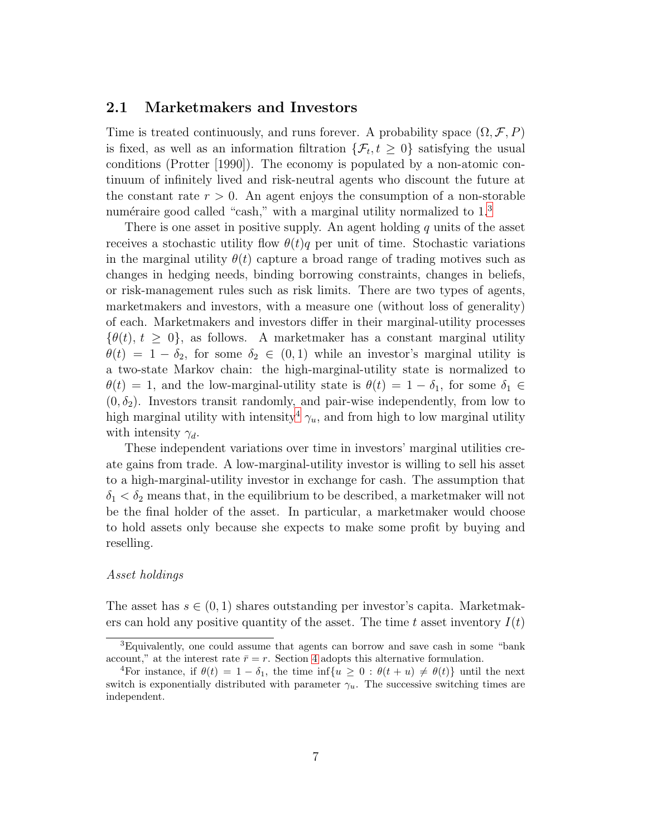## 2.1 Marketmakers and Investors

Time is treated continuously, and runs forever. A probability space  $(\Omega, \mathcal{F}, P)$ is fixed, as well as an information filtration  $\{\mathcal{F}_t, t \geq 0\}$  satisfying the usual conditions (Protter [1990]). The economy is populated by a non-atomic continuum of infinitely lived and risk-neutral agents who discount the future at the constant rate  $r > 0$ . An agent enjoys the consumption of a non-storable numéraire good called "cash," with a marginal utility normalized to  $1<sup>3</sup>$  $1<sup>3</sup>$  $1<sup>3</sup>$ 

There is one asset in positive supply. An agent holding q units of the asset receives a stochastic utility flow  $\theta(t)q$  per unit of time. Stochastic variations in the marginal utility  $\theta(t)$  capture a broad range of trading motives such as changes in hedging needs, binding borrowing constraints, changes in beliefs, or risk-management rules such as risk limits. There are two types of agents, marketmakers and investors, with a measure one (without loss of generality) of each. Marketmakers and investors differ in their marginal-utility processes  $\{\theta(t), t > 0\}$ , as follows. A marketmaker has a constant marginal utility  $\theta(t) = 1 - \delta_2$ , for some  $\delta_2 \in (0, 1)$  while an investor's marginal utility is a two-state Markov chain: the high-marginal-utility state is normalized to  $\theta(t) = 1$ , and the low-marginal-utility state is  $\theta(t) = 1 - \delta_1$ , for some  $\delta_1 \in$  $(0,\delta_2)$ . Investors transit randomly, and pair-wise independently, from low to high marginal utility with intensity<sup>[4](#page-6-1)</sup>  $\gamma_u$ , and from high to low marginal utility with intensity  $\gamma_d$ .

These independent variations over time in investors' marginal utilities create gains from trade. A low-marginal-utility investor is willing to sell his asset to a high-marginal-utility investor in exchange for cash. The assumption that  $\delta_1 < \delta_2$  means that, in the equilibrium to be described, a marketmaker will not be the final holder of the asset. In particular, a marketmaker would choose to hold assets only because she expects to make some profit by buying and reselling.

#### Asset holdings

The asset has  $s \in (0, 1)$  shares outstanding per investor's capita. Marketmakers can hold any positive quantity of the asset. The time t asset inventory  $I(t)$ 

<span id="page-6-0"></span><sup>3</sup>Equivalently, one could assume that agents can borrow and save cash in some "bank account," at the interest rate  $\bar{r} = r$ . Section [4](#page-23-0) adopts this alternative formulation.

<span id="page-6-1"></span><sup>&</sup>lt;sup>4</sup>For instance, if  $\theta(t) = 1 - \delta_1$ , the time inf{u \le 0 :  $\theta(t + u) \neq \theta(t)$ } until the next switch is exponentially distributed with parameter  $\gamma_u$ . The successive switching times are independent.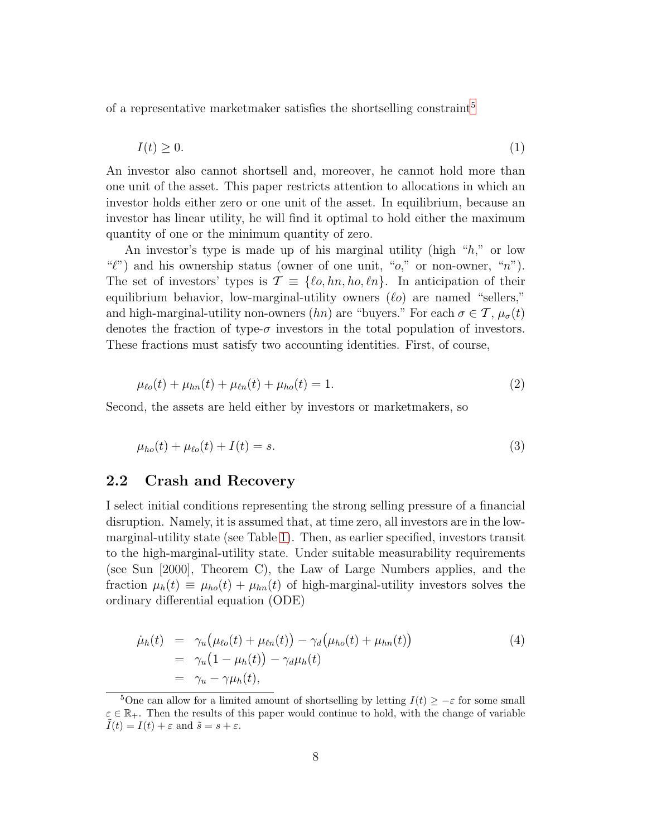<span id="page-7-2"></span>of a representative marketmaker satisfies the shortselling constraint<sup>[5](#page-7-0)</sup>

$$
I(t) \ge 0. \tag{1}
$$

An investor also cannot shortsell and, moreover, he cannot hold more than one unit of the asset. This paper restricts attention to allocations in which an investor holds either zero or one unit of the asset. In equilibrium, because an investor has linear utility, he will find it optimal to hold either the maximum quantity of one or the minimum quantity of zero.

An investor's type is made up of his marginal utility (high " $h$ ," or low " $\ell$ ") and his ownership status (owner of one unit, " $o$ ," or non-owner, " $n$ "). The set of investors' types is  $\mathcal{T} \equiv \{ \ell o, hn, ho, \ell n \}.$  In anticipation of their equilibrium behavior, low-marginal-utility owners  $(lo)$  are named "sellers," and high-marginal-utility non-owners  $(hn)$  are "buyers." For each  $\sigma \in \mathcal{T}$ ,  $\mu_{\sigma}(t)$ denotes the fraction of type- $\sigma$  investors in the total population of investors. These fractions must satisfy two accounting identities. First, of course,

$$
\mu_{\ell o}(t) + \mu_{hn}(t) + \mu_{\ell n}(t) + \mu_{ho}(t) = 1.
$$
\n(2)

<span id="page-7-3"></span>Second, the assets are held either by investors or marketmakers, so

$$
\mu_{ho}(t) + \mu_{\ell o}(t) + I(t) = s.
$$
\n(3)

### 2.2 Crash and Recovery

I select initial conditions representing the strong selling pressure of a financial disruption. Namely, it is assumed that, at time zero, all investors are in the lowmarginal-utility state (see Table [1\)](#page-8-0). Then, as earlier specified, investors transit to the high-marginal-utility state. Under suitable measurability requirements (see Sun [2000], Theorem C), the Law of Large Numbers applies, and the fraction  $\mu_h(t) \equiv \mu_{ho}(t) + \mu_{hn}(t)$  of high-marginal-utility investors solves the ordinary differential equation (ODE)

<span id="page-7-1"></span>
$$
\dot{\mu}_h(t) = \gamma_u \big( \mu_{\ell o}(t) + \mu_{\ell n}(t) \big) - \gamma_d \big( \mu_{ho}(t) + \mu_{hn}(t) \big) \n= \gamma_u \big( 1 - \mu_h(t) \big) - \gamma_d \mu_h(t) \n= \gamma_u - \gamma \mu_h(t),
$$
\n(4)

<span id="page-7-0"></span><sup>&</sup>lt;sup>5</sup>One can allow for a limited amount of shortselling by letting  $I(t) \geq -\varepsilon$  for some small  $\varepsilon \in \mathbb{R}_+$ . Then the results of this paper would continue to hold, with the change of variable  $I(t) = I(t) + \varepsilon$  and  $\tilde{s} = s + \varepsilon$ .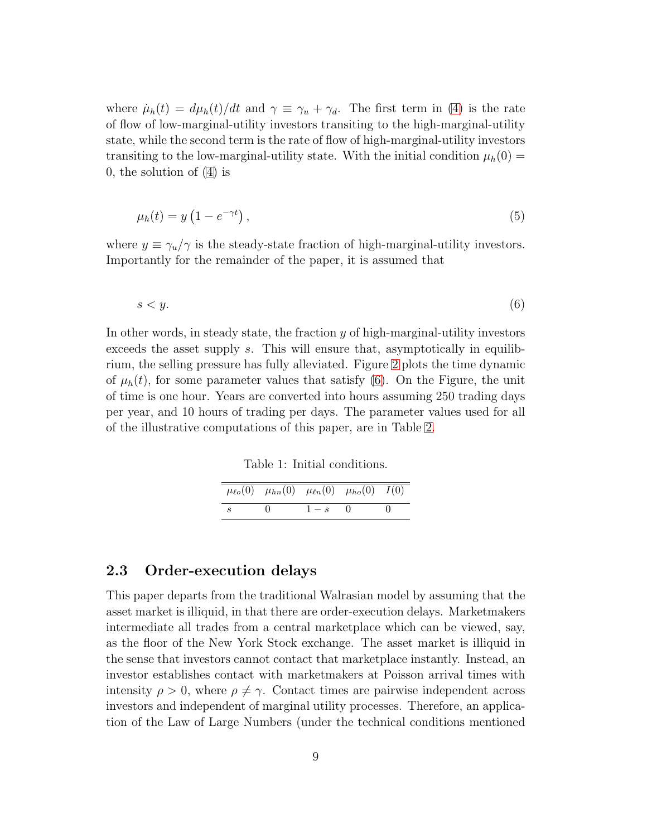where  $\dot{\mu}_h(t) = d\mu_h(t)/dt$  and  $\gamma \equiv \gamma_u + \gamma_d$ . The first term in [\(4\)](#page-7-1) is the rate of flow of low-marginal-utility investors transiting to the high-marginal-utility state, while the second term is the rate of flow of high-marginal-utility investors transiting to the low-marginal-utility state. With the initial condition  $\mu_h(0)$  = 0, the solution of [\(4\)](#page-7-1) is

$$
\mu_h(t) = y \left( 1 - e^{-\gamma t} \right),\tag{5}
$$

<span id="page-8-1"></span>where  $y \equiv \gamma_u/\gamma$  is the steady-state fraction of high-marginal-utility investors. Importantly for the remainder of the paper, it is assumed that

$$
s < y.\tag{6}
$$

In other words, in steady state, the fraction y of high-marginal-utility investors exceeds the asset supply s. This will ensure that, asymptotically in equilibrium, the selling pressure has fully alleviated. Figure [2](#page-9-0) plots the time dynamic of  $\mu_h(t)$ , for some parameter values that satisfy [\(6\)](#page-8-1). On the Figure, the unit of time is one hour. Years are converted into hours assuming 250 trading days per year, and 10 hours of trading per days. The parameter values used for all of the illustrative computations of this paper, are in Table [2.](#page-10-0)

Table 1: Initial conditions.

<span id="page-8-0"></span>

| $\mu_{\ell o}(0)$ $\mu_{hn}(0)$ $\mu_{\ell n}(0)$ $\mu_{ho}(0)$ $I(0)$ |         |  |
|------------------------------------------------------------------------|---------|--|
|                                                                        | $1-s$ 0 |  |

### 2.3 Order-execution delays

This paper departs from the traditional Walrasian model by assuming that the asset market is illiquid, in that there are order-execution delays. Marketmakers intermediate all trades from a central marketplace which can be viewed, say, as the floor of the New York Stock exchange. The asset market is illiquid in the sense that investors cannot contact that marketplace instantly. Instead, an investor establishes contact with marketmakers at Poisson arrival times with intensity  $\rho > 0$ , where  $\rho \neq \gamma$ . Contact times are pairwise independent across investors and independent of marginal utility processes. Therefore, an application of the Law of Large Numbers (under the technical conditions mentioned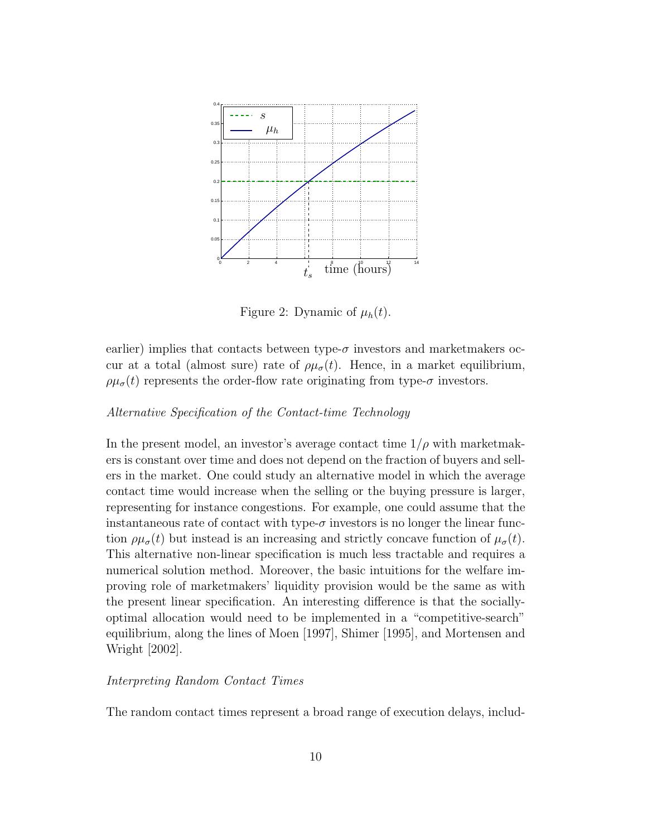

<span id="page-9-0"></span>Figure 2: Dynamic of  $\mu_h(t)$ .

earlier) implies that contacts between type- $\sigma$  investors and marketmakers occur at a total (almost sure) rate of  $\rho\mu_{\sigma}(t)$ . Hence, in a market equilibrium,  $\rho\mu_{\sigma}(t)$  represents the order-flow rate originating from type- $\sigma$  investors.

### Alternative Specification of the Contact-time Technology

In the present model, an investor's average contact time  $1/\rho$  with marketmakers is constant over time and does not depend on the fraction of buyers and sellers in the market. One could study an alternative model in which the average contact time would increase when the selling or the buying pressure is larger, representing for instance congestions. For example, one could assume that the instantaneous rate of contact with type- $\sigma$  investors is no longer the linear function  $\rho\mu_{\sigma}(t)$  but instead is an increasing and strictly concave function of  $\mu_{\sigma}(t)$ . This alternative non-linear specification is much less tractable and requires a numerical solution method. Moreover, the basic intuitions for the welfare improving role of marketmakers' liquidity provision would be the same as with the present linear specification. An interesting difference is that the sociallyoptimal allocation would need to be implemented in a "competitive-search" equilibrium, along the lines of Moen [1997], Shimer [1995], and Mortensen and Wright [2002].

#### Interpreting Random Contact Times

The random contact times represent a broad range of execution delays, includ-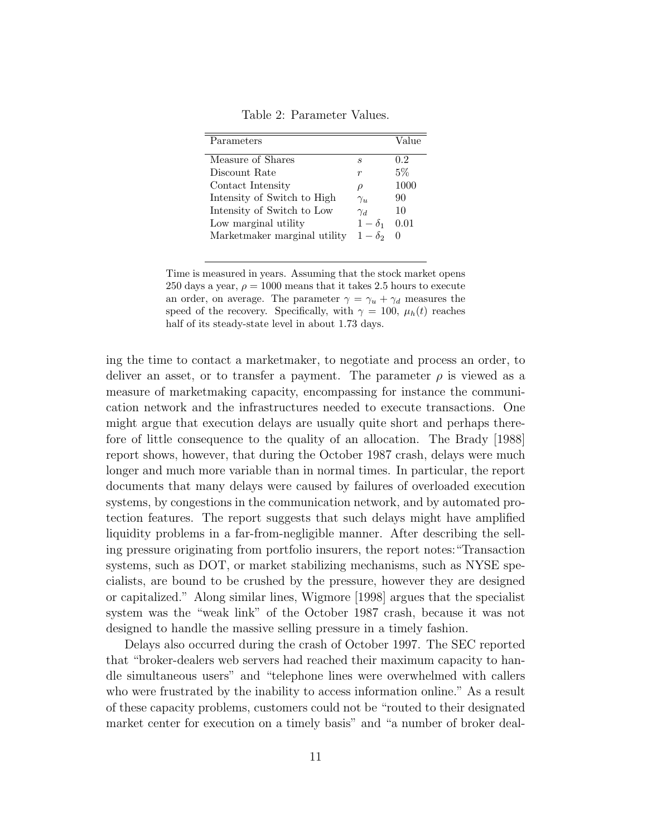Table 2: Parameter Values.

<span id="page-10-0"></span>

| Parameters                   |                  | Value |
|------------------------------|------------------|-------|
| Measure of Shares            | $\boldsymbol{s}$ | 0.2   |
| Discount Rate                | r                | 5%    |
| Contact Intensity            | $\rho$           | 1000  |
| Intensity of Switch to High  | $\gamma_u$       | 90    |
| Intensity of Switch to Low   | $\gamma_d$       | 10    |
| Low marginal utility         | $1-\delta_1$     | 0.01  |
| Marketmaker marginal utility | $1-\delta_2$     |       |

Time is measured in years. Assuming that the stock market opens 250 days a year,  $\rho = 1000$  means that it takes 2.5 hours to execute an order, on average. The parameter  $\gamma = \gamma_u + \gamma_d$  measures the speed of the recovery. Specifically, with  $\gamma = 100$ ,  $\mu_h(t)$  reaches half of its steady-state level in about 1.73 days.

ing the time to contact a marketmaker, to negotiate and process an order, to deliver an asset, or to transfer a payment. The parameter  $\rho$  is viewed as a measure of marketmaking capacity, encompassing for instance the communication network and the infrastructures needed to execute transactions. One might argue that execution delays are usually quite short and perhaps therefore of little consequence to the quality of an allocation. The Brady [1988] report shows, however, that during the October 1987 crash, delays were much longer and much more variable than in normal times. In particular, the report documents that many delays were caused by failures of overloaded execution systems, by congestions in the communication network, and by automated protection features. The report suggests that such delays might have amplified liquidity problems in a far-from-negligible manner. After describing the selling pressure originating from portfolio insurers, the report notes:"Transaction systems, such as DOT, or market stabilizing mechanisms, such as NYSE specialists, are bound to be crushed by the pressure, however they are designed or capitalized." Along similar lines, Wigmore [1998] argues that the specialist system was the "weak link" of the October 1987 crash, because it was not designed to handle the massive selling pressure in a timely fashion.

Delays also occurred during the crash of October 1997. The SEC reported that "broker-dealers web servers had reached their maximum capacity to handle simultaneous users" and "telephone lines were overwhelmed with callers who were frustrated by the inability to access information online." As a result of these capacity problems, customers could not be "routed to their designated market center for execution on a timely basis" and "a number of broker deal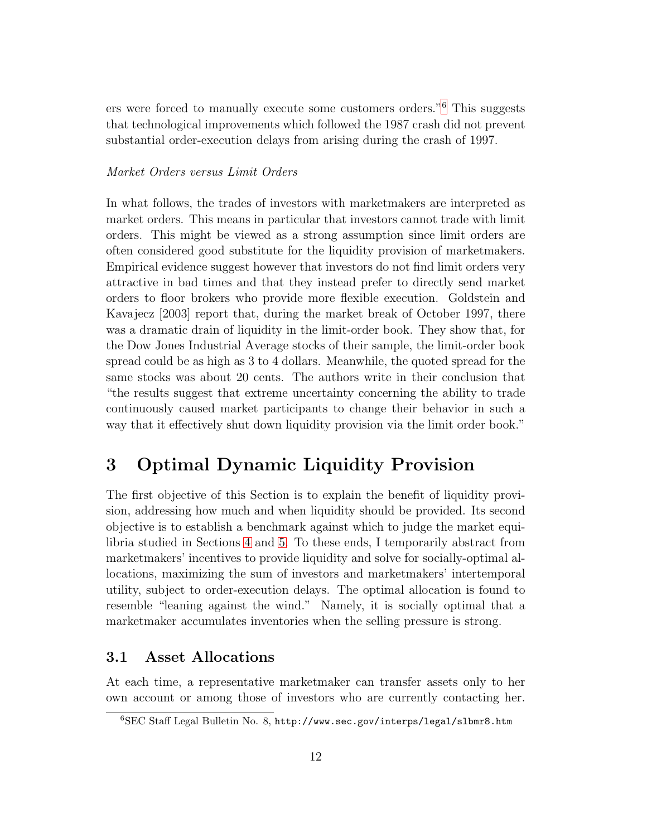ers were forced to manually execute some customers orders."[6](#page-11-0) This suggests that technological improvements which followed the 1987 crash did not prevent substantial order-execution delays from arising during the crash of 1997.

### Market Orders versus Limit Orders

In what follows, the trades of investors with marketmakers are interpreted as market orders. This means in particular that investors cannot trade with limit orders. This might be viewed as a strong assumption since limit orders are often considered good substitute for the liquidity provision of marketmakers. Empirical evidence suggest however that investors do not find limit orders very attractive in bad times and that they instead prefer to directly send market orders to floor brokers who provide more flexible execution. Goldstein and Kavajecz [2003] report that, during the market break of October 1997, there was a dramatic drain of liquidity in the limit-order book. They show that, for the Dow Jones Industrial Average stocks of their sample, the limit-order book spread could be as high as 3 to 4 dollars. Meanwhile, the quoted spread for the same stocks was about 20 cents. The authors write in their conclusion that "the results suggest that extreme uncertainty concerning the ability to trade continuously caused market participants to change their behavior in such a way that it effectively shut down liquidity provision via the limit order book."

# 3 Optimal Dynamic Liquidity Provision

The first objective of this Section is to explain the benefit of liquidity provision, addressing how much and when liquidity should be provided. Its second objective is to establish a benchmark against which to judge the market equilibria studied in Sections [4](#page-23-0) and [5.](#page-28-0) To these ends, I temporarily abstract from marketmakers' incentives to provide liquidity and solve for socially-optimal allocations, maximizing the sum of investors and marketmakers' intertemporal utility, subject to order-execution delays. The optimal allocation is found to resemble "leaning against the wind." Namely, it is socially optimal that a marketmaker accumulates inventories when the selling pressure is strong.

## 3.1 Asset Allocations

At each time, a representative marketmaker can transfer assets only to her own account or among those of investors who are currently contacting her.

<span id="page-11-0"></span><sup>6</sup>SEC Staff Legal Bulletin No. 8, http://www.sec.gov/interps/legal/slbmr8.htm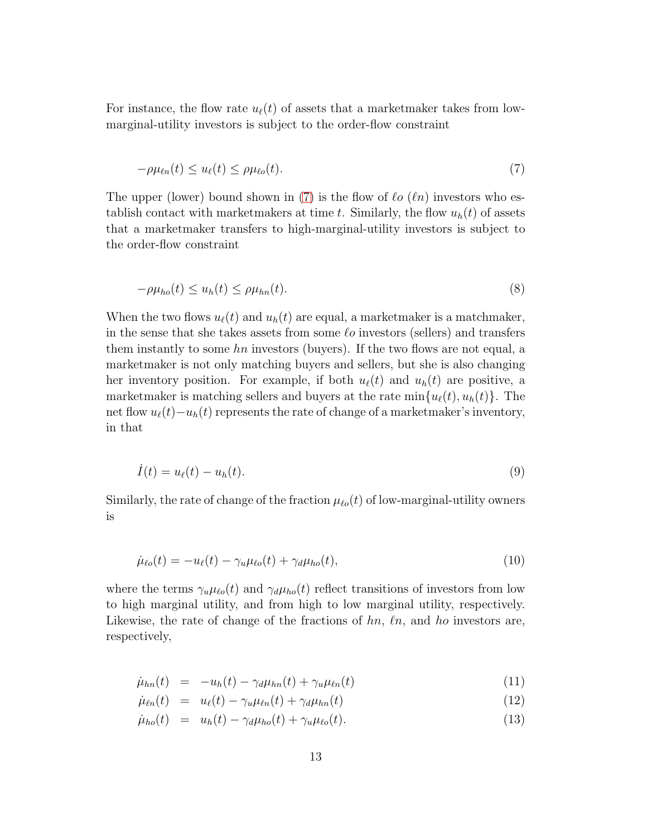<span id="page-12-0"></span>For instance, the flow rate  $u_{\ell}(t)$  of assets that a marketmaker takes from lowmarginal-utility investors is subject to the order-flow constraint

$$
-\rho\mu_{\ell n}(t) \le u_{\ell}(t) \le \rho\mu_{\ell o}(t). \tag{7}
$$

<span id="page-12-1"></span>The upper (lower) bound shown in [\(7\)](#page-12-0) is the flow of  $\ell \circ (\ell n)$  investors who establish contact with marketmakers at time t. Similarly, the flow  $u_h(t)$  of assets that a marketmaker transfers to high-marginal-utility investors is subject to the order-flow constraint

$$
-\rho\mu_{ho}(t) \le u_h(t) \le \rho\mu_{hn}(t). \tag{8}
$$

When the two flows  $u_{\ell}(t)$  and  $u_h(t)$  are equal, a marketmaker is a matchmaker, in the sense that she takes assets from some  $\ell$  investors (sellers) and transfers them instantly to some  $hn$  investors (buyers). If the two flows are not equal, a marketmaker is not only matching buyers and sellers, but she is also changing her inventory position. For example, if both  $u_{\ell}(t)$  and  $u_{h}(t)$  are positive, a marketmaker is matching sellers and buyers at the rate  $\min\{u_{\ell}(t),u_h(t)\}\$ . The net flow  $u_{\ell}(t)-u_h(t)$  represents the rate of change of a marketmaker's inventory, in that

$$
\dot{I}(t) = u_{\ell}(t) - u_h(t). \tag{9}
$$

<span id="page-12-4"></span><span id="page-12-2"></span>Similarly, the rate of change of the fraction  $\mu_{\ell o}(t)$  of low-marginal-utility owners is

$$
\dot{\mu}_{\ell o}(t) = -u_{\ell}(t) - \gamma_u \mu_{\ell o}(t) + \gamma_d \mu_{ho}(t), \qquad (10)
$$

where the terms  $\gamma_u \mu_{\ell o}(t)$  and  $\gamma_d \mu_{ho}(t)$  reflect transitions of investors from low to high marginal utility, and from high to low marginal utility, respectively. Likewise, the rate of change of the fractions of  $hn$ ,  $\ell n$ , and ho investors are, respectively,

<span id="page-12-3"></span>
$$
\dot{\mu}_{hn}(t) = -u_h(t) - \gamma_d \mu_{hn}(t) + \gamma_u \mu_{\ell n}(t) \tag{11}
$$

$$
\dot{\mu}_{\ell n}(t) = u_{\ell}(t) - \gamma_u \mu_{\ell n}(t) + \gamma_d \mu_{hn}(t) \tag{12}
$$

$$
\dot{\mu}_{ho}(t) = u_h(t) - \gamma_d \mu_{ho}(t) + \gamma_u \mu_{\ell o}(t). \tag{13}
$$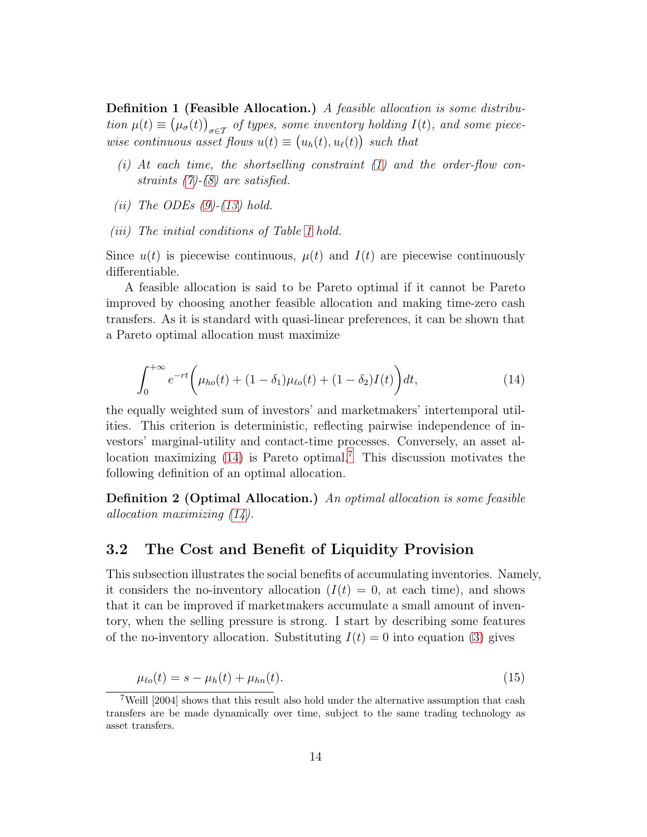Definition 1 (Feasible Allocation.) A feasible allocation is some distribution  $\mu(t) \equiv (\mu_{\sigma}(t))_{\sigma \in \mathcal{T}}$  of types, some inventory holding  $I(t)$ , and some piecewise continuous asset flows  $u(t) \equiv (u_h(t), u_\ell(t))$  such that

- (i) At each time, the shortselling constraint  $(1)$  and the order-flow constraints [\(7\)](#page-12-0)-[\(8\)](#page-12-1) are satisfied.
- (ii) The ODEs  $(9)-(13)$  $(9)-(13)$  $(9)-(13)$  hold.
- (iii) The initial conditions of Table [1](#page-8-0) hold.

Since  $u(t)$  is piecewise continuous,  $\mu(t)$  and  $I(t)$  are piecewise continuously differentiable.

<span id="page-13-0"></span>A feasible allocation is said to be Pareto optimal if it cannot be Pareto improved by choosing another feasible allocation and making time-zero cash transfers. As it is standard with quasi-linear preferences, it can be shown that a Pareto optimal allocation must maximize

$$
\int_0^{+\infty} e^{-rt} \bigg( \mu_{ho}(t) + (1 - \delta_1)\mu_{\ell o}(t) + (1 - \delta_2)I(t) \bigg) dt, \tag{14}
$$

the equally weighted sum of investors' and marketmakers' intertemporal utilities. This criterion is deterministic, reflecting pairwise independence of investors' marginal-utility and contact-time processes. Conversely, an asset allocation maximizing  $(14)$  is Pareto optimal.<sup>[7](#page-13-1)</sup> This discussion motivates the following definition of an optimal allocation.

Definition 2 (Optimal Allocation.) An optimal allocation is some feasible allocation maximizing [\(14\)](#page-13-0).

### 3.2 The Cost and Benefit of Liquidity Provision

This subsection illustrates the social benefits of accumulating inventories. Namely, it considers the no-inventory allocation  $(I(t) = 0$ , at each time), and shows that it can be improved if marketmakers accumulate a small amount of inventory, when the selling pressure is strong. I start by describing some features of the no-inventory allocation. Substituting  $I(t) = 0$  into equation [\(3\)](#page-7-3) gives

$$
\mu_{\ell o}(t) = s - \mu_h(t) + \mu_{hn}(t). \tag{15}
$$

<span id="page-13-2"></span><span id="page-13-1"></span><sup>7</sup>Weill [2004] shows that this result also hold under the alternative assumption that cash transfers are be made dynamically over time, subject to the same trading technology as asset transfers.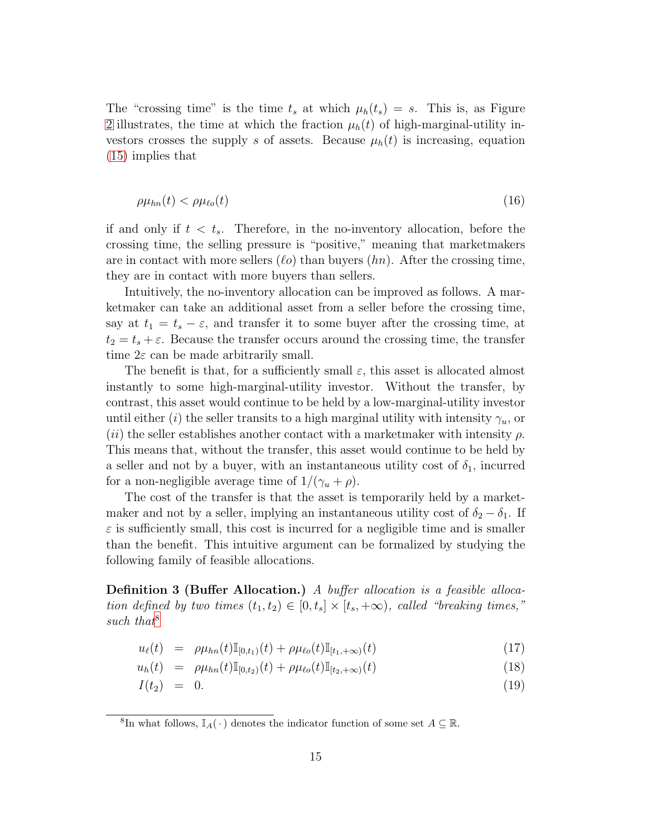The "crossing time" is the time  $t_s$  at which  $\mu_h(t_s) = s$ . This is, as Figure [2](#page-9-0) illustrates, the time at which the fraction  $\mu_h(t)$  of high-marginal-utility investors crosses the supply s of assets. Because  $\mu_h(t)$  is increasing, equation [\(15\)](#page-13-2) implies that

$$
\rho\mu_{hn}(t) < \rho\mu_{\ell o}(t) \tag{16}
$$

if and only if  $t < t_s$ . Therefore, in the no-inventory allocation, before the crossing time, the selling pressure is "positive," meaning that marketmakers are in contact with more sellers  $(lo)$  than buyers  $(hn)$ . After the crossing time, they are in contact with more buyers than sellers.

Intuitively, the no-inventory allocation can be improved as follows. A marketmaker can take an additional asset from a seller before the crossing time, say at  $t_1 = t_s - \varepsilon$ , and transfer it to some buyer after the crossing time, at  $t_2 = t_s + \varepsilon$ . Because the transfer occurs around the crossing time, the transfer time  $2\varepsilon$  can be made arbitrarily small.

The benefit is that, for a sufficiently small  $\varepsilon$ , this asset is allocated almost instantly to some high-marginal-utility investor. Without the transfer, by contrast, this asset would continue to be held by a low-marginal-utility investor until either (i) the seller transits to a high marginal utility with intensity  $\gamma_u$ , or (*ii*) the seller establishes another contact with a marketmaker with intensity  $\rho$ . This means that, without the transfer, this asset would continue to be held by a seller and not by a buyer, with an instantaneous utility cost of  $\delta_1$ , incurred for a non-negligible average time of  $1/(\gamma_u + \rho)$ .

The cost of the transfer is that the asset is temporarily held by a marketmaker and not by a seller, implying an instantaneous utility cost of  $\delta_2 - \delta_1$ . If  $\varepsilon$  is sufficiently small, this cost is incurred for a negligible time and is smaller than the benefit. This intuitive argument can be formalized by studying the following family of feasible allocations.

Definition 3 (Buffer Allocation.) A buffer allocation is a feasible allocation defined by two times  $(t_1,t_2) \in [0,t_s] \times [t_s,+\infty)$ , called "breaking times," such that<sup>[8](#page-14-0)</sup>

$$
u_{\ell}(t) = \rho \mu_{hn}(t) \mathbb{I}_{[0,t_1)}(t) + \rho \mu_{\ell o}(t) \mathbb{I}_{[t_1,+\infty)}(t)
$$
\n(17)

$$
u_h(t) = \rho \mu_{hn}(t) \mathbb{I}_{[0,t_2)}(t) + \rho \mu_{\ell o}(t) \mathbb{I}_{[t_2,+\infty)}(t)
$$
\n(18)

$$
I(t_2) = 0. \t\t(19)
$$

<span id="page-14-0"></span><sup>&</sup>lt;sup>8</sup>In what follows,  $\mathbb{I}_A(\cdot)$  denotes the indicator function of some set  $A \subseteq \mathbb{R}$ .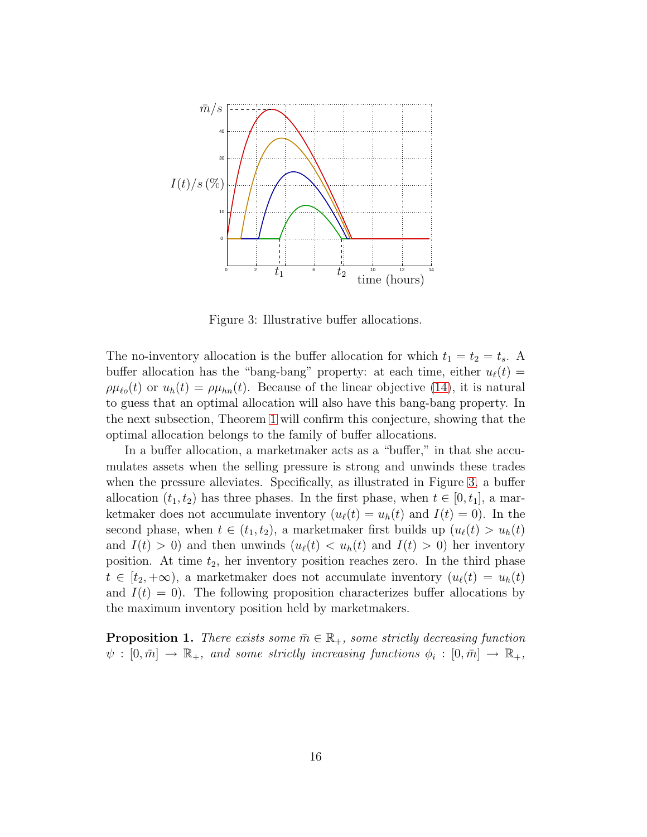

<span id="page-15-0"></span>Figure 3: Illustrative buffer allocations.

The no-inventory allocation is the buffer allocation for which  $t_1 = t_2 = t_s$ . A buffer allocation has the "bang-bang" property: at each time, either  $u_{\ell}(t) =$  $\rho\mu_{\ell o}(t)$  or  $u_h(t) = \rho\mu_{hn}(t)$ . Because of the linear objective [\(14\)](#page-13-0), it is natural to guess that an optimal allocation will also have this bang-bang property. In the next subsection, Theorem [1](#page-20-0) will confirm this conjecture, showing that the optimal allocation belongs to the family of buffer allocations.

In a buffer allocation, a marketmaker acts as a "buffer," in that she accumulates assets when the selling pressure is strong and unwinds these trades when the pressure alleviates. Specifically, as illustrated in Figure [3,](#page-15-0) a buffer allocation  $(t_1, t_2)$  has three phases. In the first phase, when  $t \in [0, t_1]$ , a marketmaker does not accumulate inventory  $(u_{\ell}(t) = u_h(t))$  and  $I(t) = 0$ . In the second phase, when  $t \in (t_1, t_2)$ , a marketmaker first builds up  $(u_\ell(t) > u_h(t))$ and  $I(t) > 0$  and then unwinds  $(u_{\ell}(t) < u_h(t))$  and  $I(t) > 0$  her inventory position. At time  $t_2$ , her inventory position reaches zero. In the third phase  $t \in (t_2, +\infty)$ , a marketmaker does not accumulate inventory  $(u_\ell(t) = u_h(t))$ and  $I(t) = 0$ . The following proposition characterizes buffer allocations by the maximum inventory position held by marketmakers.

<span id="page-15-1"></span>**Proposition 1.** There exists some  $\bar{m} \in \mathbb{R}_+$ , some strictly decreasing function  $\psi : [0, \bar{m}] \rightarrow \mathbb{R}_{+}$ , and some strictly increasing functions  $\phi_i : [0, \bar{m}] \rightarrow \mathbb{R}_{+}$ ,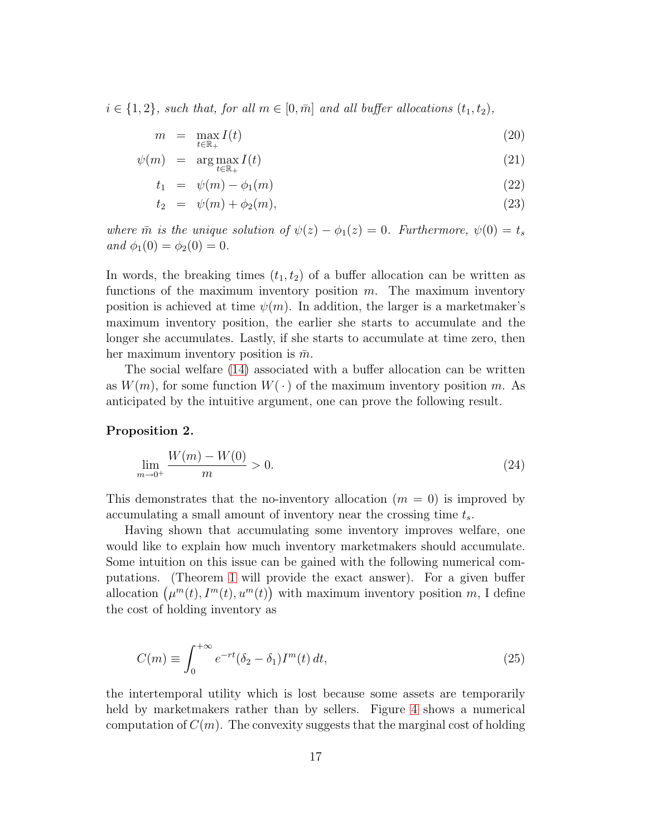$i \in \{1,2\}$ , such that, for all  $m \in [0, \bar{m}]$  and all buffer allocations  $(t_1, t_2)$ ,

$$
m = \max_{t \in \mathbb{R}_+} I(t) \tag{20}
$$

$$
\psi(m) = \arg \max_{t \in \mathbb{R}_+} I(t) \tag{21}
$$

$$
t_1 = \psi(m) - \phi_1(m) \tag{22}
$$

$$
t_2 = \psi(m) + \phi_2(m), \tag{23}
$$

where  $\bar{m}$  is the unique solution of  $\psi(z) - \phi_1(z) = 0$ . Furthermore,  $\psi(0) = t_s$ and  $\phi_1(0) = \phi_2(0) = 0$ .

In words, the breaking times  $(t_1, t_2)$  of a buffer allocation can be written as functions of the maximum inventory position  $m$ . The maximum inventory position is achieved at time  $\psi(m)$ . In addition, the larger is a marketmaker's maximum inventory position, the earlier she starts to accumulate and the longer she accumulates. Lastly, if she starts to accumulate at time zero, then her maximum inventory position is  $\bar{m}$ .

<span id="page-16-0"></span>The social welfare [\(14\)](#page-13-0) associated with a buffer allocation can be written as  $W(m)$ , for some function  $W(\cdot)$  of the maximum inventory position m. As anticipated by the intuitive argument, one can prove the following result.

### Proposition 2.

$$
\lim_{m \to 0^+} \frac{W(m) - W(0)}{m} > 0.
$$
\n(24)

This demonstrates that the no-inventory allocation  $(m = 0)$  is improved by accumulating a small amount of inventory near the crossing time  $t_s$ .

Having shown that accumulating some inventory improves welfare, one would like to explain how much inventory marketmakers should accumulate. Some intuition on this issue can be gained with the following numerical computations. (Theorem [1](#page-20-0) will provide the exact answer). For a given buffer allocation  $(\mu^m(t), I^m(t), u^m(t))$  with maximum inventory position m, I define the cost of holding inventory as

$$
C(m) \equiv \int_0^{+\infty} e^{-rt} (\delta_2 - \delta_1) I^m(t) dt,
$$
\n(25)

the intertemporal utility which is lost because some assets are temporarily held by marketmakers rather than by sellers. Figure [4](#page-17-0) shows a numerical computation of  $C(m)$ . The convexity suggests that the marginal cost of holding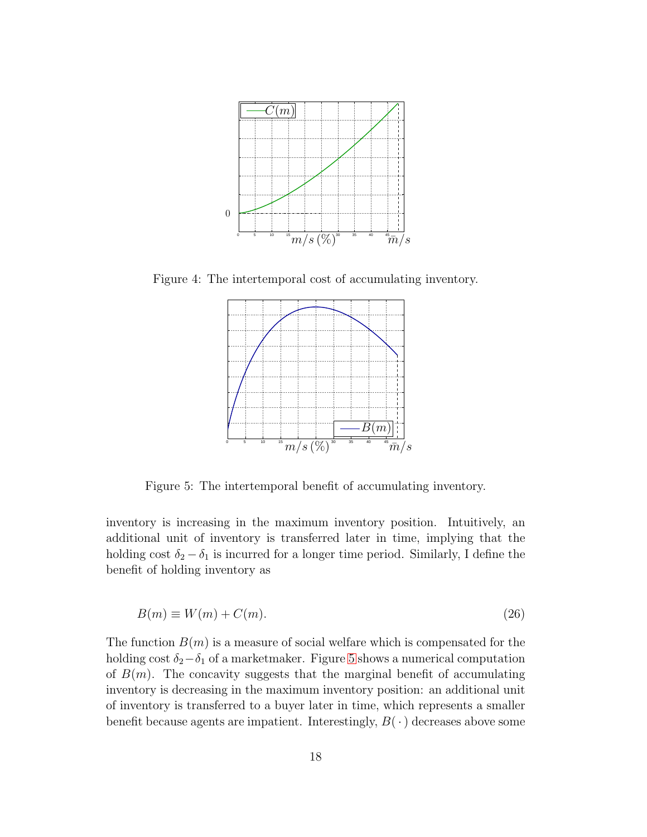

<span id="page-17-0"></span>Figure 4: The intertemporal cost of accumulating inventory.



<span id="page-17-1"></span>Figure 5: The intertemporal benefit of accumulating inventory.

inventory is increasing in the maximum inventory position. Intuitively, an additional unit of inventory is transferred later in time, implying that the holding cost  $\delta_2 - \delta_1$  is incurred for a longer time period. Similarly, I define the benefit of holding inventory as

$$
B(m) \equiv W(m) + C(m). \tag{26}
$$

The function  $B(m)$  is a measure of social welfare which is compensated for the holding cost  $\delta_2-\delta_1$  of a marketmaker. Figure [5](#page-17-1) shows a numerical computation of  $B(m)$ . The concavity suggests that the marginal benefit of accumulating inventory is decreasing in the maximum inventory position: an additional unit of inventory is transferred to a buyer later in time, which represents a smaller benefit because agents are impatient. Interestingly,  $B(\cdot)$  decreases above some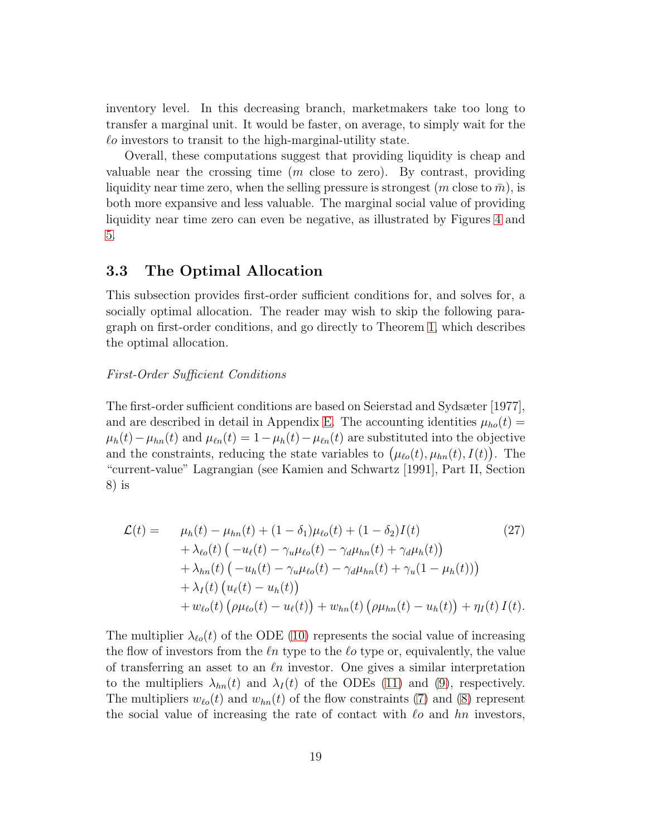inventory level. In this decreasing branch, marketmakers take too long to transfer a marginal unit. It would be faster, on average, to simply wait for the  $\ell$ o investors to transit to the high-marginal-utility state.

Overall, these computations suggest that providing liquidity is cheap and valuable near the crossing time  $(m \text{ close to zero})$ . By contrast, providing liquidity near time zero, when the selling pressure is strongest  $(m \text{ close to } \bar{m})$ , is both more expansive and less valuable. The marginal social value of providing liquidity near time zero can even be negative, as illustrated by Figures [4](#page-17-0) and [5.](#page-17-1)

### 3.3 The Optimal Allocation

This subsection provides first-order sufficient conditions for, and solves for, a socially optimal allocation. The reader may wish to skip the following paragraph on first-order conditions, and go directly to Theorem [1,](#page-20-0) which describes the optimal allocation.

#### First-Order Sufficient Conditions

The first-order sufficient conditions are based on Seierstad and Sydsæter [1977], and are described in detail in Appendix [E.](#page-52-0) The accounting identities  $\mu_{ho}(t)$  =  $\mu_h(t)-\mu_{hn}(t)$  and  $\mu_{\ell n}(t)=1-\mu_h(t)-\mu_{\ell n}(t)$  are substituted into the objective and the constraints, reducing the state variables to  $(\mu_{\ell o}(t), \mu_{hn}(t), I(t))$ . The "current-value" Lagrangian (see Kamien and Schwartz [1991], Part II, Section 8) is

$$
\mathcal{L}(t) = \mu_h(t) - \mu_{hn}(t) + (1 - \delta_1)\mu_{\ell o}(t) + (1 - \delta_2)I(t)
$$
\n
$$
+ \lambda_{\ell o}(t) \left( -u_{\ell}(t) - \gamma_u \mu_{\ell o}(t) - \gamma_d \mu_{hn}(t) + \gamma_d \mu_h(t) \right)
$$
\n
$$
+ \lambda_{hn}(t) \left( -u_h(t) - \gamma_u \mu_{\ell o}(t) - \gamma_d \mu_{hn}(t) + \gamma_u(1 - \mu_h(t)) \right)
$$
\n
$$
+ \lambda_I(t) \left( u_{\ell}(t) - u_h(t) \right)
$$
\n
$$
+ w_{\ell o}(t) \left( \rho \mu_{\ell o}(t) - u_{\ell}(t) \right) + w_{hn}(t) \left( \rho \mu_{hn}(t) - u_h(t) \right) + \eta_I(t) I(t).
$$
\n(27)

The multiplier  $\lambda_{\ell o}(t)$  of the ODE [\(10\)](#page-12-4) represents the social value of increasing the flow of investors from the  $\ell n$  type to the  $\ell o$  type or, equivalently, the value of transferring an asset to an  $ln$  investor. One gives a similar interpretation to the multipliers  $\lambda_{hn}(t)$  and  $\lambda_I(t)$  of the ODEs [\(11\)](#page-12-3) and [\(9\)](#page-12-2), respectively. The multipliers  $w_{\ell o}(t)$  and  $w_{hn}(t)$  of the flow constraints [\(7\)](#page-12-0) and [\(8\)](#page-12-1) represent the social value of increasing the rate of contact with  $\ell$  and  $hn$  investors,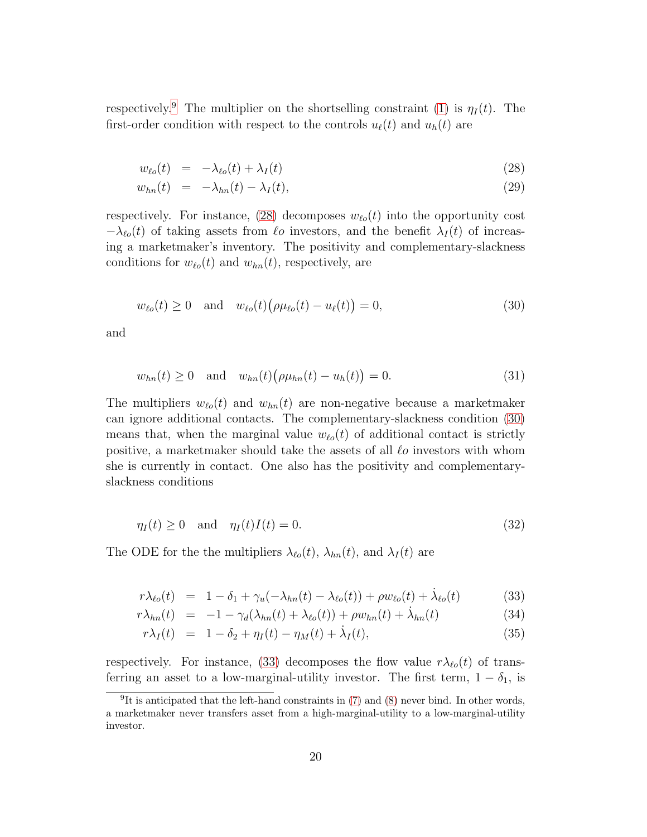respectively.<sup>[9](#page-19-0)</sup> The multiplier on the shortselling constraint [\(1\)](#page-7-2) is  $\eta_I(t)$ . The first-order condition with respect to the controls  $u_{\ell}(t)$  and  $u_{h}(t)$  are

$$
w_{\ell o}(t) = -\lambda_{\ell o}(t) + \lambda_I(t) \tag{28}
$$

$$
w_{hn}(t) = -\lambda_{hn}(t) - \lambda_I(t), \qquad (29)
$$

<span id="page-19-2"></span><span id="page-19-1"></span>respectively. For instance, [\(28\)](#page-19-1) decomposes  $w_{\ell o}(t)$  into the opportunity cost  $-\lambda_{\ell o}(t)$  of taking assets from  $\ell o$  investors, and the benefit  $\lambda_I(t)$  of increasing a marketmaker's inventory. The positivity and complementary-slackness conditions for  $w_{\ell o}(t)$  and  $w_{hn}(t)$ , respectively, are

$$
w_{\ell o}(t) \ge 0 \quad \text{and} \quad w_{\ell o}(t) \big(\rho \mu_{\ell o}(t) - u_{\ell}(t)\big) = 0,\tag{30}
$$

and

$$
w_{hn}(t) \ge 0
$$
 and  $w_{hn}(t) (\rho \mu_{hn}(t) - u_h(t)) = 0.$  (31)

The multipliers  $w_{\ell o}(t)$  and  $w_{hn}(t)$  are non-negative because a marketmaker can ignore additional contacts. The complementary-slackness condition [\(30\)](#page-19-2) means that, when the marginal value  $w_{\ell o}(t)$  of additional contact is strictly positive, a marketmaker should take the assets of all  $\ell$  investors with whom she is currently in contact. One also has the positivity and complementaryslackness conditions

$$
\eta_I(t) \ge 0 \quad \text{and} \quad \eta_I(t)I(t) = 0. \tag{32}
$$

<span id="page-19-3"></span>The ODE for the the multipliers  $\lambda_{\ell o}(t)$ ,  $\lambda_{hn}(t)$ , and  $\lambda_I(t)$  are

$$
r\lambda_{\ell o}(t) = 1 - \delta_1 + \gamma_u(-\lambda_{hn}(t) - \lambda_{\ell o}(t)) + \rho w_{\ell o}(t) + \dot{\lambda}_{\ell o}(t)
$$
(33)

$$
r\lambda_{hn}(t) = -1 - \gamma_d(\lambda_{hn}(t) + \lambda_{\ell o}(t)) + \rho w_{hn}(t) + \dot{\lambda}_{hn}(t)
$$
\n(34)

$$
r\lambda_I(t) = 1 - \delta_2 + \eta_I(t) - \eta_M(t) + \dot{\lambda}_I(t),
$$
\n(35)

respectively. For instance, [\(33\)](#page-19-3) decomposes the flow value  $r\lambda_{\ell o}(t)$  of transferring an asset to a low-marginal-utility investor. The first term,  $1 - \delta_1$ , is

<span id="page-19-0"></span><sup>&</sup>lt;sup>9</sup>It is anticipated that the left-hand constraints in  $(7)$  and  $(8)$  never bind. In other words, a marketmaker never transfers asset from a high-marginal-utility to a low-marginal-utility investor.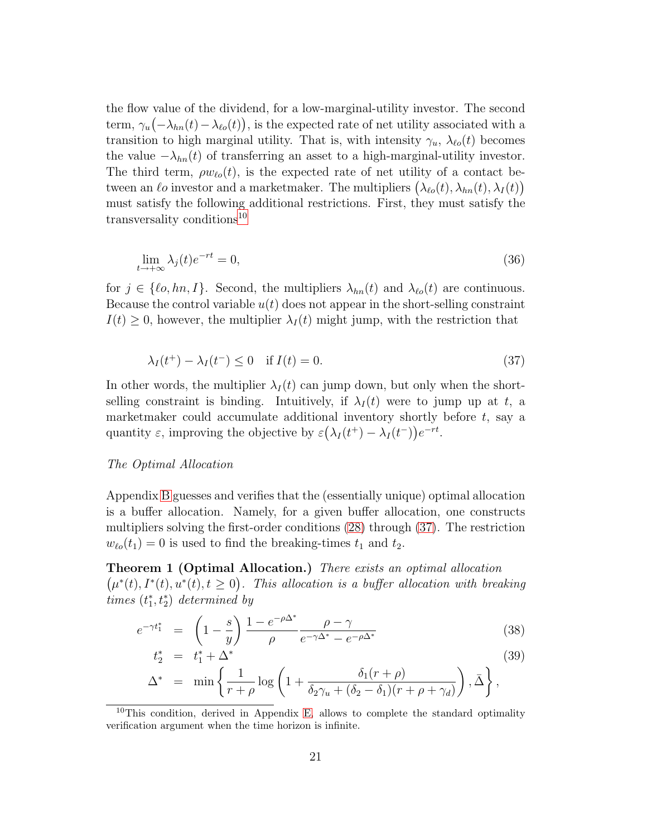the flow value of the dividend, for a low-marginal-utility investor. The second term,  $\gamma_u(-\lambda_{hn}(t) - \lambda_{lo}(t))$ , is the expected rate of net utility associated with a transition to high marginal utility. That is, with intensity  $\gamma_u$ ,  $\lambda_{\ell o}(t)$  becomes the value  $-\lambda_{hn}(t)$  of transferring an asset to a high-marginal-utility investor. The third term,  $\rho w_{\ell o}(t)$ , is the expected rate of net utility of a contact between an  $\ell o$  investor and a marketmaker. The multipliers  $(\lambda_{\ell o}(t), \lambda_{hn}(t), \lambda_I(t))$ must satisfy the following additional restrictions. First, they must satisfy the transversality conditions<sup>[10](#page-20-1)</sup>

$$
\lim_{t \to +\infty} \lambda_j(t)e^{-rt} = 0,\tag{36}
$$

for  $j \in \{\ell_0, h_n, I\}$ . Second, the multipliers  $\lambda_{hn}(t)$  and  $\lambda_{\ell_0}(t)$  are continuous. Because the control variable  $u(t)$  does not appear in the short-selling constraint  $I(t) \geq 0$ , however, the multiplier  $\lambda_I(t)$  might jump, with the restriction that

$$
\lambda_I(t^+) - \lambda_I(t^-) \le 0 \quad \text{if } I(t) = 0. \tag{37}
$$

<span id="page-20-2"></span>In other words, the multiplier  $\lambda_I(t)$  can jump down, but only when the shortselling constraint is binding. Intuitively, if  $\lambda_I(t)$  were to jump up at t, a marketmaker could accumulate additional inventory shortly before  $t$ , say a quantity  $\varepsilon$ , improving the objective by  $\varepsilon (\lambda_I(t^+) - \lambda_I(t^-))e^{-rt}$ .

#### The Optimal Allocation

Appendix [B](#page-39-0) guesses and verifies that the (essentially unique) optimal allocation is a buffer allocation. Namely, for a given buffer allocation, one constructs multipliers solving the first-order conditions [\(28\)](#page-19-1) through [\(37\)](#page-20-2). The restriction  $w_{\ell o}(t_1) = 0$  is used to find the breaking-times  $t_1$  and  $t_2$ .

<span id="page-20-0"></span>Theorem 1 (Optimal Allocation.) There exists an optimal allocation  $(\mu^*(t), I^*(t), u^*(t), t \geq 0)$ . This allocation is a buffer allocation with breaking times  $(t_1^*, t_2^*)$  determined by

$$
e^{-\gamma t_1^*} = \left(1 - \frac{s}{y}\right) \frac{1 - e^{-\rho \Delta^*}}{\rho} \frac{\rho - \gamma}{e^{-\gamma \Delta^*} - e^{-\rho \Delta^*}} \tag{38}
$$

$$
t_2^* = t_1^* + \Delta^*
$$
\n
$$
\Delta^* = \min_{\Delta^*} \left( \frac{1}{1 + \log(1 + \epsilon)} \right) \quad \delta_1(r + \rho) \quad \Delta \tag{39}
$$

$$
\Delta^* = \min \left\{ \frac{1}{r+\rho} \log \left( 1 + \frac{\delta_1(r+\rho)}{\delta_2 \gamma_u + (\delta_2 - \delta_1)(r+\rho + \gamma_d)} \right), \bar{\Delta} \right\},\,
$$

<span id="page-20-1"></span><sup>10</sup>This condition, derived in Appendix [E,](#page-52-0) allows to complete the standard optimality verification argument when the time horizon is infinite.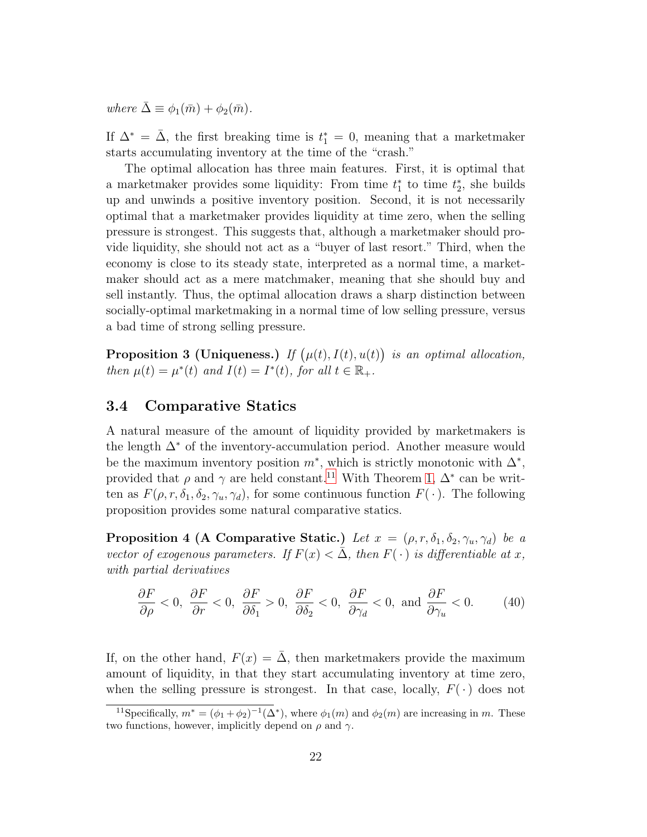where  $\bar{\Delta} \equiv \phi_1(\bar{m}) + \phi_2(\bar{m}).$ 

If  $\Delta^* = \overline{\Delta}$ , the first breaking time is  $t_1^* = 0$ , meaning that a marketmaker starts accumulating inventory at the time of the "crash."

The optimal allocation has three main features. First, it is optimal that a marketmaker provides some liquidity: From time  $t_1^*$  to time  $t_2^*$ , she builds up and unwinds a positive inventory position. Second, it is not necessarily optimal that a marketmaker provides liquidity at time zero, when the selling pressure is strongest. This suggests that, although a marketmaker should provide liquidity, she should not act as a "buyer of last resort." Third, when the economy is close to its steady state, interpreted as a normal time, a marketmaker should act as a mere matchmaker, meaning that she should buy and sell instantly. Thus, the optimal allocation draws a sharp distinction between socially-optimal marketmaking in a normal time of low selling pressure, versus a bad time of strong selling pressure.

<span id="page-21-2"></span>**Proposition 3 (Uniqueness.)** If  $(\mu(t), I(t), u(t))$  is an optimal allocation, then  $\mu(t) = \mu^*(t)$  and  $I(t) = I^*(t)$ , for all  $t \in \mathbb{R}_+$ .

## 3.4 Comparative Statics

A natural measure of the amount of liquidity provided by marketmakers is the length  $\Delta^*$  of the inventory-accumulation period. Another measure would be the maximum inventory position  $m^*$ , which is strictly monotonic with  $\Delta^*$ , provided that  $\rho$  and  $\gamma$  are held constant.<sup>[11](#page-21-0)</sup> With Theorem [1,](#page-20-0)  $\Delta^*$  can be written as  $F(\rho, r, \delta_1, \delta_2, \gamma_u, \gamma_d)$ , for some continuous function  $F(\cdot)$ . The following proposition provides some natural comparative statics.

<span id="page-21-1"></span>**Proposition 4 (A Comparative Static.)** Let  $x = (\rho, r, \delta_1, \delta_2, \gamma_u, \gamma_d)$  be a vector of exogenous parameters. If  $F(x) < \overline{\Delta}$ , then  $F(\cdot)$  is differentiable at x, with partial derivatives

$$
\frac{\partial F}{\partial \rho} < 0, \ \frac{\partial F}{\partial r} < 0, \ \frac{\partial F}{\partial \delta_1} > 0, \ \frac{\partial F}{\partial \delta_2} < 0, \ \frac{\partial F}{\partial \gamma_d} < 0, \text{ and } \frac{\partial F}{\partial \gamma_u} < 0. \tag{40}
$$

If, on the other hand,  $F(x) = \overline{\Delta}$ , then marketmakers provide the maximum amount of liquidity, in that they start accumulating inventory at time zero, when the selling pressure is strongest. In that case, locally,  $F(\cdot)$  does not

<span id="page-21-0"></span><sup>&</sup>lt;sup>11</sup>Specifically,  $m^* = (\phi_1 + \phi_2)^{-1} (\Delta^*)$ , where  $\phi_1(m)$  and  $\phi_2(m)$  are increasing in m. These two functions, however, implicitly depend on  $\rho$  and  $\gamma$ .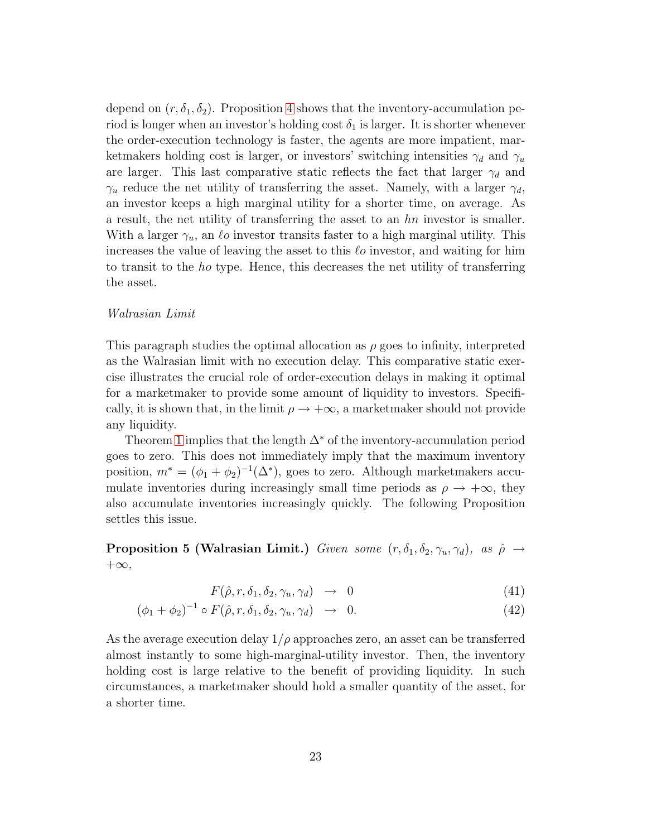depend on  $(r, \delta_1, \delta_2)$ . Proposition [4](#page-21-1) shows that the inventory-accumulation period is longer when an investor's holding cost  $\delta_1$  is larger. It is shorter whenever the order-execution technology is faster, the agents are more impatient, marketmakers holding cost is larger, or investors' switching intensities  $\gamma_d$  and  $\gamma_u$ are larger. This last comparative static reflects the fact that larger  $\gamma_d$  and  $\gamma_u$  reduce the net utility of transferring the asset. Namely, with a larger  $\gamma_d$ , an investor keeps a high marginal utility for a shorter time, on average. As a result, the net utility of transferring the asset to an hn investor is smaller. With a larger  $\gamma_u$ , an  $\ell_o$  investor transits faster to a high marginal utility. This increases the value of leaving the asset to this  $\ell$  investor, and waiting for him to transit to the ho type. Hence, this decreases the net utility of transferring the asset.

#### Walrasian Limit

This paragraph studies the optimal allocation as  $\rho$  goes to infinity, interpreted as the Walrasian limit with no execution delay. This comparative static exercise illustrates the crucial role of order-execution delays in making it optimal for a marketmaker to provide some amount of liquidity to investors. Specifically, it is shown that, in the limit  $\rho \to +\infty$ , a marketmaker should not provide any liquidity.

Theorem [1](#page-20-0) implies that the length  $\Delta^*$  of the inventory-accumulation period goes to zero. This does not immediately imply that the maximum inventory position,  $m^* = (\phi_1 + \phi_2)^{-1}(\Delta^*)$ , goes to zero. Although marketmakers accumulate inventories during increasingly small time periods as  $\rho \rightarrow +\infty$ , they also accumulate inventories increasingly quickly. The following Proposition settles this issue.

<span id="page-22-0"></span>**Proposition 5 (Walrasian Limit.)** Given some  $(r, \delta_1, \delta_2, \gamma_u, \gamma_d)$ , as  $\hat{\rho} \rightarrow$  $+\infty$ ,

$$
F(\hat{\rho}, r, \delta_1, \delta_2, \gamma_u, \gamma_d) \rightarrow 0 \tag{41}
$$

$$
(\phi_1 + \phi_2)^{-1} \circ F(\hat{\rho}, r, \delta_1, \delta_2, \gamma_u, \gamma_d) \rightarrow 0. \tag{42}
$$

As the average execution delay  $1/\rho$  approaches zero, an asset can be transferred almost instantly to some high-marginal-utility investor. Then, the inventory holding cost is large relative to the benefit of providing liquidity. In such circumstances, a marketmaker should hold a smaller quantity of the asset, for a shorter time.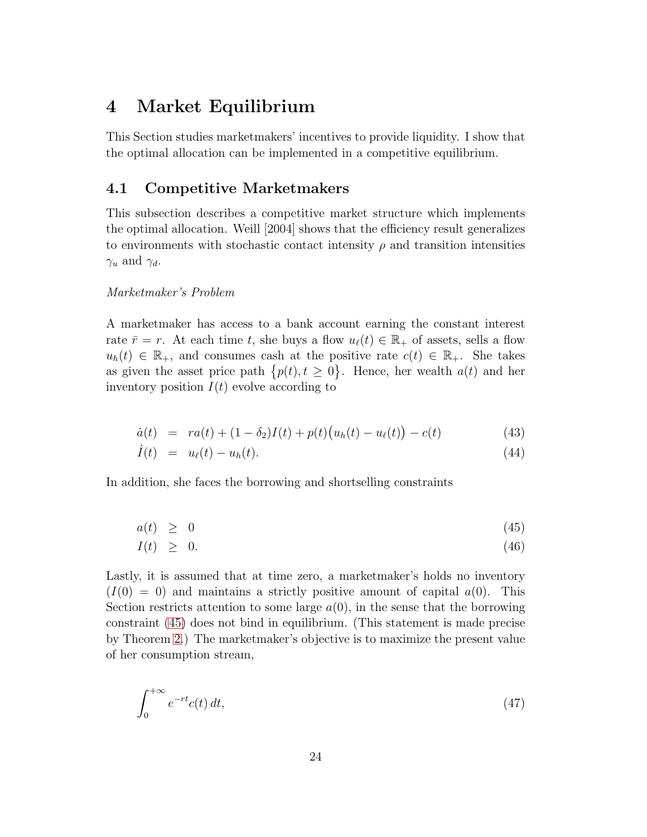## <span id="page-23-0"></span>4 Market Equilibrium

This Section studies marketmakers' incentives to provide liquidity. I show that the optimal allocation can be implemented in a competitive equilibrium.

## 4.1 Competitive Marketmakers

This subsection describes a competitive market structure which implements the optimal allocation. Weill [2004] shows that the efficiency result generalizes to environments with stochastic contact intensity  $\rho$  and transition intensities  $\gamma_u$  and  $\gamma_d$ .

### Marketmaker's Problem

A marketmaker has access to a bank account earning the constant interest rate  $\bar{r} = r$ . At each time t, she buys a flow  $u_{\ell}(t) \in \mathbb{R}_+$  of assets, sells a flow  $u_h(t) \in \mathbb{R}_+$ , and consumes cash at the positive rate  $c(t) \in \mathbb{R}_+$ . She takes as given the asset price path  $\{p(t), t \geq 0\}$ . Hence, her wealth  $a(t)$  and her inventory position  $I(t)$  evolve according to

$$
\dot{a}(t) = ra(t) + (1 - \delta_2)I(t) + p(t)\big(u_h(t) - u_\ell(t)\big) - c(t) \tag{43}
$$

$$
\dot{I}(t) = u_{\ell}(t) - u_h(t). \tag{44}
$$

<span id="page-23-2"></span><span id="page-23-1"></span>In addition, she faces the borrowing and shortselling constraints

$$
a(t) \geq 0 \tag{45}
$$

$$
I(t) \geq 0. \tag{46}
$$

Lastly, it is assumed that at time zero, a marketmaker's holds no inventory  $(I(0) = 0)$  and maintains a strictly positive amount of capital  $a(0)$ . This Section restricts attention to some large  $a(0)$ , in the sense that the borrowing constraint [\(45\)](#page-23-1) does not bind in equilibrium. (This statement is made precise by Theorem [2.](#page-25-0)) The marketmaker's objective is to maximize the present value of her consumption stream,

$$
\int_0^{+\infty} e^{-rt}c(t) dt,
$$
\n(47)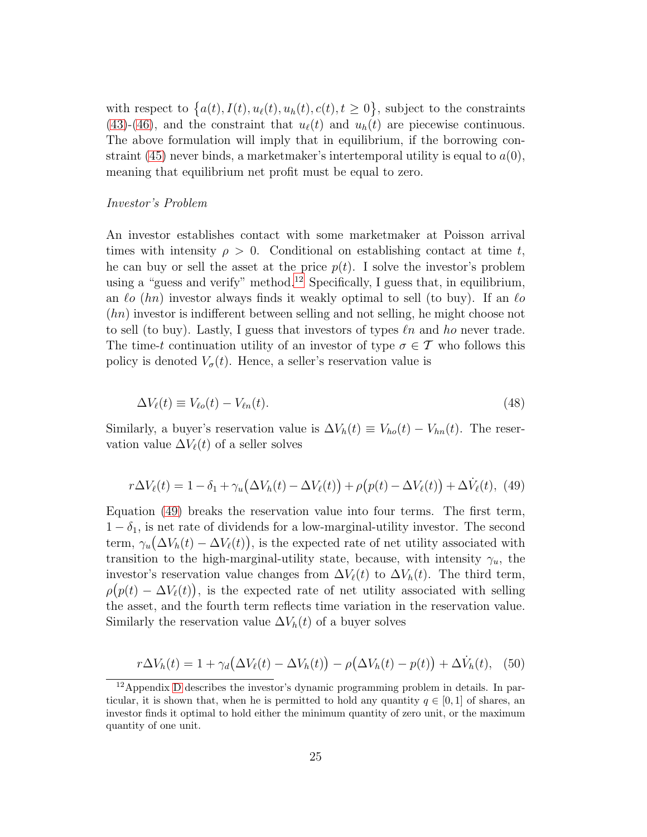with respect to  $\{a(t), I(t), u_{\ell}(t), u_h(t), c(t), t \ge 0\}$ , subject to the constraints [\(43\)](#page-23-2)-[\(46\)](#page-23-1), and the constraint that  $u_{\ell}(t)$  and  $u_{h}(t)$  are piecewise continuous. The above formulation will imply that in equilibrium, if the borrowing con-straint [\(45\)](#page-23-1) never binds, a marketmaker's intertemporal utility is equal to  $a(0)$ , meaning that equilibrium net profit must be equal to zero.

#### Investor's Problem

An investor establishes contact with some marketmaker at Poisson arrival times with intensity  $\rho > 0$ . Conditional on establishing contact at time t, he can buy or sell the asset at the price  $p(t)$ . I solve the investor's problem using a "guess and verify" method.<sup>[12](#page-24-0)</sup> Specifically, I guess that, in equilibrium, an  $\ell$ o (hn) investor always finds it weakly optimal to sell (to buy). If an  $\ell$ o (hn) investor is indifferent between selling and not selling, he might choose not to sell (to buy). Lastly, I guess that investors of types  $\ell n$  and ho never trade. The time-t continuation utility of an investor of type  $\sigma \in \mathcal{T}$  who follows this policy is denoted  $V_{\sigma}(t)$ . Hence, a seller's reservation value is

$$
\Delta V_{\ell}(t) \equiv V_{\ell o}(t) - V_{\ell n}(t). \tag{48}
$$

<span id="page-24-1"></span>Similarly, a buyer's reservation value is  $\Delta V_h(t) \equiv V_{ho}(t) - V_{hn}(t)$ . The reservation value  $\Delta V_{\ell}(t)$  of a seller solves

$$
r\Delta V_{\ell}(t) = 1 - \delta_1 + \gamma_u \big(\Delta V_h(t) - \Delta V_{\ell}(t)\big) + \rho \big(p(t) - \Delta V_{\ell}(t)\big) + \Delta \dot{V}_{\ell}(t), \tag{49}
$$

Equation [\(49\)](#page-24-1) breaks the reservation value into four terms. The first term,  $1 - \delta_1$ , is net rate of dividends for a low-marginal-utility investor. The second term,  $\gamma_u(\Delta V_h(t) - \Delta V_{\ell}(t))$ , is the expected rate of net utility associated with transition to the high-marginal-utility state, because, with intensity  $\gamma_u$ , the investor's reservation value changes from  $\Delta V_{\ell}(t)$  to  $\Delta V_{h}(t)$ . The third term,  $\rho(p(t) - \Delta V_{\ell}(t))$ , is the expected rate of net utility associated with selling the asset, and the fourth term reflects time variation in the reservation value. Similarly the reservation value  $\Delta V_h(t)$  of a buyer solves

$$
r\Delta V_h(t) = 1 + \gamma_d \big(\Delta V_\ell(t) - \Delta V_h(t)\big) - \rho \big(\Delta V_h(t) - p(t)\big) + \Delta \dot{V}_h(t), \quad (50)
$$

<span id="page-24-2"></span><span id="page-24-0"></span><sup>&</sup>lt;sup>12</sup>Appendix [D](#page-47-0) describes the investor's dynamic programming problem in details. In particular, it is shown that, when he is permitted to hold any quantity  $q \in [0, 1]$  of shares, an investor finds it optimal to hold either the minimum quantity of zero unit, or the maximum quantity of one unit.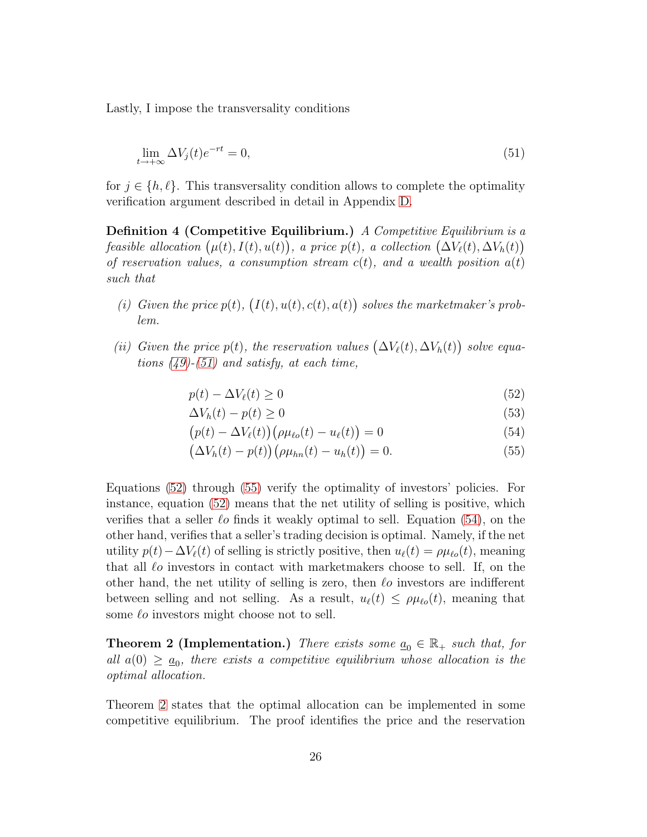<span id="page-25-1"></span>Lastly, I impose the transversality conditions

$$
\lim_{t \to +\infty} \Delta V_j(t)e^{-rt} = 0,\tag{51}
$$

for  $j \in \{h, \ell\}$ . This transversality condition allows to complete the optimality verification argument described in detail in Appendix [D.](#page-47-0)

Definition 4 (Competitive Equilibrium.) A Competitive Equilibrium is a feasible allocation  $(\mu(t), I(t), u(t))$ , a price  $p(t)$ , a collection  $(\Delta V_{\ell}(t), \Delta V_{h}(t))$ of reservation values, a consumption stream  $c(t)$ , and a wealth position  $a(t)$ such that

- (i) Given the price  $p(t)$ ,  $(I(t), u(t), c(t), a(t))$  solves the marketmaker's problem.
- <span id="page-25-2"></span>(ii) Given the price  $p(t)$ , the reservation values  $(\Delta V_{\ell}(t), \Delta V_{h}(t))$  solve equations  $(49)$ - $(51)$  and satisfy, at each time,

$$
p(t) - \Delta V_{\ell}(t) \ge 0 \tag{52}
$$

$$
\Delta V_h(t) - p(t) \ge 0 \tag{53}
$$

$$
(p(t) - \Delta V_{\ell}(t)) (\rho \mu_{\ell o}(t) - u_{\ell}(t)) = 0
$$
\n(54)

$$
\left(\Delta V_h(t) - p(t)\right)\left(\rho \mu_{hn}(t) - u_h(t)\right) = 0.
$$
\n(55)

Equations [\(52\)](#page-25-2) through [\(55\)](#page-25-2) verify the optimality of investors' policies. For instance, equation [\(52\)](#page-25-2) means that the net utility of selling is positive, which verifies that a seller  $\ell$  finds it weakly optimal to sell. Equation [\(54\)](#page-25-2), on the other hand, verifies that a seller's trading decision is optimal. Namely, if the net utility  $p(t) - \Delta V_{\ell}(t)$  of selling is strictly positive, then  $u_{\ell}(t) = \rho \mu_{\ell o}(t)$ , meaning that all  $\ell$ o investors in contact with marketmakers choose to sell. If, on the other hand, the net utility of selling is zero, then  $\ell$ o investors are indifferent between selling and not selling. As a result,  $u_{\ell}(t) \leq \rho \mu_{\ell o}(t)$ , meaning that some  $\ell$ o investors might choose not to sell.

<span id="page-25-0"></span>**Theorem 2 (Implementation.)** There exists some  $\underline{a}_0 \in \mathbb{R}_+$  such that, for all  $a(0) \geq \underline{a}_0$ , there exists a competitive equilibrium whose allocation is the optimal allocation.

Theorem [2](#page-25-0) states that the optimal allocation can be implemented in some competitive equilibrium. The proof identifies the price and the reservation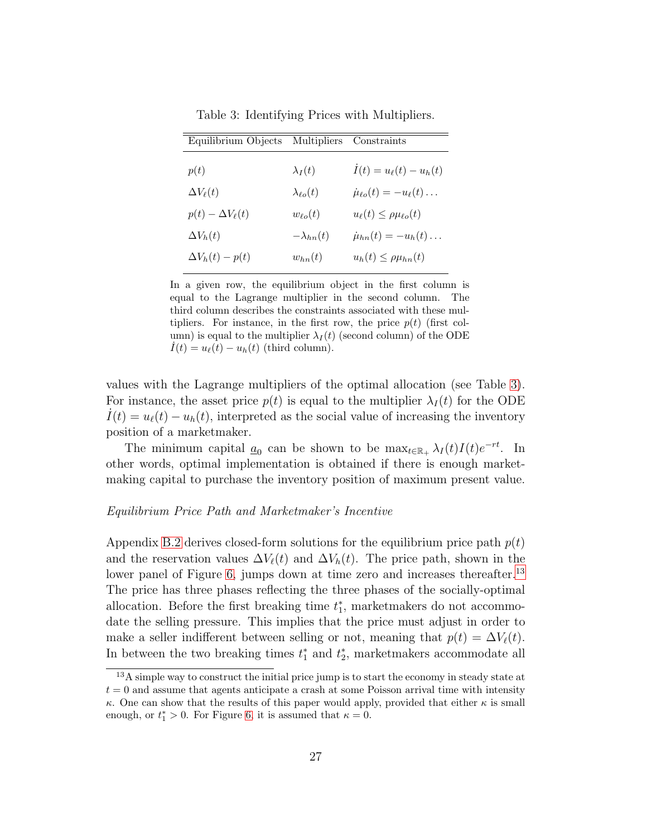Table 3: Identifying Prices with Multipliers.

<span id="page-26-0"></span>

| Equilibrium Objects Multipliers Constraints |                       |                                               |
|---------------------------------------------|-----------------------|-----------------------------------------------|
|                                             |                       |                                               |
| p(t)                                        | $\lambda_I(t)$        | $I(t) = u_{\ell}(t) - u_h(t)$                 |
| $\Delta V_{\ell}(t)$                        | $\lambda_{\ell o}(t)$ | $\dot{\mu}_{\ell o}(t) = -u_{\ell}(t) \ldots$ |
| $p(t) - \Delta V_{\ell}(t)$                 | $w_{\ell o}(t)$       | $u_{\ell}(t) \leq \rho \mu_{\ell o}(t)$       |
| $\Delta V_h(t)$                             | $-\lambda_{hn}(t)$    | $\dot{\mu}_{hn}(t) = -u_h(t) \dots$           |
| $\Delta V_h(t) - p(t)$                      | $w_{hn}(t)$           | $u_h(t) \leq \rho \mu_{hn}(t)$                |

In a given row, the equilibrium object in the first column is equal to the Lagrange multiplier in the second column. The third column describes the constraints associated with these multipliers. For instance, in the first row, the price  $p(t)$  (first column) is equal to the multiplier  $\lambda_I(t)$  (second column) of the ODE  $I(t) = u_{\ell}(t) - u_h(t)$  (third column).

values with the Lagrange multipliers of the optimal allocation (see Table [3\)](#page-26-0). For instance, the asset price  $p(t)$  is equal to the multiplier  $\lambda_I(t)$  for the ODE  $I(t) = u_{\ell}(t) - u_{h}(t)$ , interpreted as the social value of increasing the inventory position of a marketmaker.

The minimum capital  $\underline{a}_0$  can be shown to be  $\max_{t \in \mathbb{R}_+} \lambda_I(t)I(t)e^{-rt}$ . In other words, optimal implementation is obtained if there is enough marketmaking capital to purchase the inventory position of maximum present value.

#### Equilibrium Price Path and Marketmaker's Incentive

Appendix [B.2](#page-41-0) derives closed-form solutions for the equilibrium price path  $p(t)$ and the reservation values  $\Delta V_{\ell}(t)$  and  $\Delta V_{h}(t)$ . The price path, shown in the lower panel of Figure [6,](#page-27-0) jumps down at time zero and increases thereafter.<sup>[13](#page-26-1)</sup> The price has three phases reflecting the three phases of the socially-optimal allocation. Before the first breaking time  $t_1^*$ , marketmakers do not accommodate the selling pressure. This implies that the price must adjust in order to make a seller indifferent between selling or not, meaning that  $p(t) = \Delta V_{\ell}(t)$ . In between the two breaking times  $t_1^*$  and  $t_2^*$ , marketmakers accommodate all

<span id="page-26-1"></span><sup>&</sup>lt;sup>13</sup>A simple way to construct the initial price jump is to start the economy in steady state at  $t = 0$  and assume that agents anticipate a crash at some Poisson arrival time with intensity κ. One can show that the results of this paper would apply, provided that either  $\kappa$  is small enough, or  $t_1^* > 0$ . For Figure [6,](#page-27-0) it is assumed that  $\kappa = 0$ .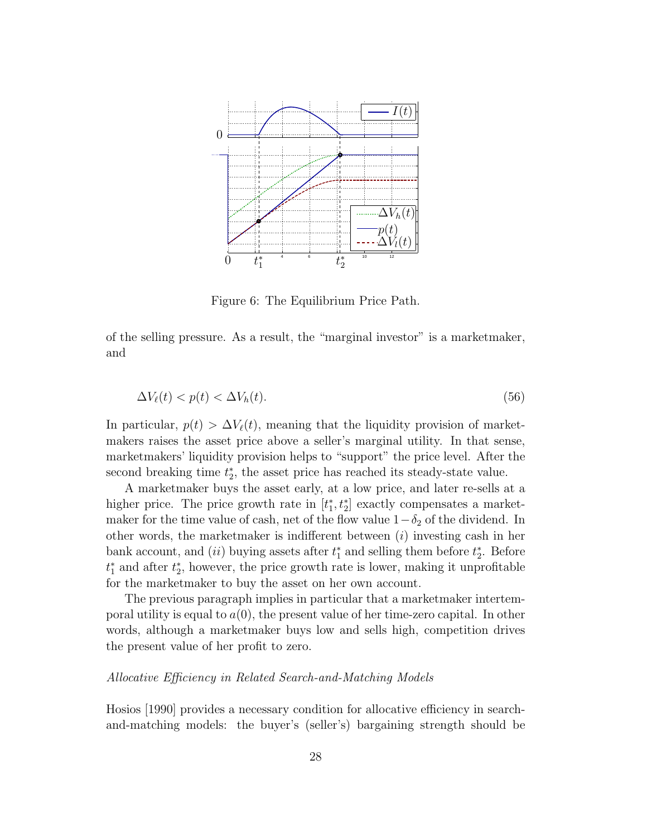

<span id="page-27-0"></span>Figure 6: The Equilibrium Price Path.

of the selling pressure. As a result, the "marginal investor" is a marketmaker, and

$$
\Delta V_{\ell}(t) < p(t) < \Delta V_h(t). \tag{56}
$$

In particular,  $p(t) > \Delta V_{\ell}(t)$ , meaning that the liquidity provision of marketmakers raises the asset price above a seller's marginal utility. In that sense, marketmakers' liquidity provision helps to "support" the price level. After the second breaking time  $t_2^*$ , the asset price has reached its steady-state value.

A marketmaker buys the asset early, at a low price, and later re-sells at a higher price. The price growth rate in  $[t_1^*, t_2^*]$  exactly compensates a marketmaker for the time value of cash, net of the flow value  $1-\delta_2$  of the dividend. In other words, the marketmaker is indifferent between  $(i)$  investing cash in her bank account, and  $(ii)$  buying assets after  $t_1^*$  and selling them before  $t_2^*$ . Before  $t_1^*$  and after  $t_2^*$ , however, the price growth rate is lower, making it unprofitable for the marketmaker to buy the asset on her own account.

The previous paragraph implies in particular that a marketmaker intertemporal utility is equal to  $a(0)$ , the present value of her time-zero capital. In other words, although a marketmaker buys low and sells high, competition drives the present value of her profit to zero.

### Allocative Efficiency in Related Search-and-Matching Models

Hosios [1990] provides a necessary condition for allocative efficiency in searchand-matching models: the buyer's (seller's) bargaining strength should be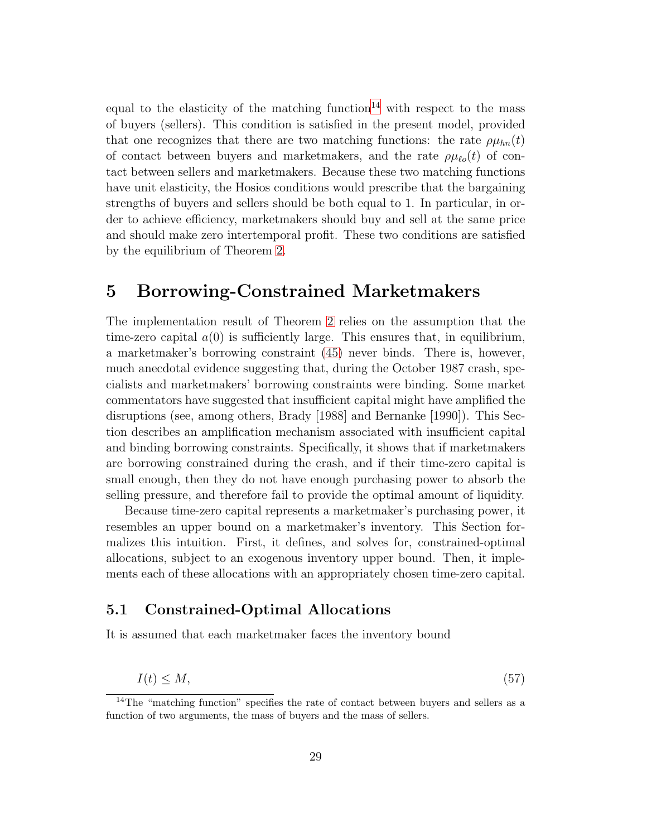equal to the elasticity of the matching function<sup>[14](#page-28-1)</sup> with respect to the mass of buyers (sellers). This condition is satisfied in the present model, provided that one recognizes that there are two matching functions: the rate  $\rho\mu_{hn}(t)$ of contact between buyers and marketmakers, and the rate  $\rho \mu_{\ell o}(t)$  of contact between sellers and marketmakers. Because these two matching functions have unit elasticity, the Hosios conditions would prescribe that the bargaining strengths of buyers and sellers should be both equal to 1. In particular, in order to achieve efficiency, marketmakers should buy and sell at the same price and should make zero intertemporal profit. These two conditions are satisfied by the equilibrium of Theorem [2.](#page-25-0)

# <span id="page-28-0"></span>5 Borrowing-Constrained Marketmakers

The implementation result of Theorem [2](#page-25-0) relies on the assumption that the time-zero capital  $a(0)$  is sufficiently large. This ensures that, in equilibrium, a marketmaker's borrowing constraint [\(45\)](#page-23-1) never binds. There is, however, much anecdotal evidence suggesting that, during the October 1987 crash, specialists and marketmakers' borrowing constraints were binding. Some market commentators have suggested that insufficient capital might have amplified the disruptions (see, among others, Brady [1988] and Bernanke [1990]). This Section describes an amplification mechanism associated with insufficient capital and binding borrowing constraints. Specifically, it shows that if marketmakers are borrowing constrained during the crash, and if their time-zero capital is small enough, then they do not have enough purchasing power to absorb the selling pressure, and therefore fail to provide the optimal amount of liquidity.

Because time-zero capital represents a marketmaker's purchasing power, it resembles an upper bound on a marketmaker's inventory. This Section formalizes this intuition. First, it defines, and solves for, constrained-optimal allocations, subject to an exogenous inventory upper bound. Then, it implements each of these allocations with an appropriately chosen time-zero capital.

## 5.1 Constrained-Optimal Allocations

<span id="page-28-2"></span>It is assumed that each marketmaker faces the inventory bound

$$
I(t) \le M,\tag{57}
$$

<span id="page-28-1"></span> $14$ The "matching function" specifies the rate of contact between buyers and sellers as a function of two arguments, the mass of buyers and the mass of sellers.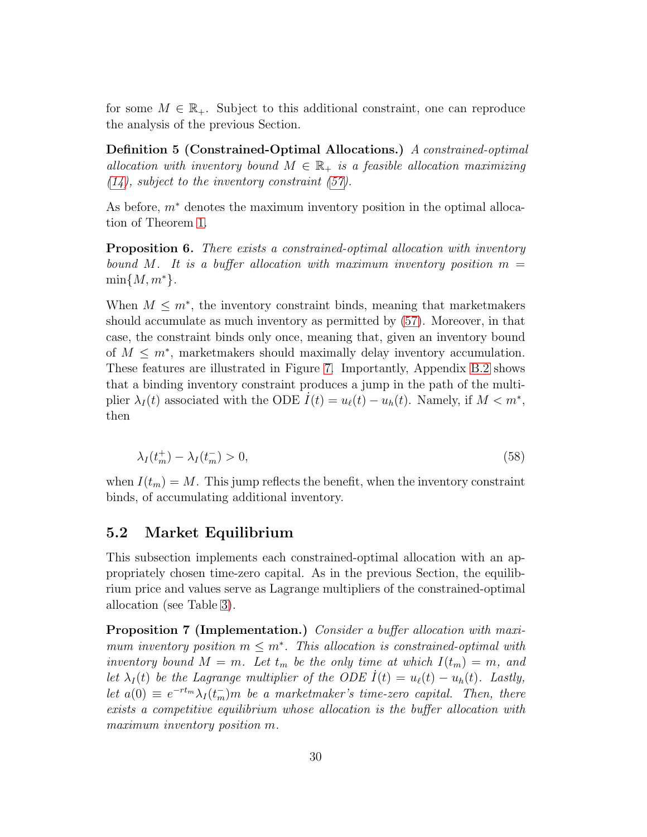for some  $M \in \mathbb{R}_+$ . Subject to this additional constraint, one can reproduce the analysis of the previous Section.

Definition 5 (Constrained-Optimal Allocations.) A constrained-optimal allocation with inventory bound  $M \in \mathbb{R}_+$  is a feasible allocation maximizing  $(14)$ , subject to the inventory constraint  $(57)$ .

<span id="page-29-1"></span>As before, m<sup>∗</sup> denotes the maximum inventory position in the optimal allocation of Theorem [1.](#page-20-0)

**Proposition 6.** There exists a constrained-optimal allocation with inventory bound M. It is a buffer allocation with maximum inventory position  $m =$  $min\{M,m^*\}.$ 

When  $M \leq m^*$ , the inventory constraint binds, meaning that marketmakers should accumulate as much inventory as permitted by [\(57\)](#page-28-2). Moreover, in that case, the constraint binds only once, meaning that, given an inventory bound of  $M \leq m^*$ , marketmakers should maximally delay inventory accumulation. These features are illustrated in Figure [7.](#page-30-0) Importantly, Appendix [B.2](#page-41-0) shows that a binding inventory constraint produces a jump in the path of the multiplier  $\lambda_I(t)$  associated with the ODE  $\dot{I}(t) = u_\ell(t) - u_h(t)$ . Namely, if  $M < m^*$ , then

$$
\lambda_I(t_m^+) - \lambda_I(t_m^-) > 0,\tag{58}
$$

when  $I(t_m) = M$ . This jump reflects the benefit, when the inventory constraint binds, of accumulating additional inventory.

### 5.2 Market Equilibrium

This subsection implements each constrained-optimal allocation with an appropriately chosen time-zero capital. As in the previous Section, the equilibrium price and values serve as Lagrange multipliers of the constrained-optimal allocation (see Table [3\)](#page-26-0).

<span id="page-29-0"></span>Proposition 7 (Implementation.) Consider a buffer allocation with maximum inventory position  $m \leq m^*$ . This allocation is constrained-optimal with inventory bound  $M = m$ . Let  $t_m$  be the only time at which  $I(t_m) = m$ , and let  $\lambda_I(t)$  be the Lagrange multiplier of the ODE  $\dot{I}(t) = u_\ell(t) - u_h(t)$ . Lastly, let  $a(0) \equiv e^{-rt_m} \lambda_I(t_m^-) m$  be a marketmaker's time-zero capital. Then, there exists a competitive equilibrium whose allocation is the buffer allocation with maximum inventory position m.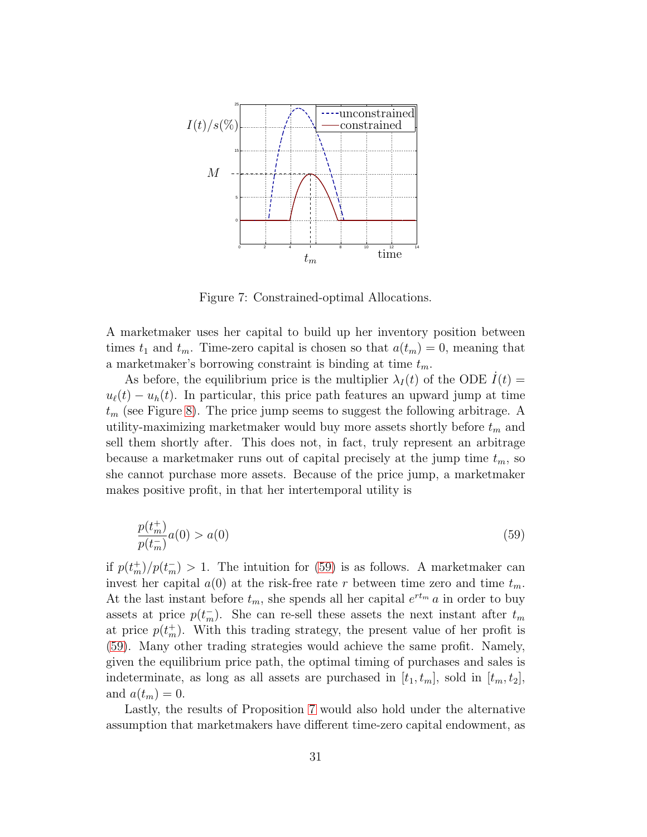

<span id="page-30-0"></span>Figure 7: Constrained-optimal Allocations.

A marketmaker uses her capital to build up her inventory position between times  $t_1$  and  $t_m$ . Time-zero capital is chosen so that  $a(t_m) = 0$ , meaning that a marketmaker's borrowing constraint is binding at time  $t_m$ .

As before, the equilibrium price is the multiplier  $\lambda_I(t)$  of the ODE  $I(t)$  =  $u_{\ell}(t) - u_h(t)$ . In particular, this price path features an upward jump at time  $t_m$  (see Figure [8\)](#page-31-0). The price jump seems to suggest the following arbitrage. A utility-maximizing marketmaker would buy more assets shortly before  $t_m$  and sell them shortly after. This does not, in fact, truly represent an arbitrage because a marketmaker runs out of capital precisely at the jump time  $t_m$ , so she cannot purchase more assets. Because of the price jump, a marketmaker makes positive profit, in that her intertemporal utility is

$$
\frac{p(t_m^+)}{p(t_m^-)}a(0) > a(0) \tag{59}
$$

<span id="page-30-1"></span>if  $p(t_m^+)/p(t_m^-) > 1$ . The intuition for [\(59\)](#page-30-1) is as follows. A marketmaker can invest her capital  $a(0)$  at the risk-free rate r between time zero and time  $t_m$ . At the last instant before  $t_m$ , she spends all her capital  $e^{rt_m}$  a in order to buy assets at price  $p(t_m^-)$ . She can re-sell these assets the next instant after  $t_m$ at price  $p(t_m^+)$ . With this trading strategy, the present value of her profit is [\(59\)](#page-30-1). Many other trading strategies would achieve the same profit. Namely, given the equilibrium price path, the optimal timing of purchases and sales is indeterminate, as long as all assets are purchased in  $[t_1,t_m]$ , sold in  $[t_m,t_2]$ , and  $a(t_m) = 0$ .

Lastly, the results of Proposition [7](#page-29-0) would also hold under the alternative assumption that marketmakers have different time-zero capital endowment, as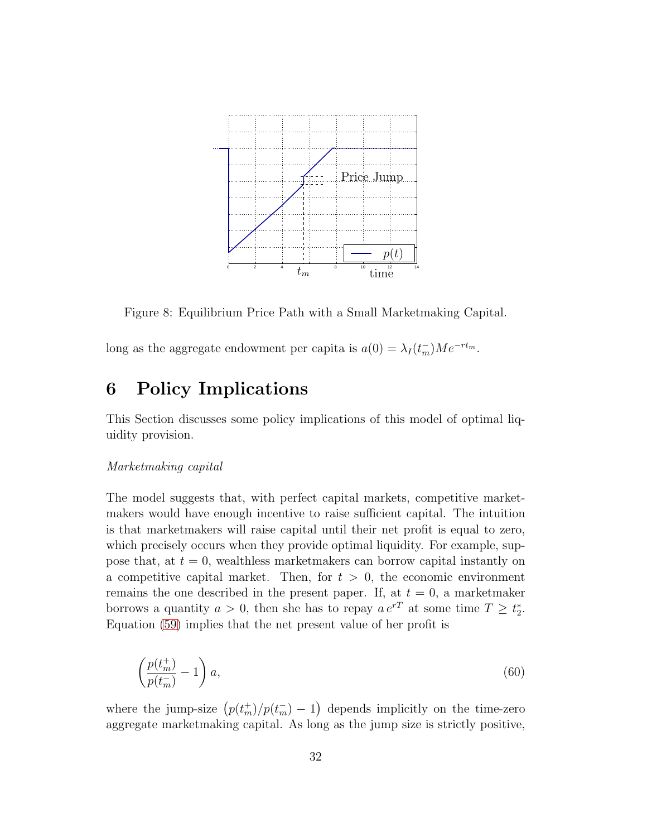

<span id="page-31-0"></span>Figure 8: Equilibrium Price Path with a Small Marketmaking Capital.

long as the aggregate endowment per capita is  $a(0) = \lambda_I(t_m^-)Me^{-rt_m}$ .

# 6 Policy Implications

This Section discusses some policy implications of this model of optimal liquidity provision.

### Marketmaking capital

The model suggests that, with perfect capital markets, competitive marketmakers would have enough incentive to raise sufficient capital. The intuition is that marketmakers will raise capital until their net profit is equal to zero, which precisely occurs when they provide optimal liquidity. For example, suppose that, at  $t = 0$ , wealthless market makes can borrow capital instantly on a competitive capital market. Then, for  $t > 0$ , the economic environment remains the one described in the present paper. If, at  $t = 0$ , a marketmaker borrows a quantity  $a > 0$ , then she has to repay  $ae^{rT}$  at some time  $T \geq t_2^*$ . Equation [\(59\)](#page-30-1) implies that the net present value of her profit is

$$
\left(\frac{p(t_m^+)}{p(t_m^-)}-1\right)a,\tag{60}
$$

<span id="page-31-1"></span>where the jump-size  $(p(t_m^+)/p(t_m^-) - 1)$  depends implicitly on the time-zero aggregate marketmaking capital. As long as the jump size is strictly positive,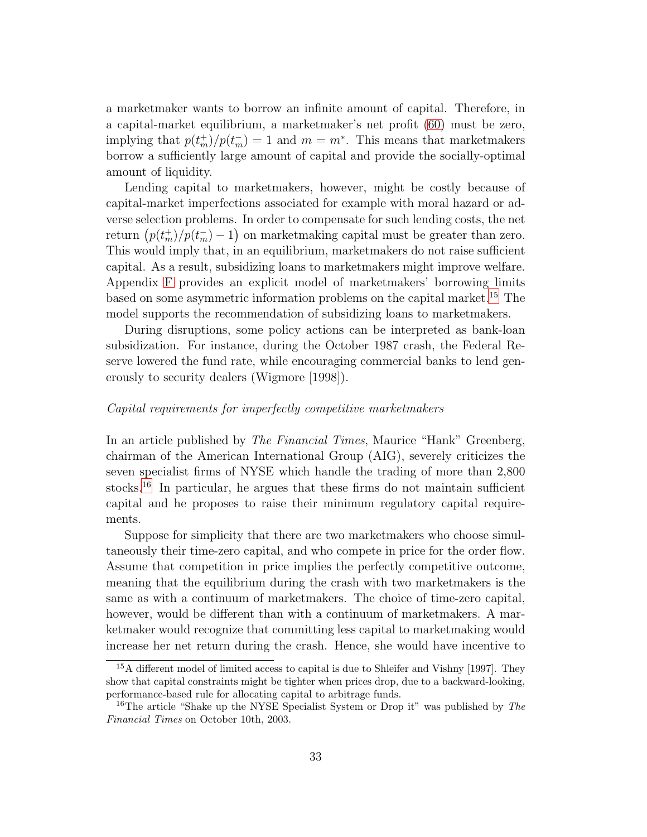a marketmaker wants to borrow an infinite amount of capital. Therefore, in a capital-market equilibrium, a marketmaker's net profit [\(60\)](#page-31-1) must be zero, implying that  $p(t_m^+)/p(t_m^-) = 1$  and  $m = m^*$ . This means that marketmakers borrow a sufficiently large amount of capital and provide the socially-optimal amount of liquidity.

Lending capital to marketmakers, however, might be costly because of capital-market imperfections associated for example with moral hazard or adverse selection problems. In order to compensate for such lending costs, the net return  $(p(t_m^+)/p(t_m^-) - 1)$  on marketmaking capital must be greater than zero. This would imply that, in an equilibrium, marketmakers do not raise sufficient capital. As a result, subsidizing loans to marketmakers might improve welfare. Appendix [F](#page-58-0) provides an explicit model of marketmakers' borrowing limits based on some asymmetric information problems on the capital market.<sup>[15](#page-32-0)</sup> The model supports the recommendation of subsidizing loans to marketmakers.

During disruptions, some policy actions can be interpreted as bank-loan subsidization. For instance, during the October 1987 crash, the Federal Reserve lowered the fund rate, while encouraging commercial banks to lend generously to security dealers (Wigmore [1998]).

### Capital requirements for imperfectly competitive marketmakers

In an article published by *The Financial Times*, Maurice "Hank" Greenberg, chairman of the American International Group (AIG), severely criticizes the seven specialist firms of NYSE which handle the trading of more than 2,800 stocks.<sup>[16](#page-32-1)</sup> In particular, he argues that these firms do not maintain sufficient capital and he proposes to raise their minimum regulatory capital requirements.

Suppose for simplicity that there are two marketmakers who choose simultaneously their time-zero capital, and who compete in price for the order flow. Assume that competition in price implies the perfectly competitive outcome, meaning that the equilibrium during the crash with two marketmakers is the same as with a continuum of marketmakers. The choice of time-zero capital, however, would be different than with a continuum of marketmakers. A marketmaker would recognize that committing less capital to marketmaking would increase her net return during the crash. Hence, she would have incentive to

<span id="page-32-0"></span><sup>15</sup>A different model of limited access to capital is due to Shleifer and Vishny [1997]. They show that capital constraints might be tighter when prices drop, due to a backward-looking, performance-based rule for allocating capital to arbitrage funds.

<span id="page-32-1"></span><sup>&</sup>lt;sup>16</sup>The article "Shake up the NYSE Specialist System or Drop it" was published by *The* Financial Times on October 10th, 2003.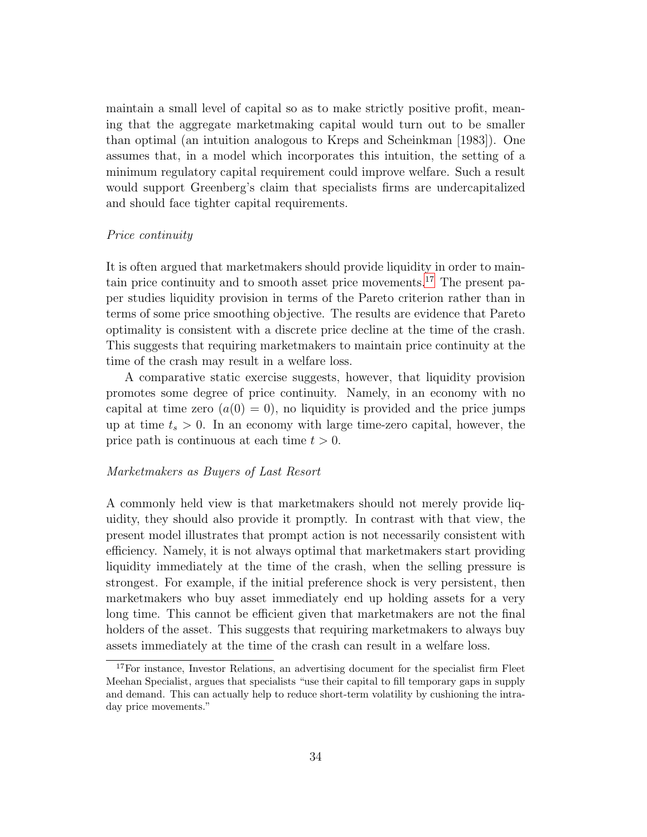maintain a small level of capital so as to make strictly positive profit, meaning that the aggregate marketmaking capital would turn out to be smaller than optimal (an intuition analogous to Kreps and Scheinkman [1983]). One assumes that, in a model which incorporates this intuition, the setting of a minimum regulatory capital requirement could improve welfare. Such a result would support Greenberg's claim that specialists firms are undercapitalized and should face tighter capital requirements.

### Price continuity

It is often argued that marketmakers should provide liquidity in order to main-tain price continuity and to smooth asset price movements.<sup>[17](#page-33-0)</sup> The present paper studies liquidity provision in terms of the Pareto criterion rather than in terms of some price smoothing objective. The results are evidence that Pareto optimality is consistent with a discrete price decline at the time of the crash. This suggests that requiring marketmakers to maintain price continuity at the time of the crash may result in a welfare loss.

A comparative static exercise suggests, however, that liquidity provision promotes some degree of price continuity. Namely, in an economy with no capital at time zero  $(a(0) = 0)$ , no liquidity is provided and the price jumps up at time  $t_s > 0$ . In an economy with large time-zero capital, however, the price path is continuous at each time  $t > 0$ .

#### Marketmakers as Buyers of Last Resort

A commonly held view is that marketmakers should not merely provide liquidity, they should also provide it promptly. In contrast with that view, the present model illustrates that prompt action is not necessarily consistent with efficiency. Namely, it is not always optimal that marketmakers start providing liquidity immediately at the time of the crash, when the selling pressure is strongest. For example, if the initial preference shock is very persistent, then marketmakers who buy asset immediately end up holding assets for a very long time. This cannot be efficient given that marketmakers are not the final holders of the asset. This suggests that requiring marketmakers to always buy assets immediately at the time of the crash can result in a welfare loss.

<span id="page-33-0"></span><sup>17</sup>For instance, Investor Relations, an advertising document for the specialist firm Fleet Meehan Specialist, argues that specialists "use their capital to fill temporary gaps in supply and demand. This can actually help to reduce short-term volatility by cushioning the intraday price movements."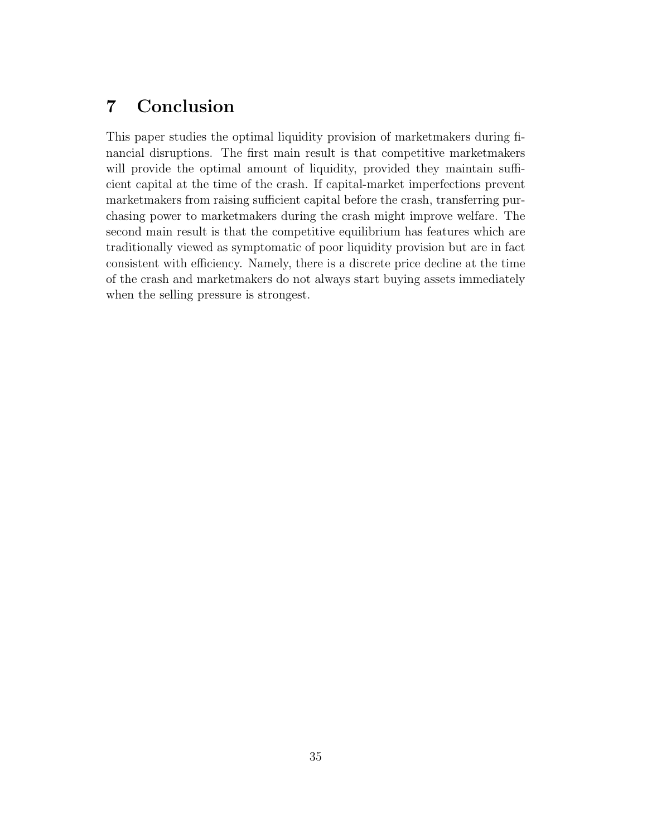# 7 Conclusion

This paper studies the optimal liquidity provision of marketmakers during financial disruptions. The first main result is that competitive marketmakers will provide the optimal amount of liquidity, provided they maintain sufficient capital at the time of the crash. If capital-market imperfections prevent marketmakers from raising sufficient capital before the crash, transferring purchasing power to marketmakers during the crash might improve welfare. The second main result is that the competitive equilibrium has features which are traditionally viewed as symptomatic of poor liquidity provision but are in fact consistent with efficiency. Namely, there is a discrete price decline at the time of the crash and marketmakers do not always start buying assets immediately when the selling pressure is strongest.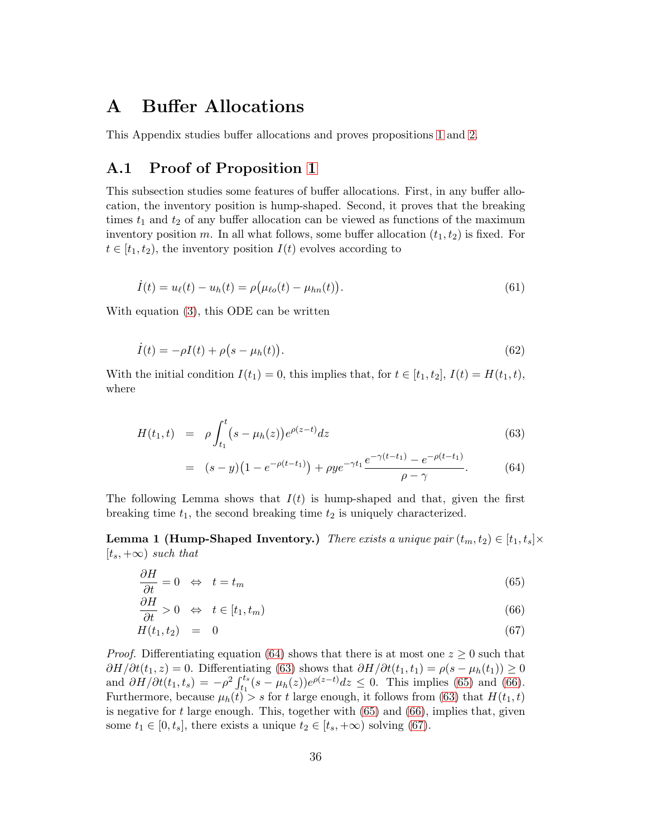# <span id="page-35-3"></span>A Buffer Allocations

This Appendix studies buffer allocations and proves propositions [1](#page-15-1) and [2.](#page-16-0)

## A.1 Proof of Proposition [1](#page-15-1)

This subsection studies some features of buffer allocations. First, in any buffer allocation, the inventory position is hump-shaped. Second, it proves that the breaking times  $t_1$  and  $t_2$  of any buffer allocation can be viewed as functions of the maximum inventory position m. In all what follows, some buffer allocation  $(t_1, t_2)$  is fixed. For  $t \in [t_1, t_2)$ , the inventory position  $I(t)$  evolves according to

$$
\dot{I}(t) = u_{\ell}(t) - u_{h}(t) = \rho(\mu_{\ell o}(t) - \mu_{hn}(t)).
$$
\n(61)

<span id="page-35-2"></span>With equation [\(3\)](#page-7-3), this ODE can be written

$$
\dot{I}(t) = -\rho I(t) + \rho (s - \mu_h(t)).
$$
\n(62)

<span id="page-35-0"></span>With the initial condition  $I(t_1) = 0$ , this implies that, for  $t \in [t_1, t_2]$ ,  $I(t) = H(t_1, t)$ , where

$$
H(t_1, t) = \rho \int_{t_1}^t (s - \mu_h(z)) e^{\rho(z - t)} dz
$$
\n(63)

$$
= (s-y)(1 - e^{-\rho(t-t_1)}) + \rho y e^{-\gamma t_1} \frac{e^{-\gamma(t-t_1)} - e^{-\rho(t-t_1)}}{\rho - \gamma}.
$$
 (64)

The following Lemma shows that  $I(t)$  is hump-shaped and that, given the first breaking time  $t_1$ , the second breaking time  $t_2$  is uniquely characterized.

<span id="page-35-1"></span>**Lemma 1 (Hump-Shaped Inventory.)** There exists a unique pair  $(t_m, t_2) \in [t_1, t_s] \times$  $[t_s, +\infty)$  such that

$$
\frac{\partial H}{\partial t} = 0 \quad \Leftrightarrow \quad t = t_m \tag{65}
$$

$$
\frac{\partial H}{\partial t} > 0 \quad \Leftrightarrow \quad t \in [t_1, t_m) \tag{66}
$$

$$
H(t_1, t_2) = 0 \tag{67}
$$

*Proof.* Differentiating equation [\(64\)](#page-35-0) shows that there is at most one  $z \geq 0$  such that  $\partial H/\partial t(t_1, z) = 0$ . Differentiating [\(63\)](#page-35-0) shows that  $\partial H/\partial t(t_1, t_1) = \rho(s - \mu_h(t_1)) \geq 0$ and  $\partial H/\partial t(t_1, t_s) = -\rho^2 \int_{t_1}^{t_s} (s - \mu_h(z)) e^{\rho(z-t)} dz \leq 0$ . This implies [\(65\)](#page-35-1) and [\(66\)](#page-35-1). Furthermore, because  $\mu_h(t) > s$  for t large enough, it follows from [\(63\)](#page-35-0) that  $H(t_1, t)$ is negative for t large enough. This, together with  $(65)$  and  $(66)$ , implies that, given some  $t_1 \in [0, t_s]$ , there exists a unique  $t_2 \in [t_s, +\infty)$  solving [\(67\)](#page-35-1).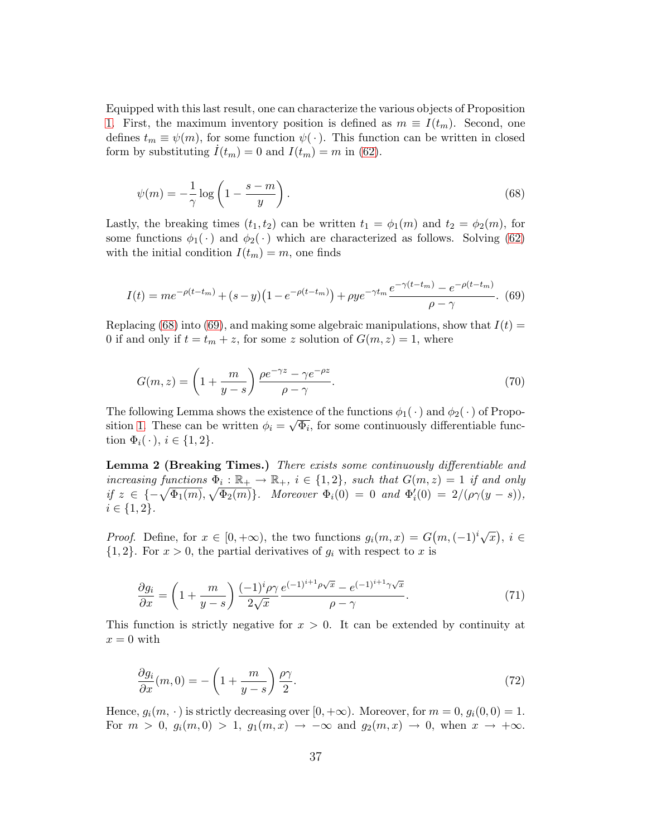<span id="page-36-0"></span>Equipped with this last result, one can characterize the various objects of Proposition [1.](#page-15-1) First, the maximum inventory position is defined as  $m \equiv I(t_m)$ . Second, one defines  $t_m \equiv \psi(m)$ , for some function  $\psi(\cdot)$ . This function can be written in closed form by substituting  $I(t_m) = 0$  and  $I(t_m) = m$  in [\(62\)](#page-35-2).

$$
\psi(m) = -\frac{1}{\gamma} \log \left( 1 - \frac{s - m}{y} \right). \tag{68}
$$

<span id="page-36-1"></span>Lastly, the breaking times  $(t_1, t_2)$  can be written  $t_1 = \phi_1(m)$  and  $t_2 = \phi_2(m)$ , for some functions  $\phi_1(\cdot)$  and  $\phi_2(\cdot)$  which are characterized as follows. Solving [\(62\)](#page-35-2) with the initial condition  $I(t_m) = m$ , one finds

$$
I(t) = me^{-\rho(t-t_m)} + (s-y)\left(1 - e^{-\rho(t-t_m)}\right) + \rho ye^{-\gamma t_m} \frac{e^{-\gamma(t-t_m)} - e^{-\rho(t-t_m)}}{\rho - \gamma}.
$$
(69)

Replacing [\(68\)](#page-36-0) into [\(69\)](#page-36-1), and making some algebraic manipulations, show that  $I(t)$  = 0 if and only if  $t = t_m + z$ , for some z solution of  $G(m, z) = 1$ , where

$$
G(m,z) = \left(1 + \frac{m}{y-s}\right) \frac{\rho e^{-\gamma z} - \gamma e^{-\rho z}}{\rho - \gamma}.
$$
\n(70)

The following Lemma shows the existence of the functions  $\phi_1(\cdot)$  and  $\phi_2(\cdot)$  of Propo-sition [1.](#page-15-1) These can be written  $\phi_i = \sqrt{\Phi_i}$ , for some continuously differentiable function  $\Phi_i(\cdot), i \in \{1,2\}.$ 

<span id="page-36-2"></span>Lemma 2 (Breaking Times.) There exists some continuously differentiable and increasing functions  $\Phi_i : \mathbb{R}_+ \to \mathbb{R}_+$ ,  $i \in \{1,2\}$ , such that  $G(m,z) = 1$  if and only if  $z \in \{-\sqrt{\Phi_1(m)}, \sqrt{\Phi_2(m)}\}$ . Moreover  $\Phi_i(0) = 0$  and  $\Phi'_i(0) = 2/(\rho \gamma(y-s)),$  $i \in \{1, 2\}.$ 

*Proof.* Define, for  $x \in [0, +\infty)$ , the two functions  $g_i(m, x) = G(m, (-1)^i \sqrt{x})$ ,  $i \in$  $\{1, 2\}$ . For  $x > 0$ , the partial derivatives of  $g_i$  with respect to x is

$$
\frac{\partial g_i}{\partial x} = \left(1 + \frac{m}{y - s}\right) \frac{(-1)^i \rho \gamma}{2\sqrt{x}} \frac{e^{(-1)^{i+1} \rho \sqrt{x}} - e^{(-1)^{i+1} \gamma \sqrt{x}}}{\rho - \gamma}.
$$
\n(71)

This function is strictly negative for  $x > 0$ . It can be extended by continuity at  $x = 0$  with

$$
\frac{\partial g_i}{\partial x}(m,0) = -\left(1 + \frac{m}{y-s}\right)\frac{\rho \gamma}{2}.\tag{72}
$$

Hence,  $g_i(m, \cdot)$  is strictly decreasing over  $[0, +\infty)$ . Moreover, for  $m = 0$ ,  $g_i(0, 0) = 1$ . For  $m > 0$ ,  $g_i(m, 0) > 1$ ,  $g_1(m, x) \rightarrow -\infty$  and  $g_2(m, x) \rightarrow 0$ , when  $x \rightarrow +\infty$ .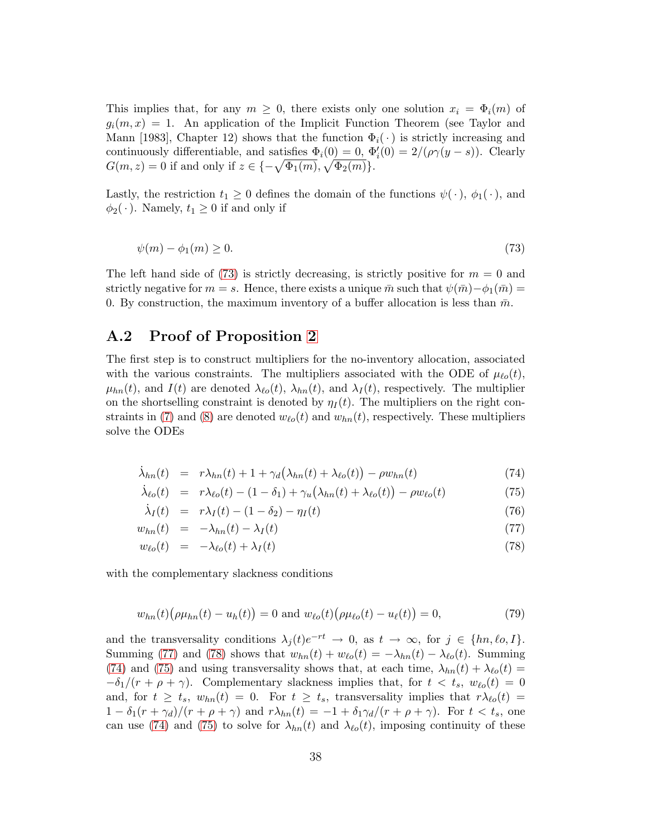This implies that, for any  $m \geq 0$ , there exists only one solution  $x_i = \Phi_i(m)$  of  $g_i(m, x) = 1$ . An application of the Implicit Function Theorem (see Taylor and Mann [1983], Chapter 12) shows that the function  $\Phi_i(\cdot)$  is strictly increasing and continuously differentiable, and satisfies  $\Phi_i(0) = 0$ ,  $\Phi'_i(0) = 2/(\rho \gamma(y - s))$ . Clearly  $G(m, z) = 0$  if and only if  $z \in \{-\sqrt{\Phi_1(m)}, \sqrt{\Phi_2(m)}\}.$ 

<span id="page-37-0"></span>Lastly, the restriction  $t_1 \geq 0$  defines the domain of the functions  $\psi(\cdot)$ ,  $\phi_1(\cdot)$ , and  $\phi_2(\cdot)$ . Namely,  $t_1 \geq 0$  if and only if

$$
\psi(m) - \phi_1(m) \ge 0. \tag{73}
$$

The left hand side of [\(73\)](#page-37-0) is strictly decreasing, is strictly positive for  $m = 0$  and strictly negative for  $m = s$ . Hence, there exists a unique  $\bar{m}$  such that  $\psi(\bar{m})-\phi_1(\bar{m})=$ 0. By construction, the maximum inventory of a buffer allocation is less than  $\bar{m}$ .

## A.2 Proof of Proposition [2](#page-16-0)

The first step is to construct multipliers for the no-inventory allocation, associated with the various constraints. The multipliers associated with the ODE of  $\mu_{\ell o}(t)$ ,  $\mu_{hn}(t)$ , and  $I(t)$  are denoted  $\lambda_{\ell o}(t)$ ,  $\lambda_{hn}(t)$ , and  $\lambda_{I}(t)$ , respectively. The multiplier on the shortselling constraint is denoted by  $\eta_I(t)$ . The multipliers on the right con-straints in [\(7\)](#page-12-0) and [\(8\)](#page-12-1) are denoted  $w_{\ell o}(t)$  and  $w_{hn}(t)$ , respectively. These multipliers solve the ODEs

<span id="page-37-1"></span>
$$
\dot{\lambda}_{hn}(t) = r\lambda_{hn}(t) + 1 + \gamma_d(\lambda_{hn}(t) + \lambda_{\ell o}(t)) - \rho w_{hn}(t)
$$
\n(74)

$$
\dot{\lambda}_{\ell o}(t) = r\lambda_{\ell o}(t) - (1 - \delta_1) + \gamma_u(\lambda_{hn}(t) + \lambda_{\ell o}(t)) - \rho w_{\ell o}(t) \tag{75}
$$

$$
\dot{\lambda}_I(t) = r\lambda_I(t) - (1 - \delta_2) - \eta_I(t) \tag{76}
$$

$$
w_{hn}(t) = -\lambda_{hn}(t) - \lambda_I(t) \tag{77}
$$

$$
w_{\ell o}(t) = -\lambda_{\ell o}(t) + \lambda_I(t) \tag{78}
$$

with the complementary slackness conditions

$$
w_{hn}(t)(\rho\mu_{hn}(t) - u_h(t)) = 0 \text{ and } w_{\ell o}(t)(\rho\mu_{\ell o}(t) - u_{\ell}(t)) = 0,
$$
\n(79)

and the transversality conditions  $\lambda_j(t)e^{-rt} \to 0$ , as  $t \to \infty$ , for  $j \in \{hn, \ell o, I\}$ . Summing [\(77\)](#page-37-1) and [\(78\)](#page-37-1) shows that  $w_{hn}(t) + w_{\ell o}(t) = -\lambda_{hn}(t) - \lambda_{\ell o}(t)$ . Summing [\(74\)](#page-37-1) and [\(75\)](#page-37-1) and using transversality shows that, at each time,  $\lambda_{hn}(t) + \lambda_{\ell o}(t) =$  $-\delta_1/(r + \rho + \gamma)$ . Complementary slackness implies that, for  $t < t_s$ ,  $w_{\ell o}(t) = 0$ and, for  $t \geq t_s$ ,  $w_{hn}(t) = 0$ . For  $t \geq t_s$ , transversality implies that  $r\lambda_{\ell o}(t) =$  $1 - \delta_1(r + \gamma_d)/(r + \rho + \gamma)$  and  $r\lambda_{hn}(t) = -1 + \delta_1\gamma_d/(r + \rho + \gamma)$ . For  $t < t_s$ , one can use [\(74\)](#page-37-1) and [\(75\)](#page-37-1) to solve for  $\lambda_{hn}(t)$  and  $\lambda_{\ell o}(t)$ , imposing continuity of these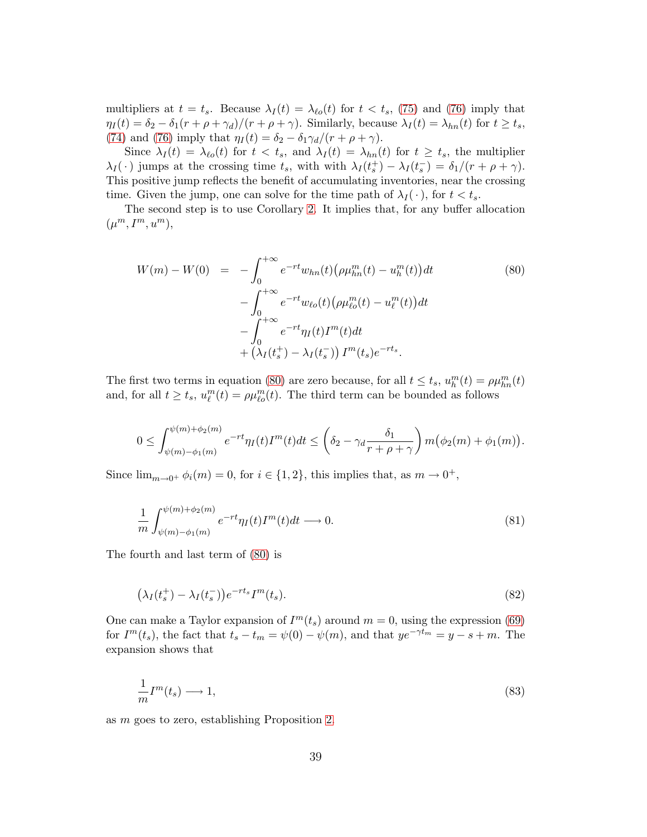multipliers at  $t = t_s$ . Because  $\lambda_I(t) = \lambda_{\ell o}(t)$  for  $t < t_s$ , [\(75\)](#page-37-1) and [\(76\)](#page-37-1) imply that  $\eta_I(t) = \delta_2 - \delta_1(r + \rho + \gamma_d)/(r + \rho + \gamma)$ . Similarly, because  $\lambda_I(t) = \lambda_{hn}(t)$  for  $t \ge t_s$ , [\(74\)](#page-37-1) and [\(76\)](#page-37-1) imply that  $\eta_I(t) = \delta_2 - \delta_1 \gamma_d/(r + \rho + \gamma)$ .

Since  $\lambda_I(t) = \lambda_{\ell o}(t)$  for  $t < t_s$ , and  $\lambda_I(t) = \lambda_{hn}(t)$  for  $t \geq t_s$ , the multiplier  $\lambda_I(\cdot)$  jumps at the crossing time  $t_s$ , with with  $\lambda_I(t_s^+) - \lambda_I(t_s^-) = \delta_I/(r + \rho + \gamma)$ . This positive jump reflects the benefit of accumulating inventories, near the crossing time. Given the jump, one can solve for the time path of  $\lambda_I(\cdot)$ , for  $t < t_s$ .

<span id="page-38-0"></span>The second step is to use Corollary [2.](#page-58-1) It implies that, for any buffer allocation  $(\mu^m, I^m, u^m),$ 

$$
W(m) - W(0) = -\int_0^{+\infty} e^{-rt} w_{hn}(t) \left(\rho \mu_{hn}^m(t) - u_h^m(t)\right) dt
$$
  

$$
- \int_0^{+\infty} e^{-rt} w_{\ell o}(t) \left(\rho \mu_{\ell o}^m(t) - u_\ell^m(t)\right) dt
$$
  

$$
- \int_0^{+\infty} e^{-rt} \eta_I(t) I^m(t) dt
$$
  

$$
+ \left(\lambda_I(t_s^+) - \lambda_I(t_s^-)\right) I^m(t_s) e^{-rt_s}.
$$
 (80)

The first two terms in equation [\(80\)](#page-38-0) are zero because, for all  $t \le t_s$ ,  $u_h^m(t) = \rho \mu_{hn}^m(t)$ and, for all  $t \geq t_s$ ,  $u_{\ell}^m(t) = \rho \mu_{\ell o}^m(t)$ . The third term can be bounded as follows

$$
0 \leq \int_{\psi(m)-\phi_1(m)}^{\psi(m)+\phi_2(m)} e^{-rt} \eta_I(t) I^m(t) dt \leq \left(\delta_2 - \gamma_d \frac{\delta_1}{r+\rho+\gamma}\right) m\big(\phi_2(m)+\phi_1(m)\big).
$$

Since  $\lim_{m\to 0^+} \phi_i(m) = 0$ , for  $i \in \{1, 2\}$ , this implies that, as  $m \to 0^+$ ,

$$
\frac{1}{m} \int_{\psi(m)-\phi_1(m)}^{\psi(m)+\phi_2(m)} e^{-rt} \eta_I(t) I^m(t) dt \longrightarrow 0.
$$
\n(81)

The fourth and last term of [\(80\)](#page-38-0) is

$$
\left(\lambda_I(t_s^+) - \lambda_I(t_s^-)\right) e^{-rt_s} I^m(t_s). \tag{82}
$$

One can make a Taylor expansion of  $I^m(t_s)$  around  $m = 0$ , using the expression [\(69\)](#page-36-1) for  $I^m(t_s)$ , the fact that  $t_s - t_m = \psi(0) - \psi(m)$ , and that  $ye^{-\gamma t_m} = y - s + m$ . The expansion shows that

$$
\frac{1}{m}I^m(t_s) \longrightarrow 1,\tag{83}
$$

as m goes to zero, establishing Proposition [2.](#page-16-0)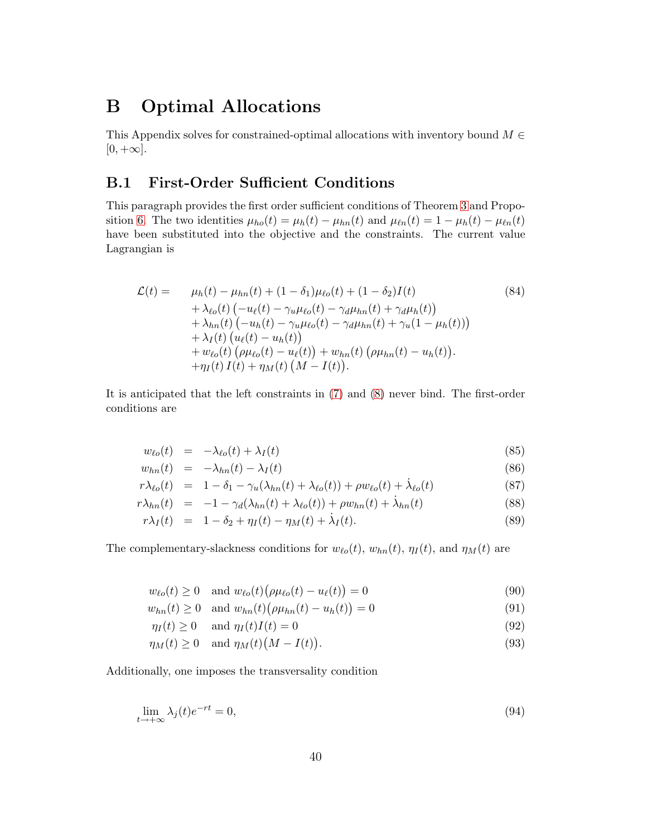# <span id="page-39-0"></span>B Optimal Allocations

This Appendix solves for constrained-optimal allocations with inventory bound  $M \in$  $[0, +\infty]$ .

## B.1 First-Order Sufficient Conditions

This paragraph provides the first order sufficient conditions of Theorem [3](#page-53-0) and Propo-sition [6.](#page-29-1) The two identities  $\mu_{ho}(t) = \mu_h(t) - \mu_{hn}(t)$  and  $\mu_{\ell n}(t) = 1 - \mu_h(t) - \mu_{\ell n}(t)$ have been substituted into the objective and the constraints. The current value Lagrangian is

$$
\mathcal{L}(t) = \mu_h(t) - \mu_{hn}(t) + (1 - \delta_1)\mu_{\ell o}(t) + (1 - \delta_2)I(t)
$$
(84)  
+  $\lambda_{\ell o}(t) (-u_{\ell}(t) - \gamma_u \mu_{\ell o}(t) - \gamma_d \mu_{hn}(t) + \gamma_d \mu_h(t))$   
+  $\lambda_{hn}(t) (-u_h(t) - \gamma_u \mu_{\ell o}(t) - \gamma_d \mu_{hn}(t) + \gamma_u(1 - \mu_h(t)))$   
+  $\lambda_I(t) (u_{\ell}(t) - u_h(t))$   
+  $w_{\ell o}(t) (\rho \mu_{\ell o}(t) - u_{\ell}(t)) + w_{hn}(t) (\rho \mu_{hn}(t) - u_h(t)).$ 

<span id="page-39-1"></span>It is anticipated that the left constraints in [\(7\)](#page-12-0) and [\(8\)](#page-12-1) never bind. The first-order conditions are

$$
w_{\ell o}(t) = -\lambda_{\ell o}(t) + \lambda_I(t) \tag{85}
$$

$$
w_{hn}(t) = -\lambda_{hn}(t) - \lambda_I(t) \tag{86}
$$

$$
r\lambda_{\ell o}(t) = 1 - \delta_1 - \gamma_u(\lambda_{hn}(t) + \lambda_{\ell o}(t)) + \rho w_{\ell o}(t) + \dot{\lambda}_{\ell o}(t)
$$
\n(87)

$$
r\lambda_{hn}(t) = -1 - \gamma_d(\lambda_{hn}(t) + \lambda_{\ell o}(t)) + \rho w_{hn}(t) + \dot{\lambda}_{hn}(t)
$$
\n(88)

$$
r\lambda_I(t) = 1 - \delta_2 + \eta_I(t) - \eta_M(t) + \dot{\lambda}_I(t).
$$
 (89)

The complementary-slackness conditions for  $w_{\ell o}(t)$ ,  $w_{hn}(t)$ ,  $\eta_I(t)$ , and  $\eta_M(t)$  are

$$
w_{\ell o}(t) \ge 0 \quad \text{and } w_{\ell o}(t) \big(\rho \mu_{\ell o}(t) - u_{\ell}(t)\big) = 0 \tag{90}
$$

$$
w_{hn}(t) \ge 0 \quad \text{and } w_{hn}(t) \big(\rho \mu_{hn}(t) - u_h(t)\big) = 0 \tag{91}
$$

$$
\eta_I(t) \ge 0 \quad \text{and } \eta_I(t)I(t) = 0 \tag{92}
$$

$$
\eta_M(t) \ge 0 \quad \text{and } \eta_M(t)\big(M - I(t)\big). \tag{93}
$$

Additionally, one imposes the transversality condition

$$
\lim_{t \to +\infty} \lambda_j(t) e^{-rt} = 0,\tag{94}
$$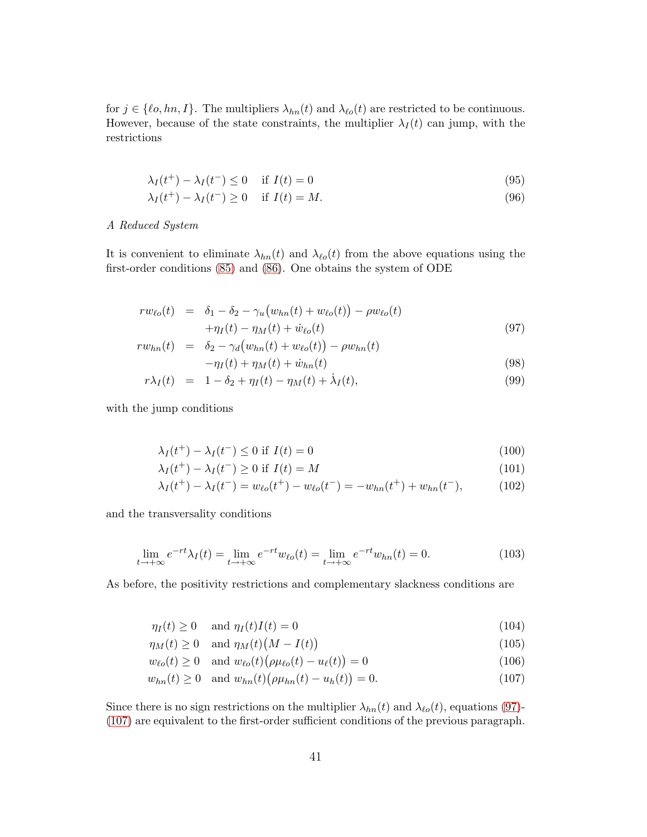for  $j \in \{\ell_0, kn, I\}$ . The multipliers  $\lambda_{hn}(t)$  and  $\lambda_{\ell_0}(t)$  are restricted to be continuous. However, because of the state constraints, the multiplier  $\lambda_I(t)$  can jump, with the restrictions

$$
\lambda_I(t^+) - \lambda_I(t^-) \le 0 \quad \text{if } I(t) = 0 \tag{95}
$$

 $\lambda_I(t^+) - \lambda_I(t^-) \ge 0 \quad \text{if } I(t) = M.$  (96)

#### <span id="page-40-4"></span>A Reduced System

<span id="page-40-0"></span>It is convenient to eliminate  $\lambda_{hn}(t)$  and  $\lambda_{\ell o}(t)$  from the above equations using the first-order conditions [\(85\)](#page-39-1) and [\(86\)](#page-39-1). One obtains the system of ODE

$$
rw_{\ell o}(t) = \delta_1 - \delta_2 - \gamma_u (w_{hn}(t) + w_{\ell o}(t)) - \rho w_{\ell o}(t) + \eta_I(t) - \eta_M(t) + \dot{w}_{\ell o}(t)
$$
\n(97)

$$
rw_{hn}(t) = \delta_2 - \gamma_d \big( w_{hn}(t) + w_{\ell o}(t) \big) - \rho w_{hn}(t)
$$
  
-
$$
\eta_I(t) + \eta_M(t) + \dot{w}_{hn}(t)
$$
 (98)

$$
r\lambda_I(t) = 1 - \delta_2 + \eta_I(t) - \eta_M(t) + \dot{\lambda}_I(t),
$$
\n(99)

<span id="page-40-3"></span>with the jump conditions

$$
\lambda_I(t^+) - \lambda_I(t^-) \le 0 \text{ if } I(t) = 0 \tag{100}
$$

$$
\lambda_I(t^+) - \lambda_I(t^-) \ge 0 \text{ if } I(t) = M \tag{101}
$$

$$
\lambda_I(t^+) - \lambda_I(t^-) = w_{\ell o}(t^+) - w_{\ell o}(t^-) = -w_{hn}(t^+) + w_{hn}(t^-), \tag{102}
$$

<span id="page-40-2"></span>and the transversality conditions

$$
\lim_{t \to +\infty} e^{-rt} \lambda_I(t) = \lim_{t \to +\infty} e^{-rt} w_{\ell o}(t) = \lim_{t \to +\infty} e^{-rt} w_{hn}(t) = 0.
$$
 (103)

<span id="page-40-1"></span>As before, the positivity restrictions and complementary slackness conditions are

$$
\eta_I(t) \ge 0 \quad \text{and } \eta_I(t)I(t) = 0 \tag{104}
$$

$$
\eta_M(t) \ge 0 \quad \text{and } \eta_M(t)\big(M - I(t)\big) \tag{105}
$$

$$
w_{\ell o}(t) \ge 0 \quad \text{and} \quad w_{\ell o}(t) \big(\rho \mu_{\ell o}(t) - u_{\ell}(t)\big) = 0 \tag{106}
$$

$$
w_{hn}(t) \ge 0 \text{ and } w_{hn}(t) (\rho \mu_{hn}(t) - u_h(t)) = 0. \tag{107}
$$

Since there is no sign restrictions on the multiplier  $\lambda_{hn}(t)$  and  $\lambda_{\ell o}(t)$ , equations [\(97\)](#page-40-0)-[\(107\)](#page-40-1) are equivalent to the first-order sufficient conditions of the previous paragraph.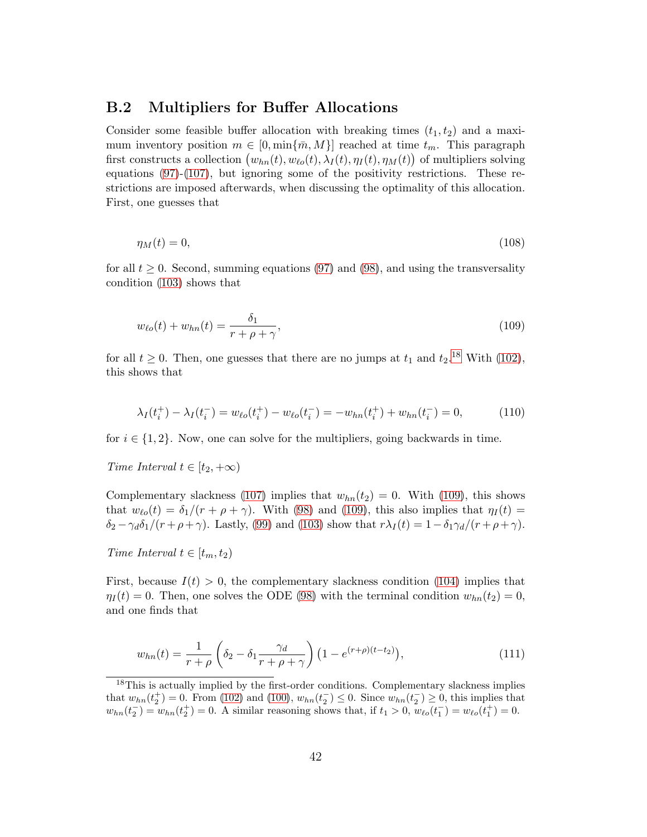### <span id="page-41-0"></span>B.2 Multipliers for Buffer Allocations

Consider some feasible buffer allocation with breaking times  $(t_1, t_2)$  and a maximum inventory position  $m \in [0, \min\{\bar{m}, M\}]$  reached at time  $t_m$ . This paragraph first constructs a collection  $(w_{hn}(t), w_{\ell o}(t), \lambda_I(t), \eta_I(t), \eta_M(t))$  of multipliers solving equations  $(97)-(107)$  $(97)-(107)$  $(97)-(107)$ , but ignoring some of the positivity restrictions. These restrictions are imposed afterwards, when discussing the optimality of this allocation. First, one guesses that

$$
\eta_M(t) = 0,\tag{108}
$$

<span id="page-41-2"></span>for all  $t > 0$ . Second, summing equations [\(97\)](#page-40-0) and [\(98\)](#page-40-0), and using the transversality condition [\(103\)](#page-40-2) shows that

$$
w_{\ell o}(t) + w_{hn}(t) = \frac{\delta_1}{r + \rho + \gamma},\tag{109}
$$

for all  $t \geq 0$ . Then, one guesses that there are no jumps at  $t_1$  and  $t_2$ .<sup>[18](#page-41-1)</sup> With [\(102\)](#page-40-3), this shows that

$$
\lambda_I(t_i^+) - \lambda_I(t_i^-) = w_{\ell o}(t_i^+) - w_{\ell o}(t_i^-) = -w_{hn}(t_i^+) + w_{hn}(t_i^-) = 0,\tag{110}
$$

for  $i \in \{1, 2\}$ . Now, one can solve for the multipliers, going backwards in time.

Time Interval  $t \in [t_2, +\infty)$ 

Complementary slackness [\(107\)](#page-40-1) implies that  $w_{hn}(t_2) = 0$ . With [\(109\)](#page-41-2), this shows that  $w_{\ell o}(t) = \delta_1/(r + \rho + \gamma)$ . With [\(98\)](#page-40-0) and [\(109\)](#page-41-2), this also implies that  $\eta_I(t)$  $\delta_2 - \gamma_d \delta_1/(r + \rho + \gamma)$ . Lastly, [\(99\)](#page-40-0) and [\(103\)](#page-40-2) show that  $r\lambda_I(t) = 1 - \delta_1 \gamma_d/(r + \rho + \gamma)$ .

Time Interval  $t \in [t_m, t_2)$ 

<span id="page-41-3"></span>First, because  $I(t) > 0$ , the complementary slackness condition [\(104\)](#page-40-1) implies that  $\eta_I(t) = 0$ . Then, one solves the ODE [\(98\)](#page-40-0) with the terminal condition  $w_{hn}(t_2) = 0$ , and one finds that

$$
w_{hn}(t) = \frac{1}{r+\rho} \left( \delta_2 - \delta_1 \frac{\gamma_d}{r+\rho+\gamma} \right) \left( 1 - e^{(r+\rho)(t-t_2)} \right),\tag{111}
$$

<span id="page-41-1"></span><sup>&</sup>lt;sup>18</sup>This is actually implied by the first-order conditions. Complementary slackness implies that  $w_{hn}(t_2^+) = 0$ . From [\(102\)](#page-40-3) and [\(100\)](#page-40-3),  $w_{hn}(t_2^-) \leq 0$ . Since  $w_{hn}(t_2^-) \geq 0$ , this implies that  $w_{hn}(t_2^-) = w_{hn}(t_2^+) = 0$ . A similar reasoning shows that, if  $t_1 > 0$ ,  $w_{\ell o}(t_1^-) = w_{\ell o}(t_1^+) = 0$ .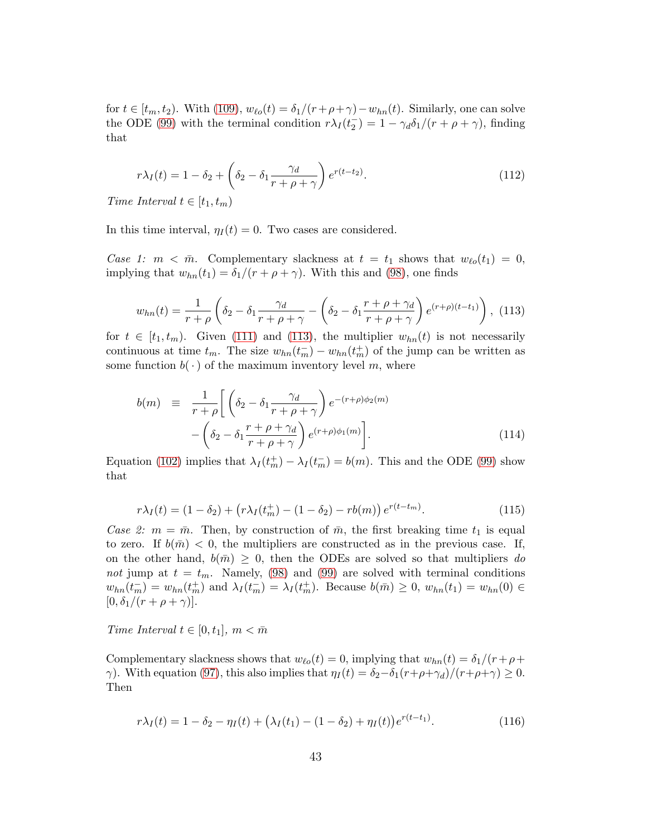for  $t \in [t_m, t_2)$ . With [\(109\)](#page-41-2),  $w_{\ell o}(t) = \delta_1/(r+\rho+\gamma) - w_{hn}(t)$ . Similarly, one can solve the ODE [\(99\)](#page-40-0) with the terminal condition  $r\lambda_I(t_2^-) = 1 - \gamma_d \delta_1/(r + \rho + \gamma)$ , finding that

$$
r\lambda_I(t) = 1 - \delta_2 + \left(\delta_2 - \delta_1 \frac{\gamma_d}{r + \rho + \gamma}\right) e^{r(t - t_2)}.
$$
\n(112)

Time Interval  $t \in [t_1, t_m)$ 

In this time interval,  $\eta_I(t) = 0$ . Two cases are considered.

<span id="page-42-0"></span>Case 1:  $m < \bar{m}$ . Complementary slackness at  $t = t_1$  shows that  $w_{\ell o}(t_1) = 0$ , implying that  $w_{hn}(t_1) = \delta_1/(r + \rho + \gamma)$ . With this and [\(98\)](#page-40-0), one finds

$$
w_{hn}(t) = \frac{1}{r+\rho} \left( \delta_2 - \delta_1 \frac{\gamma_d}{r+\rho+\gamma} - \left( \delta_2 - \delta_1 \frac{r+\rho+\gamma_d}{r+\rho+\gamma} \right) e^{(r+\rho)(t-t_1)} \right), \tag{113}
$$

for  $t \in [t_1, t_m)$ . Given [\(111\)](#page-41-3) and [\(113\)](#page-42-0), the multiplier  $w_{hn}(t)$  is not necessarily continuous at time  $t_m$ . The size  $w_{hn}(t_m^-) - w_{hn}(t_m^+)$  of the jump can be written as some function  $b(\cdot)$  of the maximum inventory level m, where

$$
b(m) \equiv \frac{1}{r+\rho} \left[ \left( \delta_2 - \delta_1 \frac{\gamma_d}{r+\rho+\gamma} \right) e^{-(r+\rho)\phi_2(m)} - \left( \delta_2 - \delta_1 \frac{r+\rho+\gamma_d}{r+\rho+\gamma} \right) e^{(r+\rho)\phi_1(m)} \right].
$$
\n(114)

<span id="page-42-1"></span>Equation [\(102\)](#page-40-3) implies that  $\lambda_I(t_m^+) - \lambda_I(t_m^-) = b(m)$ . This and the ODE [\(99\)](#page-40-0) show that

$$
r\lambda_I(t) = (1 - \delta_2) + (r\lambda_I(t_m^+) - (1 - \delta_2) - rb(m)) e^{r(t - t_m)}.
$$
\n(115)

Case 2:  $m = \bar{m}$ . Then, by construction of  $\bar{m}$ , the first breaking time  $t_1$  is equal to zero. If  $b(\bar{m}) < 0$ , the multipliers are constructed as in the previous case. If, on the other hand,  $b(\bar{m}) \geq 0$ , then the ODEs are solved so that multipliers do not jump at  $t = t_m$ . Namely, [\(98\)](#page-40-0) and [\(99\)](#page-40-0) are solved with terminal conditions  $w_{hn}(t_m^-) = w_{hn}(t_m^+)$  and  $\lambda_I(t_m^-) = \lambda_I(t_m^+)$ . Because  $b(\bar{m}) \geq 0$ ,  $w_{hn}(t_1) = w_{hn}(0) \in$  $[0, \delta_1/(r + \rho + \gamma)].$ 

Time Interval  $t \in [0, t_1], m < \bar{m}$ 

Complementary slackness shows that  $w_{\ell o}(t) = 0$ , implying that  $w_{hn}(t) = \delta_1/(r+\rho+\ell_1)$ γ). With equation [\(97\)](#page-40-0), this also implies that  $η_I(t) = δ_2-δ_1(r+ρ+γ_d)/(r+ρ+γ) \ge 0$ . Then

$$
r\lambda_I(t) = 1 - \delta_2 - \eta_I(t) + \left(\lambda_I(t_1) - (1 - \delta_2) + \eta_I(t)\right)e^{r(t - t_1)}.
$$
\n(116)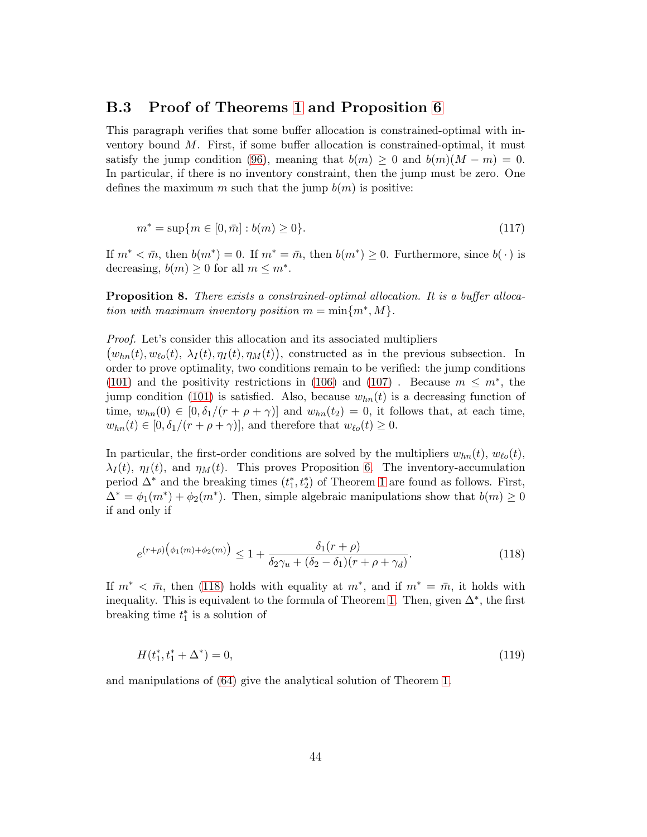### B.3 Proof of Theorems [1](#page-20-0) and Proposition [6](#page-29-1)

This paragraph verifies that some buffer allocation is constrained-optimal with inventory bound M. First, if some buffer allocation is constrained-optimal, it must satisfy the jump condition [\(96\)](#page-40-4), meaning that  $b(m) \geq 0$  and  $b(m)(M - m) = 0$ . In particular, if there is no inventory constraint, then the jump must be zero. One defines the maximum m such that the jump  $b(m)$  is positive:

$$
m^* = \sup\{m \in [0, \bar{m}] : b(m) \ge 0\}.
$$
\n(117)

If  $m^* < \bar{m}$ , then  $b(m^*) = 0$ . If  $m^* = \bar{m}$ , then  $b(m^*) \geq 0$ . Furthermore, since  $b(\cdot)$  is decreasing,  $b(m) \ge 0$  for all  $m \le m^*$ .

Proposition 8. There exists a constrained-optimal allocation. It is a buffer allocation with maximum inventory position  $m = \min\{m^*, M\}.$ 

Proof. Let's consider this allocation and its associated multipliers  $(w_{hn}(t), w_{\ell o}(t), \lambda_I(t), \eta_I(t), \eta_M(t)),$  constructed as in the previous subsection. In order to prove optimality, two conditions remain to be verified: the jump conditions [\(101\)](#page-40-3) and the positivity restrictions in [\(106\)](#page-40-1) and [\(107\)](#page-40-1). Because  $m \leq m^*$ , the jump condition [\(101\)](#page-40-3) is satisfied. Also, because  $w_{hn}(t)$  is a decreasing function of time,  $w_{hn}(0) \in [0, \delta_1/(r+\rho+\gamma)]$  and  $w_{hn}(t_2) = 0$ , it follows that, at each time,  $w_{hn}(t) \in [0, \delta_1/(r+\rho+\gamma)],$  and therefore that  $w_{\ell o}(t) \geq 0.$ 

<span id="page-43-0"></span>In particular, the first-order conditions are solved by the multipliers  $w_{hn}(t)$ ,  $w_{\ell o}(t)$ ,  $\lambda_I(t)$ ,  $\eta_I(t)$ , and  $\eta_M(t)$ . This proves Proposition [6.](#page-29-1) The inventory-accumulation period  $\Delta^*$  and the breaking times  $(t_1^*, t_2^*)$  of Theorem [1](#page-20-0) are found as follows. First,  $\Delta^* = \phi_1(m^*) + \phi_2(m^*)$ . Then, simple algebraic manipulations show that  $b(m) \geq 0$ if and only if

$$
e^{(r+\rho)\left(\phi_1(m)+\phi_2(m)\right)} \le 1 + \frac{\delta_1(r+\rho)}{\delta_2\gamma_u + (\delta_2-\delta_1)(r+\rho+\gamma_d)}.\tag{118}
$$

If  $m^* < \bar{m}$ , then [\(118\)](#page-43-0) holds with equality at  $m^*$ , and if  $m^* = \bar{m}$ , it holds with inequality. This is equivalent to the formula of Theorem [1.](#page-20-0) Then, given  $\Delta^*$ , the first breaking time  $t_1^*$  is a solution of

$$
H(t_1^*, t_1^* + \Delta^*) = 0,\t(119)
$$

and manipulations of [\(64\)](#page-35-0) give the analytical solution of Theorem [1.](#page-20-0)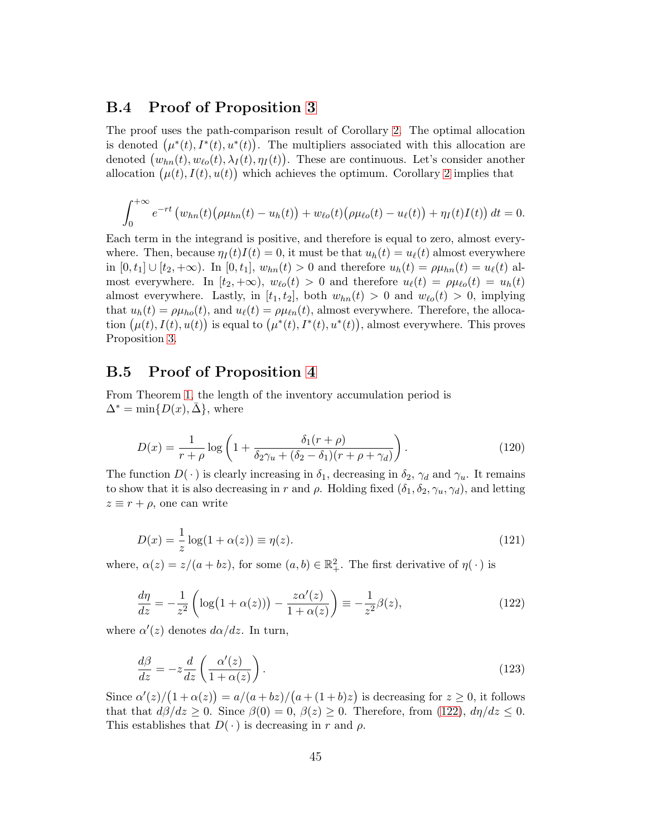### B.4 Proof of Proposition [3](#page-21-2)

The proof uses the path-comparison result of Corollary [2.](#page-58-1) The optimal allocation is denoted  $(\mu^*(t), I^*(t), u^*(t))$ . The multipliers associated with this allocation are denoted  $(w_{hn}(t), w_{lo}(t), \lambda_I(t), \eta_I(t))$ . These are continuous. Let's consider another allocation  $(\mu(t), I(t), u(t))$  which achieves the optimum. Corollary [2](#page-58-1) implies that

$$
\int_0^{+\infty} e^{-rt} \left( w_{hn}(t) \left( \rho \mu_{hn}(t) - u_h(t) \right) + w_{\ell o}(t) \left( \rho \mu_{\ell o}(t) - u_{\ell}(t) \right) + \eta_I(t) I(t) \right) dt = 0.
$$

Each term in the integrand is positive, and therefore is equal to zero, almost everywhere. Then, because  $\eta_I(t)I(t) = 0$ , it must be that  $u_h(t) = u_\ell(t)$  almost everywhere in  $[0, t_1] \cup [t_2, +\infty)$ . In  $[0, t_1]$ ,  $w_{hn}(t) > 0$  and therefore  $u_h(t) = \rho \mu_{hn}(t) = u_{\ell}(t)$  almost everywhere. In  $[t_2, +\infty)$ ,  $w_{\ell o}(t) > 0$  and therefore  $u_{\ell}(t) = \rho \mu_{\ell o}(t) = u_h(t)$ almost everywhere. Lastly, in  $[t_1, t_2]$ , both  $w_{hn}(t) > 0$  and  $w_{\ell o}(t) > 0$ , implying that  $u_h(t) = \rho \mu_{ho}(t)$ , and  $u_\ell(t) = \rho \mu_{\ell n}(t)$ , almost everywhere. Therefore, the allocation  $(\mu(t), I(t), u(t))$  is equal to  $(\mu^*(t), I^*(t), u^*(t))$ , almost everywhere. This proves Proposition [3.](#page-21-2)

## B.5 Proof of Proposition [4](#page-21-1)

From Theorem [1,](#page-20-0) the length of the inventory accumulation period is  $\Delta^* = \min\{D(x), \Delta\},\$  where

$$
D(x) = \frac{1}{r+\rho} \log \left( 1 + \frac{\delta_1(r+\rho)}{\delta_2 \gamma_u + (\delta_2 - \delta_1)(r+\rho + \gamma_d)} \right). \tag{120}
$$

The function  $D(\cdot)$  is clearly increasing in  $\delta_1$ , decreasing in  $\delta_2$ ,  $\gamma_d$  and  $\gamma_u$ . It remains to show that it is also decreasing in r and  $\rho$ . Holding fixed  $(\delta_1, \delta_2, \gamma_u, \gamma_d)$ , and letting  $z \equiv r + \rho$ , one can write

$$
D(x) = \frac{1}{z}\log(1 + \alpha(z)) \equiv \eta(z). \tag{121}
$$

<span id="page-44-0"></span>where,  $\alpha(z) = z/(a + bz)$ , for some  $(a, b) \in \mathbb{R}^2_+$ . The first derivative of  $\eta(\cdot)$  is

$$
\frac{d\eta}{dz} = -\frac{1}{z^2} \left( \log(1 + \alpha(z)) \right) - \frac{z\alpha'(z)}{1 + \alpha(z)} \right) \equiv -\frac{1}{z^2} \beta(z),\tag{122}
$$

where  $\alpha'(z)$  denotes  $d\alpha/dz$ . In turn,

$$
\frac{d\beta}{dz} = -z \frac{d}{dz} \left( \frac{\alpha'(z)}{1 + \alpha(z)} \right). \tag{123}
$$

Since  $\alpha'(z)/(1+\alpha(z)) = a/(a+bz)/(a+(1+b)z)$  is decreasing for  $z \ge 0$ , it follows that that  $d\beta/dz \ge 0$ . Since  $\beta(0) = 0$ ,  $\beta(z) \ge 0$ . Therefore, from [\(122\)](#page-44-0),  $d\eta/dz \le 0$ . This establishes that  $D(\cdot)$  is decreasing in r and  $\rho$ .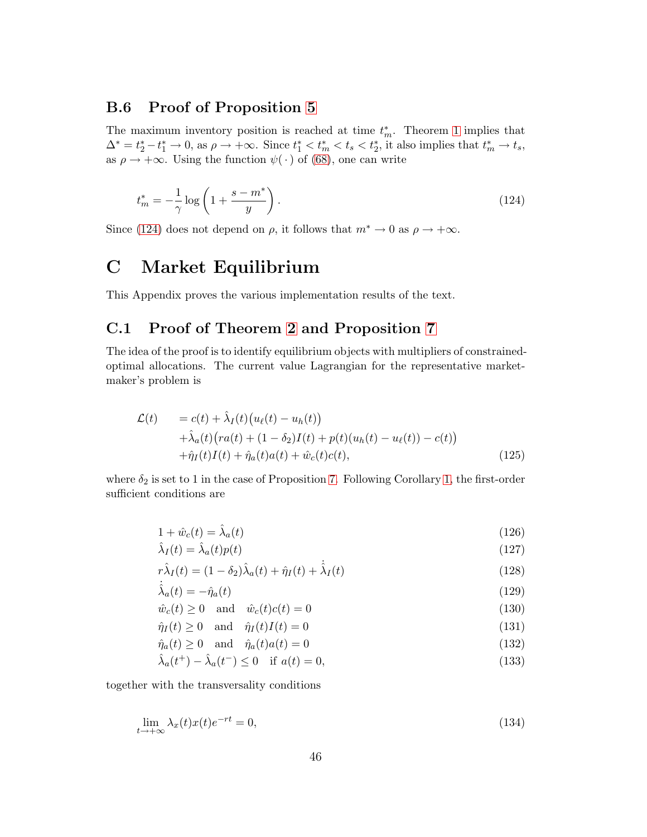## B.6 Proof of Proposition [5](#page-22-0)

<span id="page-45-0"></span>The maximum inventory position is reached at time  $t_m^*$ . Theorem [1](#page-20-0) implies that  $\Delta^* = t_2^* - t_1^* \to 0$ , as  $\rho \to +\infty$ . Since  $t_1^* < t_m^* < t_s < t_2^*$ , it also implies that  $t_m^* \to t_s$ , as  $\rho \rightarrow +\infty$ . Using the function  $\psi(\cdot)$  of [\(68\)](#page-36-0), one can write

$$
t_m^* = -\frac{1}{\gamma} \log \left( 1 + \frac{s - m^*}{y} \right). \tag{124}
$$

Since [\(124\)](#page-45-0) does not depend on  $\rho$ , it follows that  $m^* \to 0$  as  $\rho \to +\infty$ .

# C Market Equilibrium

This Appendix proves the various implementation results of the text.

## C.1 Proof of Theorem [2](#page-25-0) and Proposition [7](#page-29-0)

The idea of the proof is to identify equilibrium objects with multipliers of constrainedoptimal allocations. The current value Lagrangian for the representative marketmaker's problem is

$$
\mathcal{L}(t) = c(t) + \hat{\lambda}_I(t) (u_\ell(t) - u_h(t)) \n+ \hat{\lambda}_a(t) (ra(t) + (1 - \delta_2)I(t) + p(t)(u_h(t) - u_\ell(t)) - c(t)) \n+ \hat{\eta}_I(t)I(t) + \hat{\eta}_a(t)a(t) + \hat{w}_c(t)c(t),
$$
\n(125)

<span id="page-45-1"></span>where  $\delta_2$  is set to 1 in the case of Proposition [7.](#page-29-0) Following Corollary [1,](#page-57-0) the first-order sufficient conditions are

$$
1 + \hat{w}_c(t) = \hat{\lambda}_a(t) \tag{126}
$$

$$
\hat{\lambda}_I(t) = \hat{\lambda}_a(t)p(t) \tag{127}
$$

$$
r\hat{\lambda}_I(t) = (1 - \delta_2)\hat{\lambda}_a(t) + \hat{\eta}_I(t) + \dot{\hat{\lambda}}_I(t)
$$
\n(128)

$$
\dot{\hat{\lambda}}_a(t) = -\hat{\eta}_a(t) \tag{129}
$$

$$
\hat{w}_c(t) \ge 0 \quad \text{and} \quad \hat{w}_c(t)c(t) = 0 \tag{130}
$$

$$
\hat{\eta}_I(t) \ge 0 \quad \text{and} \quad \hat{\eta}_I(t)I(t) = 0 \tag{131}
$$

$$
\hat{\eta}_a(t) \ge 0 \quad \text{and} \quad \hat{\eta}_a(t)a(t) = 0 \tag{132}
$$

$$
\hat{\lambda}_a(t^+) - \hat{\lambda}_a(t^-) \le 0 \quad \text{if } a(t) = 0,
$$
\n
$$
(133)
$$

together with the transversality conditions

$$
\lim_{t \to +\infty} \lambda_x(t)x(t)e^{-rt} = 0,\tag{134}
$$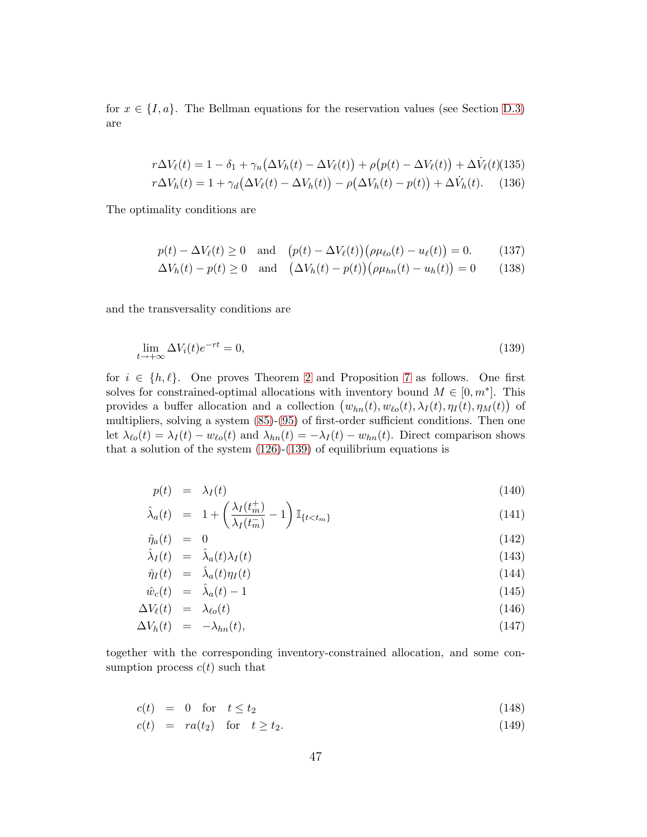for  $x \in \{I, a\}$ . The Bellman equations for the reservation values (see Section [D.3\)](#page-51-0) are

$$
r\Delta V_{\ell}(t) = 1 - \delta_1 + \gamma_u(\Delta V_h(t) - \Delta V_{\ell}(t)) + \rho(p(t) - \Delta V_{\ell}(t)) + \Delta V_{\ell}(t)(135)
$$
  

$$
r\Delta V_h(t) = 1 + \gamma_d(\Delta V_{\ell}(t) - \Delta V_h(t)) - \rho(\Delta V_h(t) - p(t)) + \Delta V_h(t). \quad (136)
$$

The optimality conditions are

$$
p(t) - \Delta V_{\ell}(t) \ge 0 \quad \text{and} \quad \left(p(t) - \Delta V_{\ell}(t)\right)\left(\rho \mu_{\ell o}(t) - u_{\ell}(t)\right) = 0. \tag{137}
$$

$$
\Delta V_h(t) - p(t) \ge 0 \quad \text{and} \quad \left(\Delta V_h(t) - p(t)\right) \left(\rho \mu_{hn}(t) - u_h(t)\right) = 0 \tag{138}
$$

<span id="page-46-0"></span>and the transversality conditions are

$$
\lim_{t \to +\infty} \Delta V_i(t) e^{-rt} = 0,\tag{139}
$$

for  $i \in \{h, \ell\}$ . One proves Theorem [2](#page-25-0) and Proposition [7](#page-29-0) as follows. One first solves for constrained-optimal allocations with inventory bound  $M \in [0, m^*]$ . This provides a buffer allocation and a collection  $(w_{hn}(t), w_{\ell o}(t), \lambda_I(t), \eta_I(t), \eta_M(t))$  of multipliers, solving a system [\(85\)](#page-39-1)-[\(95\)](#page-40-4) of first-order sufficient conditions. Then one let  $\lambda_{\ell o}(t) = \lambda_I(t) - w_{\ell o}(t)$  and  $\lambda_{hn}(t) = -\lambda_I(t) - w_{hn}(t)$ . Direct comparison shows that a solution of the system  $(126)-(139)$  $(126)-(139)$  $(126)-(139)$  of equilibrium equations is

$$
p(t) = \lambda_I(t) \tag{140}
$$

$$
\hat{\lambda}_a(t) = 1 + \left(\frac{\lambda_I(t_m^+)}{\lambda_I(t_m^-)} - 1\right) \mathbb{I}_{\{t < t_m\}}\n\tag{141}
$$

$$
\hat{\eta}_a(t) = 0 \tag{142}
$$

$$
\hat{\lambda}_I(t) = \hat{\lambda}_a(t)\lambda_I(t) \tag{143}
$$
\n
$$
\hat{\lambda}_a(t) = \hat{\lambda}_a(t)\lambda_I(t) \tag{144}
$$

$$
\hat{\eta}_I(t) = \lambda_a(t)\eta_I(t) \tag{144}
$$
\n
$$
\hat{\eta}_I(t) = \hat{\lambda}_I(t) \quad 1 \tag{145}
$$

$$
\hat{w}_c(t) = \lambda_a(t) - 1 \tag{145}
$$

$$
\Delta V_{\ell}(t) = \lambda_{\ell o}(t) \tag{146}
$$

$$
\Delta V_h(t) = -\lambda_{hn}(t), \qquad (147)
$$

together with the corresponding inventory-constrained allocation, and some consumption process  $c(t)$  such that

$$
c(t) = 0 \quad \text{for} \quad t \le t_2 \tag{148}
$$

$$
c(t) = ra(t_2) \quad \text{for} \quad t \ge t_2. \tag{149}
$$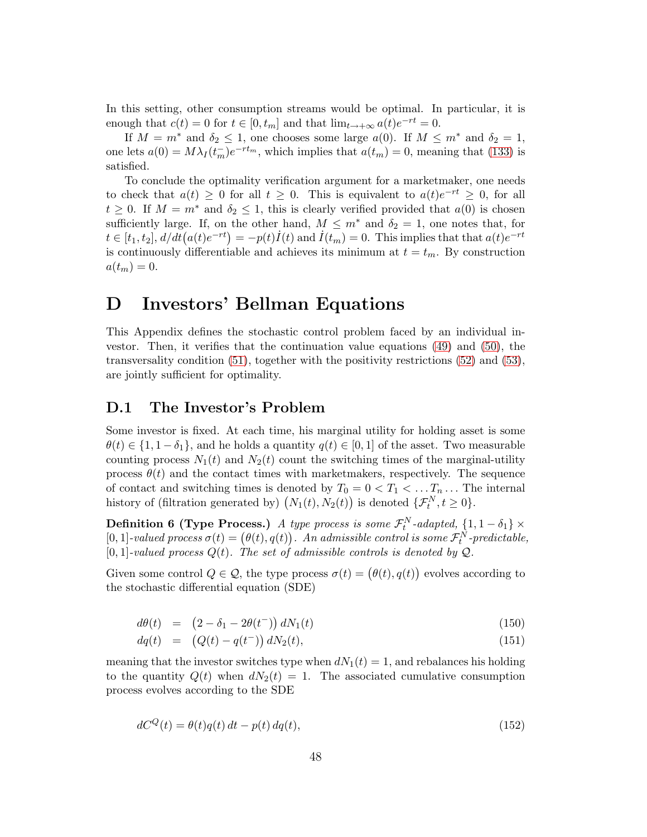In this setting, other consumption streams would be optimal. In particular, it is enough that  $c(t) = 0$  for  $t \in [0, t_m]$  and that  $\lim_{t \to +\infty} a(t)e^{-rt} = 0$ .

If  $M = m^*$  and  $\delta_2 \leq 1$ , one chooses some large  $a(0)$ . If  $M \leq m^*$  and  $\delta_2 = 1$ , one lets  $a(0) = M\lambda_I(t_m^-)e^{-rt_m}$ , which implies that  $a(t_m) = 0$ , meaning that [\(133\)](#page-45-1) is satisfied.

To conclude the optimality verification argument for a marketmaker, one needs to check that  $a(t) \geq 0$  for all  $t \geq 0$ . This is equivalent to  $a(t)e^{-rt} \geq 0$ , for all  $t \geq 0$ . If  $M = m^*$  and  $\delta_2 \leq 1$ , this is clearly verified provided that  $a(0)$  is chosen sufficiently large. If, on the other hand,  $M \leq m^*$  and  $\delta_2 = 1$ , one notes that, for  $t \in [t_1, t_2], d/dt (a(t)e^{-rt}) = -p(t)\dot{I}(t)$  and  $\dot{I}(t_m) = 0$ . This implies that that  $a(t)e^{-rt}$ is continuously differentiable and achieves its minimum at  $t = t_m$ . By construction  $a(t_m) = 0.$ 

# <span id="page-47-0"></span>D Investors' Bellman Equations

This Appendix defines the stochastic control problem faced by an individual investor. Then, it verifies that the continuation value equations [\(49\)](#page-24-1) and [\(50\)](#page-24-2), the transversality condition [\(51\)](#page-25-1), together with the positivity restrictions [\(52\)](#page-25-2) and [\(53\)](#page-25-2), are jointly sufficient for optimality.

## D.1 The Investor's Problem

Some investor is fixed. At each time, his marginal utility for holding asset is some  $\theta(t) \in \{1, 1 - \delta_1\}$ , and he holds a quantity  $q(t) \in [0, 1]$  of the asset. Two measurable counting process  $N_1(t)$  and  $N_2(t)$  count the switching times of the marginal-utility process  $\theta(t)$  and the contact times with marketmakers, respectively. The sequence of contact and switching times is denoted by  $T_0 = 0 < T_1 < \dots T_n$ ... The internal history of (filtration generated by)  $(N_1(t), N_2(t))$  is denoted  $\{\mathcal{F}_t^N, t \geq 0\}$ .

**Definition 6 (Type Process.)** A type process is some  $\mathcal{F}_t^N$ -adapted,  $\{1, 1 - \delta_1\} \times$ [0, 1]-valued process  $\sigma(t) = (\theta(t), q(t))$ . An admissible control is some  $\mathcal{F}_t^N$ -predictable,  $[0, 1]$ -valued process  $Q(t)$ . The set of admissible controls is denoted by  $Q$ .

Given some control  $Q \in \mathcal{Q}$ , the type process  $\sigma(t) = (\theta(t), q(t))$  evolves according to the stochastic differential equation (SDE)

$$
d\theta(t) = \left(2 - \delta_1 - 2\theta(t^{-})\right)dN_1(t) \tag{150}
$$

$$
dq(t) = (Q(t) - q(t^{-})) dN_2(t), \qquad (151)
$$

meaning that the investor switches type when  $dN_1(t) = 1$ , and rebalances his holding to the quantity  $Q(t)$  when  $dN_2(t) = 1$ . The associated cumulative consumption process evolves according to the SDE

$$
dC^{Q}(t) = \theta(t)q(t) dt - p(t) dq(t),
$$
\n(152)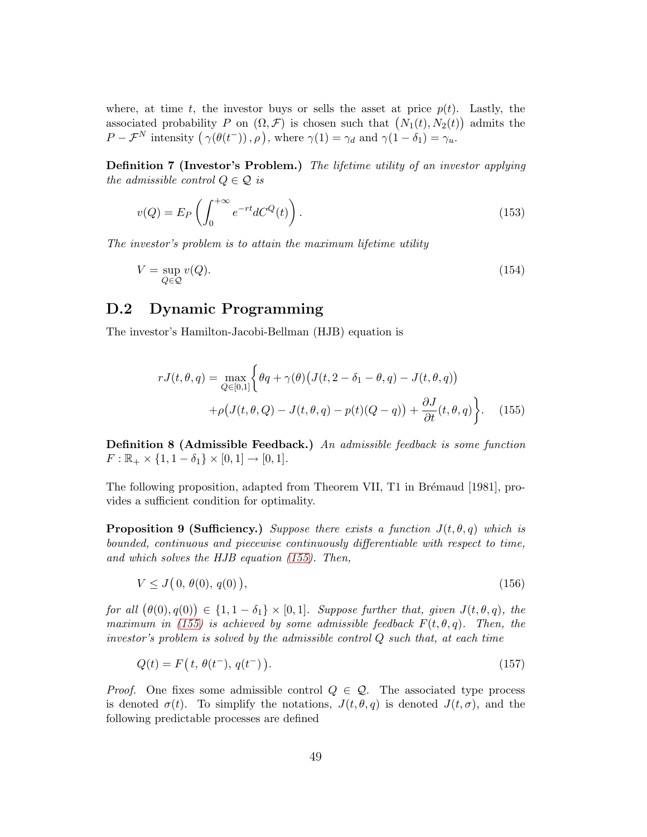where, at time t, the investor buys or sells the asset at price  $p(t)$ . Lastly, the associated probability P on  $(\Omega, \mathcal{F})$  is chosen such that  $(N_1(t), N_2(t))$  admits the  $P - \mathcal{F}^N$  intensity  $(\gamma(\theta(t^{-})), \rho),$  where  $\gamma(1) = \gamma_d$  and  $\gamma(1 - \delta_1) = \gamma_u$ .

Definition 7 (Investor's Problem.) The lifetime utility of an investor applying the admissible control  $Q \in \mathcal{Q}$  is

$$
v(Q) = E_P \left( \int_0^{+\infty} e^{-rt} dC^Q(t) \right). \tag{153}
$$

The investor's problem is to attain the maximum lifetime utility

$$
V = \sup_{Q \in \mathcal{Q}} v(Q). \tag{154}
$$

## D.2 Dynamic Programming

<span id="page-48-0"></span>The investor's Hamilton-Jacobi-Bellman (HJB) equation is

$$
rJ(t, \theta, q) = \max_{Q \in [0,1]} \left\{ \theta q + \gamma(\theta) \left( J(t, 2 - \delta_1 - \theta, q) - J(t, \theta, q) \right) + \rho \left( J(t, \theta, Q) - J(t, \theta, q) - p(t) (Q - q) \right) + \frac{\partial J}{\partial t}(t, \theta, q) \right\}.
$$
 (155)

Definition 8 (Admissible Feedback.) An admissible feedback is some function  $F: \mathbb{R}_+ \times \{1, 1 - \delta_1\} \times [0, 1] \rightarrow [0, 1].$ 

The following proposition, adapted from Theorem VII, T1 in Brémaud [1981], provides a sufficient condition for optimality.

**Proposition 9 (Sufficiency.)** Suppose there exists a function  $J(t, \theta, q)$  which is bounded, continuous and piecewise continuously differentiable with respect to time, and which solves the HJB equation [\(155\)](#page-48-0). Then,

$$
V \le J(0, \theta(0), q(0)), \tag{156}
$$

for all  $(\theta(0), q(0)) \in \{1, 1 - \delta_1\} \times [0, 1]$ . Suppose further that, given  $J(t, \theta, q)$ , the maximum in [\(155\)](#page-48-0) is achieved by some admissible feedback  $F(t, \theta, q)$ . Then, the investor's problem is solved by the admissible control  $Q$  such that, at each time

$$
Q(t) = F(t, \theta(t^-), q(t^-)).
$$
\n(157)

*Proof.* One fixes some admissible control  $Q \in \mathcal{Q}$ . The associated type process is denoted  $\sigma(t)$ . To simplify the notations,  $J(t, \theta, q)$  is denoted  $J(t, \sigma)$ , and the following predictable processes are defined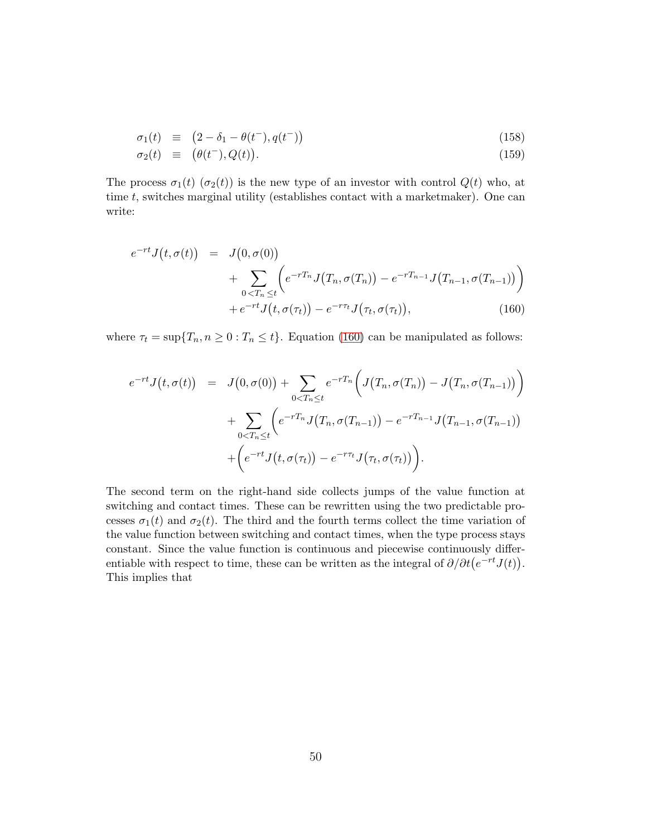$$
\sigma_1(t) \equiv (2 - \delta_1 - \theta(t^-), q(t^-)) \tag{158}
$$

$$
\sigma_2(t) \equiv (\theta(t^-), Q(t)). \tag{159}
$$

The process  $\sigma_1(t)$  ( $\sigma_2(t)$ ) is the new type of an investor with control  $Q(t)$  who, at time  $t$ , switches marginal utility (establishes contact with a marketmaker). One can write:

<span id="page-49-0"></span>
$$
e^{-rt}J(t,\sigma(t)) = J(0,\sigma(0)) + \sum_{0 < T_n \le t} \left( e^{-rT_n} J(T_n, \sigma(T_n)) - e^{-rT_{n-1}} J(T_{n-1}, \sigma(T_{n-1})) \right) + e^{-rt} J(t, \sigma(\tau_t)) - e^{-r\tau_t} J(\tau_t, \sigma(\tau_t)), \qquad (160)
$$

where  $\tau_t = \sup\{T_n, n \geq 0 : T_n \leq t\}$ . Equation [\(160\)](#page-49-0) can be manipulated as follows:

$$
e^{-rt}J(t,\sigma(t)) = J(0,\sigma(0)) + \sum_{0 < T_n \le t} e^{-rT_n} \Big( J(T_n, \sigma(T_n)) - J(T_n, \sigma(T_{n-1})) \Big) + \sum_{0 < T_n \le t} \Big( e^{-rT_n} J(T_n, \sigma(T_{n-1})) - e^{-rT_{n-1}} J(T_{n-1}, \sigma(T_{n-1})) + \Big( e^{-rt} J(t, \sigma(\tau_t)) - e^{-r\tau_t} J(\tau_t, \sigma(\tau_t)) \Big).
$$

The second term on the right-hand side collects jumps of the value function at switching and contact times. These can be rewritten using the two predictable processes  $\sigma_1(t)$  and  $\sigma_2(t)$ . The third and the fourth terms collect the time variation of the value function between switching and contact times, when the type process stays constant. Since the value function is continuous and piecewise continuously differentiable with respect to time, these can be written as the integral of  $\partial/\partial t (e^{-rt}J(t))$ . This implies that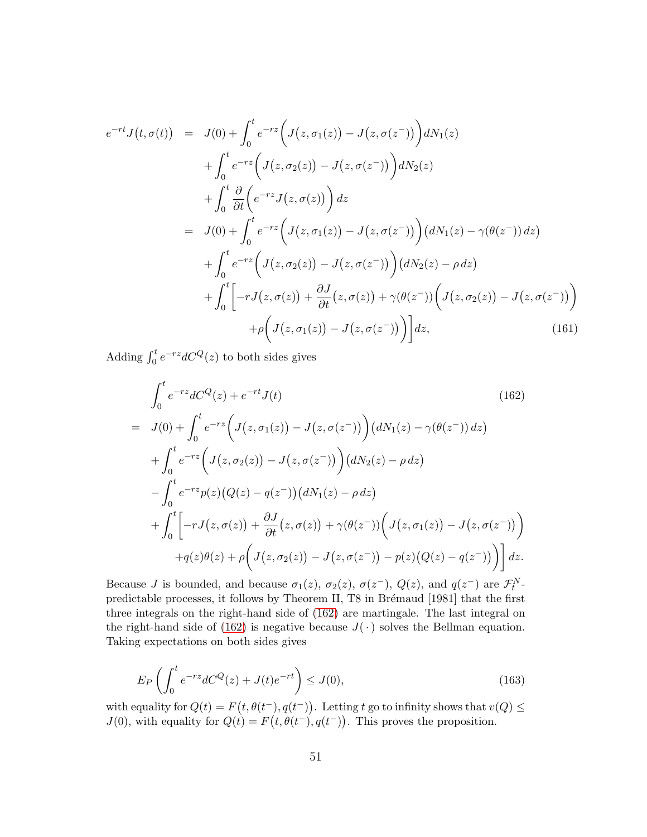$$
e^{-rt}J(t,\sigma(t)) = J(0) + \int_0^t e^{-rz} \Big( J(z,\sigma_1(z)) - J(z,\sigma(z^-)) \Big) dN_1(z)
$$
  
+ 
$$
\int_0^t e^{-rz} \Big( J(z,\sigma_2(z)) - J(z,\sigma(z^-)) \Big) dN_2(z)
$$
  
+ 
$$
\int_0^t \frac{\partial}{\partial t} \Big( e^{-rz} J(z,\sigma(z)) \Big) dz
$$
  
= 
$$
J(0) + \int_0^t e^{-rz} \Big( J(z,\sigma_1(z)) - J(z,\sigma(z^-)) \Big) (dN_1(z) - \gamma(\theta(z^-)) dz)
$$
  
+ 
$$
\int_0^t e^{-rz} \Big( J(z,\sigma_2(z)) - J(z,\sigma(z^-)) \Big) (dN_2(z) - \rho dz)
$$
  
+ 
$$
\int_0^t \Big[ -rJ(z,\sigma(z)) + \frac{\partial J}{\partial t} (z,\sigma(z)) + \gamma(\theta(z^-)) \Big( J(z,\sigma_2(z)) - J(z,\sigma(z^-)) \Big) + \rho \Big( J(z,\sigma_1(z)) - J(z,\sigma(z^-)) \Big) \Big] dz,
$$
 (161)

<span id="page-50-0"></span>Adding  $\int_0^t e^{-rz} dC^Q(z)$  to both sides gives

$$
\int_{0}^{t} e^{-rz} dC^{Q}(z) + e^{-rt} J(t)
$$
\n
$$
= J(0) + \int_{0}^{t} e^{-rz} \Big( J(z, \sigma_{1}(z)) - J(z, \sigma(z^{-})) \Big) (dN_{1}(z) - \gamma(\theta(z^{-})) dz)
$$
\n
$$
+ \int_{0}^{t} e^{-rz} \Big( J(z, \sigma_{2}(z)) - J(z, \sigma(z^{-})) \Big) (dN_{2}(z) - \rho dz)
$$
\n
$$
- \int_{0}^{t} e^{-rz} p(z) (Q(z) - q(z^{-})) (dN_{1}(z) - \rho dz)
$$
\n
$$
+ \int_{0}^{t} \Big[ -r J(z, \sigma(z)) + \frac{\partial J}{\partial t}(z, \sigma(z)) + \gamma(\theta(z^{-})) \Big( J(z, \sigma_{1}(z)) - J(z, \sigma(z^{-})) \Big) \Big) + q(z) \theta(z) + \rho \Big( J(z, \sigma_{2}(z)) - J(z, \sigma(z^{-})) - p(z) (Q(z) - q(z^{-})) \Big) \Big] dz.
$$
\n(162)

Because *J* is bounded, and because  $\sigma_1(z)$ ,  $\sigma_2(z)$ ,  $\sigma(z^-)$ ,  $Q(z)$ , and  $q(z^-)$  are  $\mathcal{F}_t^N$ predictable processes, it follows by Theorem II, T8 in Brémaud [1981] that the first three integrals on the right-hand side of [\(162\)](#page-50-0) are martingale. The last integral on the right-hand side of [\(162\)](#page-50-0) is negative because  $J(\cdot)$  solves the Bellman equation. Taking expectations on both sides gives

$$
E_P\left(\int_0^t e^{-rz} dC^Q(z) + J(t)e^{-rt}\right) \le J(0),\tag{163}
$$

with equality for  $Q(t) = F(t, \theta(t^{-}), q(t^{-}))$ . Letting t go to infinity shows that  $v(Q) \le$  $J(0)$ , with equality for  $Q(t) = F(t, \theta(t^{-}), q(t^{-}))$ . This proves the proposition.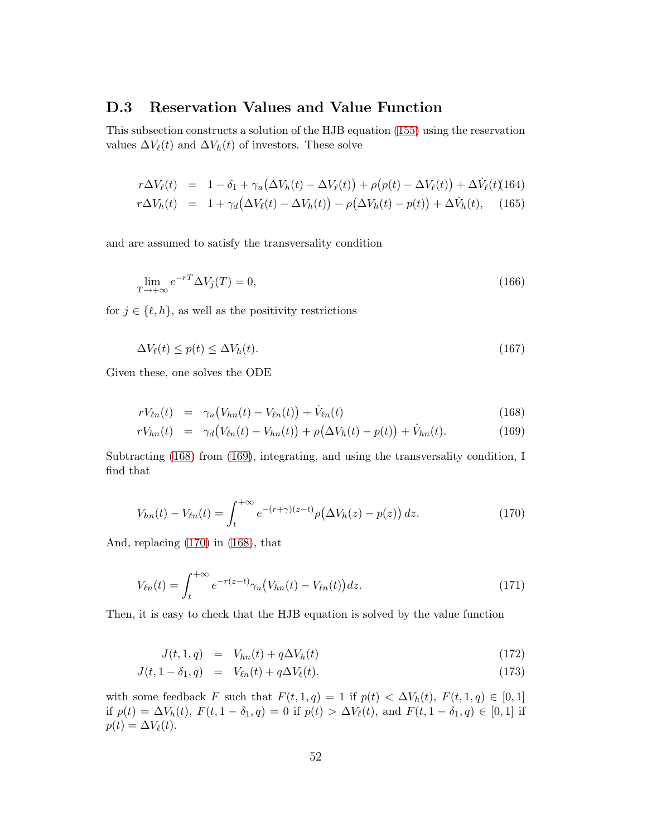## <span id="page-51-0"></span>D.3 Reservation Values and Value Function

This subsection constructs a solution of the HJB equation [\(155\)](#page-48-0) using the reservation values  $\Delta V_{\ell}(t)$  and  $\Delta V_{h}(t)$  of investors. These solve

$$
r\Delta V_{\ell}(t) = 1 - \delta_1 + \gamma_u(\Delta V_h(t) - \Delta V_{\ell}(t)) + \rho(p(t) - \Delta V_{\ell}(t)) + \Delta V_{\ell}(t)
$$
  
\n
$$
r\Delta V_h(t) = 1 + \gamma_d(\Delta V_{\ell}(t) - \Delta V_h(t)) - \rho(\Delta V_h(t) - p(t)) + \Delta V_h(t), \quad (165)
$$

and are assumed to satisfy the transversality condition

$$
\lim_{T \to +\infty} e^{-r} \Delta V_j(T) = 0,\tag{166}
$$

for  $j \in \{\ell, h\}$ , as well as the positivity restrictions

$$
\Delta V_{\ell}(t) \le p(t) \le \Delta V_h(t). \tag{167}
$$

<span id="page-51-1"></span>Given these, one solves the ODE

$$
rV_{\ell n}(t) = \gamma_u \big(V_{h n}(t) - V_{\ell n}(t)\big) + \dot{V}_{\ell n}(t) \tag{168}
$$

$$
rV_{hn}(t) = \gamma_d (V_{\ell n}(t) - V_{hn}(t)) + \rho (\Delta V_h(t) - p(t)) + V_{hn}(t).
$$
 (169)

<span id="page-51-2"></span>Subtracting [\(168\)](#page-51-1) from [\(169\)](#page-51-1), integrating, and using the transversality condition, I find that

$$
V_{hn}(t) - V_{\ell n}(t) = \int_{t}^{+\infty} e^{-(r+\gamma)(z-t)} \rho(\Delta V_h(z) - p(z)) dz.
$$
 (170)

And, replacing [\(170\)](#page-51-2) in [\(168\)](#page-51-1), that

$$
V_{\ell n}(t) = \int_{t}^{+\infty} e^{-r(z-t)} \gamma_u (V_{hn}(t) - V_{\ell n}(t)) dz.
$$
 (171)

Then, it is easy to check that the HJB equation is solved by the value function

$$
J(t, 1, q) = V_{hn}(t) + q\Delta V_h(t)
$$
\n(172)

$$
J(t, 1 - \delta_1, q) = V_{\ell n}(t) + q \Delta V_{\ell}(t).
$$
 (173)

with some feedback F such that  $F(t, 1, q) = 1$  if  $p(t) < \Delta V_h(t)$ ,  $F(t, 1, q) \in [0, 1]$ if  $p(t) = \Delta V_h(t)$ ,  $F(t, 1 - \delta_1, q) = 0$  if  $p(t) > \Delta V_{\ell}(t)$ , and  $F(t, 1 - \delta_1, q) \in [0, 1]$  if  $p(t) = \Delta V_{\ell}(t).$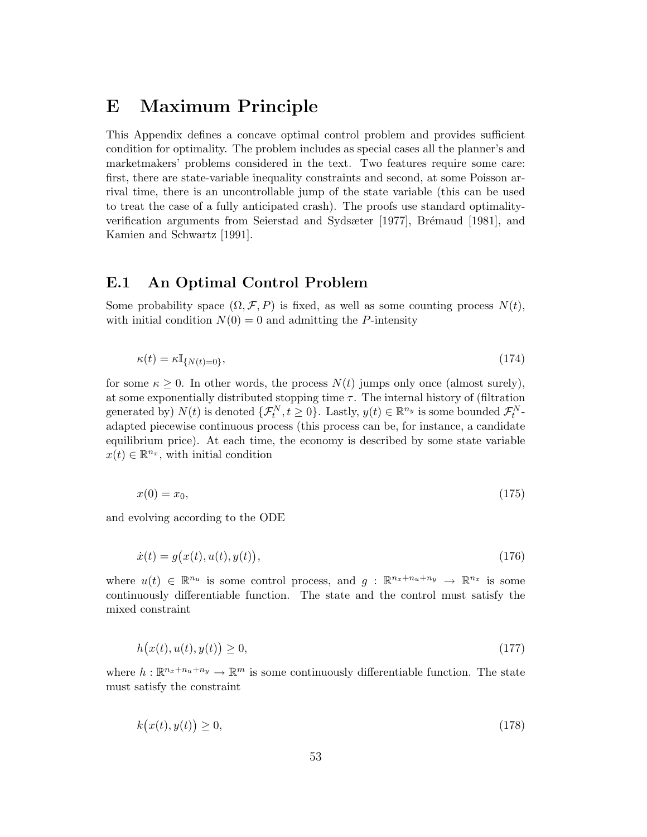## <span id="page-52-0"></span>E Maximum Principle

This Appendix defines a concave optimal control problem and provides sufficient condition for optimality. The problem includes as special cases all the planner's and marketmakers' problems considered in the text. Two features require some care: first, there are state-variable inequality constraints and second, at some Poisson arrival time, there is an uncontrollable jump of the state variable (this can be used to treat the case of a fully anticipated crash). The proofs use standard optimalityverification arguments from Seierstad and Sydsæter [1977], Brémaud [1981], and Kamien and Schwartz [1991].

## E.1 An Optimal Control Problem

Some probability space  $(\Omega, \mathcal{F}, P)$  is fixed, as well as some counting process  $N(t)$ , with initial condition  $N(0) = 0$  and admitting the P-intensity

$$
\kappa(t) = \kappa \mathbb{I}_{\{N(t) = 0\}},\tag{174}
$$

for some  $\kappa \geq 0$ . In other words, the process  $N(t)$  jumps only once (almost surely), at some exponentially distributed stopping time  $\tau$ . The internal history of (filtration generated by)  $N(t)$  is denoted  $\{\mathcal{F}_t^N, t \geq 0\}$ . Lastly,  $y(t) \in \mathbb{R}^{n_y}$  is some bounded  $\mathcal{F}_t^N$ adapted piecewise continuous process (this process can be, for instance, a candidate equilibrium price). At each time, the economy is described by some state variable  $x(t) \in \mathbb{R}^{n_x}$ , with initial condition

$$
x(0) = x_0,\t\t(175)
$$

<span id="page-52-1"></span>and evolving according to the ODE

$$
\dot{x}(t) = g(x(t), u(t), y(t)),
$$
\n(176)

where  $u(t) \in \mathbb{R}^{n_u}$  is some control process, and  $g: \mathbb{R}^{n_x+n_u+n_y} \to \mathbb{R}^{n_x}$  is some continuously differentiable function. The state and the control must satisfy the mixed constraint

$$
h\big(x(t), u(t), y(t)\big) \ge 0,\tag{177}
$$

where  $h: \mathbb{R}^{n_x+n_u+n_y} \to \mathbb{R}^m$  is some continuously differentiable function. The state must satisfy the constraint

$$
k(x(t), y(t)) \ge 0,\tag{178}
$$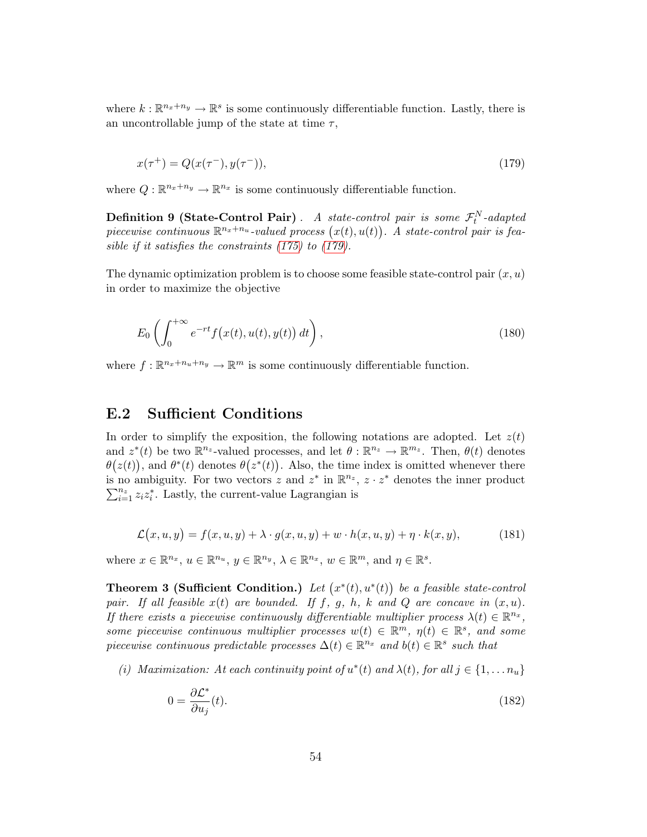<span id="page-53-1"></span>where  $k: \mathbb{R}^{n_x+n_y} \to \mathbb{R}^s$  is some continuously differentiable function. Lastly, there is an uncontrollable jump of the state at time  $\tau$ ,

$$
x(\tau^+) = Q(x(\tau^-), y(\tau^-)),\tag{179}
$$

where  $Q: \mathbb{R}^{n_x+n_y} \to \mathbb{R}^{n_x}$  is some continuously differentiable function.

**Definition 9 (State-Control Pair)**. A state-control pair is some  $\mathcal{F}_t^N$ -adapted piecewise continuous  $\mathbb{R}^{n_x+n_u}$ -valued process  $(x(t), u(t))$ . A state-control pair is feasible if it satisfies the constraints [\(175\)](#page-52-1) to [\(179\)](#page-53-1).

The dynamic optimization problem is to choose some feasible state-control pair  $(x, u)$ in order to maximize the objective

$$
E_0\left(\int_0^{+\infty} e^{-rt} f(x(t), u(t), y(t)) dt\right),\tag{180}
$$

where  $f: \mathbb{R}^{n_x+n_u+n_y} \to \mathbb{R}^m$  is some continuously differentiable function.

## E.2 Sufficient Conditions

In order to simplify the exposition, the following notations are adopted. Let  $z(t)$ and  $z^*(t)$  be two  $\mathbb{R}^{n_z}$ -valued processes, and let  $\theta : \mathbb{R}^{n_z} \to \mathbb{R}^{m_z}$ . Then,  $\theta(t)$  denotes  $\theta(z(t))$ , and  $\theta^*(t)$  denotes  $\theta(z^*(t))$ . Also, the time index is omitted whenever there is no ambiguity. For two vectors z and  $z^*$  in  $\mathbb{R}^{n_z}$ ,  $z \cdot z^*$  denotes the inner product  $\sum_{i=1}^{n_z} z_i z_i^*$ . Lastly, the current-value Lagrangian is

$$
\mathcal{L}(x, u, y) = f(x, u, y) + \lambda \cdot g(x, u, y) + w \cdot h(x, u, y) + \eta \cdot k(x, y), \tag{181}
$$

<span id="page-53-0"></span>where  $x \in \mathbb{R}^{n_x}$ ,  $u \in \mathbb{R}^{n_u}$ ,  $y \in \mathbb{R}^{n_y}$ ,  $\lambda \in \mathbb{R}^{n_x}$ ,  $w \in \mathbb{R}^m$ , and  $\eta \in \mathbb{R}^s$ .

**Theorem 3 (Sufficient Condition.)** Let  $(x^*(t), u^*(t))$  be a feasible state-control pair. If all feasible  $x(t)$  are bounded. If f, g, h, k and Q are concave in  $(x, u)$ . If there exists a piecewise continuously differentiable multiplier process  $\lambda(t) \in \mathbb{R}^{n_x}$ , some piecewise continuous multiplier processes  $w(t) \in \mathbb{R}^m$ ,  $\eta(t) \in \mathbb{R}^s$ , and some piecewise continuous predictable processes  $\Delta(t) \in \mathbb{R}^{n_x}$  and  $b(t) \in \mathbb{R}^s$  such that

(i) Maximization: At each continuity point of  $u^*(t)$  and  $\lambda(t)$ , for all  $j \in \{1, \ldots n_u\}$ 

<span id="page-53-2"></span>
$$
0 = \frac{\partial \mathcal{L}^*}{\partial u_j}(t). \tag{182}
$$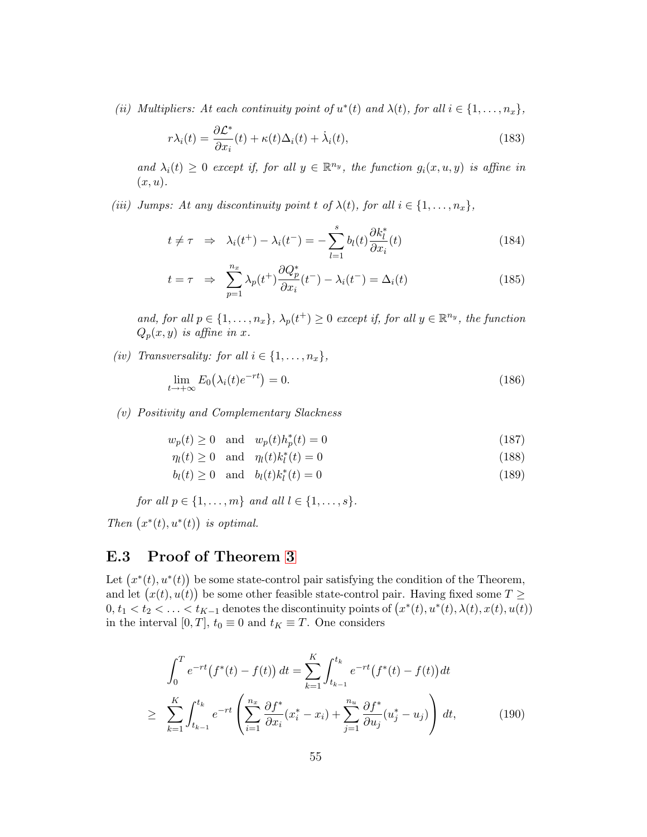(ii) Multipliers: At each continuity point of  $u^*(t)$  and  $\lambda(t)$ , for all  $i \in \{1, \ldots, n_x\}$ ,

<span id="page-54-0"></span>
$$
r\lambda_i(t) = \frac{\partial \mathcal{L}^*}{\partial x_i}(t) + \kappa(t)\Delta_i(t) + \dot{\lambda}_i(t),
$$
\n(183)

and  $\lambda_i(t) \geq 0$  except if, for all  $y \in \mathbb{R}^{n_y}$ , the function  $g_i(x, u, y)$  is affine in  $(x, u)$ .

<span id="page-54-3"></span>(iii) Jumps: At any discontinuity point t of  $\lambda(t)$ , for all  $i \in \{1, \ldots, n_x\}$ ,

$$
t \neq \tau \quad \Rightarrow \quad \lambda_i(t^+) - \lambda_i(t^-) = -\sum_{l=1}^s b_l(t) \frac{\partial k_l^*}{\partial x_i}(t) \tag{184}
$$

$$
t = \tau \quad \Rightarrow \quad \sum_{p=1}^{n_x} \lambda_p(t^+) \frac{\partial Q_p^*}{\partial x_i}(t^-) - \lambda_i(t^-) = \Delta_i(t) \tag{185}
$$

and, for all  $p \in \{1, ..., n_x\}$ ,  $\lambda_p(t^+) \geq 0$  except if, for all  $y \in \mathbb{R}^{n_y}$ , the function  $Q_p(x, y)$  is affine in x.

(iv) Transversality: for all  $i \in \{1, \ldots, n_x\},\$ 

<span id="page-54-4"></span>
$$
\lim_{t \to +\infty} E_0(\lambda_i(t)e^{-rt}) = 0.
$$
\n(186)

<span id="page-54-2"></span>(v) Positivity and Complementary Slackness

$$
w_p(t) \ge 0 \quad \text{and} \quad w_p(t)h_p^*(t) = 0 \tag{187}
$$

$$
\eta_l(t) \ge 0 \quad \text{and} \quad \eta_l(t) k_l^*(t) = 0 \tag{188}
$$

$$
b_l(t) \ge 0 \quad \text{and} \quad b_l(t)k_l^*(t) = 0 \tag{189}
$$

for all 
$$
p \in \{1, ..., m\}
$$
 and all  $l \in \{1, ..., s\}$ .

Then  $(x^*(t), u^*(t))$  is optimal.

## E.3 Proof of Theorem [3](#page-53-0)

Let  $(x^*(t), u^*(t))$  be some state-control pair satisfying the condition of the Theorem, and let  $(x(t), u(t))$  be some other feasible state-control pair. Having fixed some  $T \geq$  $0, t_1 < t_2 < \ldots < t_{K-1}$  denotes the discontinuity points of  $(x^*(t), u^*(t), \lambda(t), x(t), u(t))$ in the interval  $[0, T], t_0 \equiv 0$  and  $t_K \equiv T$ . One considers

<span id="page-54-1"></span>
$$
\int_0^T e^{-rt} (f^*(t) - f(t)) dt = \sum_{k=1}^K \int_{t_{k-1}}^{t_k} e^{-rt} (f^*(t) - f(t)) dt
$$
  
\n
$$
\geq \sum_{k=1}^K \int_{t_{k-1}}^{t_k} e^{-rt} \left( \sum_{i=1}^{n_x} \frac{\partial f^*(t_i - x_i)}{\partial x_i} + \sum_{j=1}^{n_u} \frac{\partial f^*(t_j - x_j)}{\partial x_j} \right) dt, \tag{190}
$$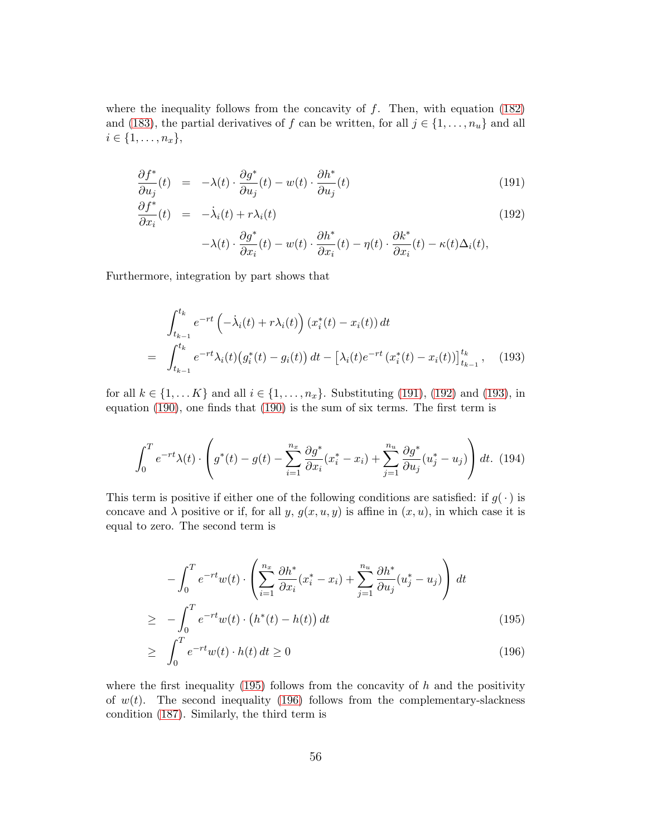where the inequality follows from the concavity of  $f$ . Then, with equation [\(182\)](#page-53-2) and [\(183\)](#page-54-0), the partial derivatives of f can be written, for all  $j \in \{1, \ldots, n_u\}$  and all  $i \in \{1, \ldots, n_x\},\$ 

<span id="page-55-0"></span>
$$
\frac{\partial f^*}{\partial u_j}(t) = -\lambda(t) \cdot \frac{\partial g^*}{\partial u_j}(t) - w(t) \cdot \frac{\partial h^*}{\partial u_j}(t)
$$
\n(191)

$$
\frac{\partial f^*}{\partial x_i}(t) = -\dot{\lambda}_i(t) + r\lambda_i(t) \tag{192}
$$
\n
$$
-\lambda(t) \cdot \frac{\partial g^*}{\partial x_i}(t) - w(t) \cdot \frac{\partial h^*}{\partial x_i}(t) - \eta(t) \cdot \frac{\partial k^*}{\partial x_i}(t) - \kappa(t)\Delta_i(t),
$$

<span id="page-55-1"></span>Furthermore, integration by part shows that

$$
\int_{t_{k-1}}^{t_k} e^{-rt} \left( -\dot{\lambda}_i(t) + r\lambda_i(t) \right) (x_i^*(t) - x_i(t)) dt
$$
\n
$$
= \int_{t_{k-1}}^{t_k} e^{-rt} \lambda_i(t) (g_i^*(t) - g_i(t)) dt - \left[ \lambda_i(t) e^{-rt} (x_i^*(t) - x_i(t)) \right]_{t_{k-1}}^{t_k}, \quad (193)
$$

for all  $k \in \{1, ..., K\}$  and all  $i \in \{1, ..., n_x\}$ . Substituting [\(191\)](#page-55-0), [\(192\)](#page-55-0) and [\(193\)](#page-55-1), in equation [\(190\)](#page-54-1), one finds that [\(190\)](#page-54-1) is the sum of six terms. The first term is

$$
\int_0^T e^{-rt} \lambda(t) \cdot \left( g^*(t) - g(t) - \sum_{i=1}^{n_x} \frac{\partial g^*}{\partial x_i} (x_i^* - x_i) + \sum_{j=1}^{n_u} \frac{\partial g^*}{\partial u_j} (u_j^* - u_j) \right) dt. \tag{194}
$$

This term is positive if either one of the following conditions are satisfied: if  $g(\cdot)$  is concave and  $\lambda$  positive or if, for all y,  $g(x, u, y)$  is affine in  $(x, u)$ , in which case it is equal to zero. The second term is

<span id="page-55-2"></span>
$$
-\int_0^T e^{-rt}w(t) \cdot \left(\sum_{i=1}^{n_x} \frac{\partial h^*}{\partial x_i}(x_i^* - x_i) + \sum_{j=1}^{n_u} \frac{\partial h^*}{\partial u_j}(u_j^* - u_j)\right) dt
$$
  
\n
$$
\geq -\int_0^T e^{-rt}w(t) \cdot \left(h^*(t) - h(t)\right) dt
$$
  
\n
$$
\geq \int_0^T e^{-rt}w(t) \cdot h(t) dt \geq 0
$$
\n(196)

where the first inequality [\(195\)](#page-55-2) follows from the concavity of  $h$  and the positivity of  $w(t)$ . The second inequality [\(196\)](#page-55-2) follows from the complementary-slackness condition [\(187\)](#page-54-2). Similarly, the third term is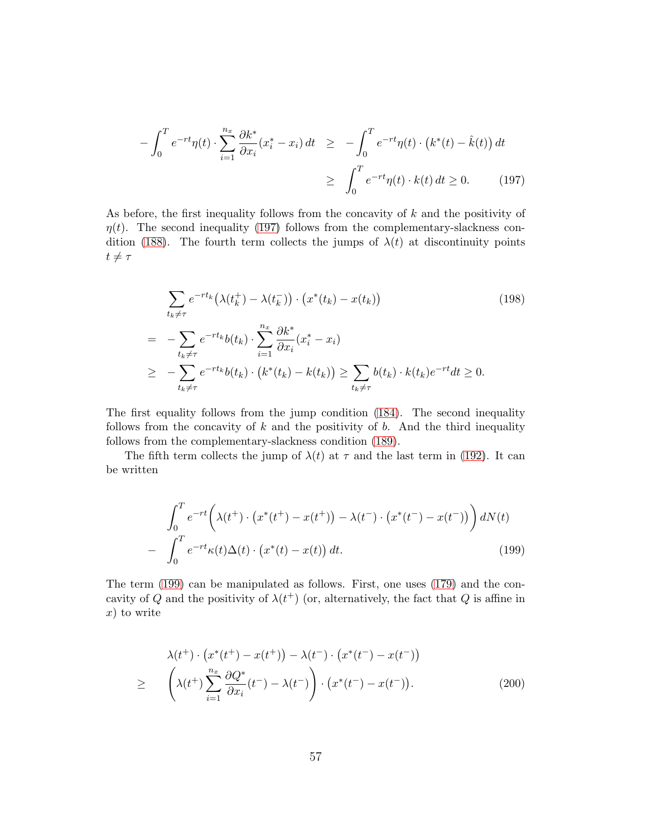<span id="page-56-0"></span>
$$
-\int_0^T e^{-rt} \eta(t) \cdot \sum_{i=1}^{n_x} \frac{\partial k^*}{\partial x_i} (x_i^* - x_i) dt \ge -\int_0^T e^{-rt} \eta(t) \cdot (k^*(t) - \hat{k}(t)) dt
$$
  

$$
\ge \int_0^T e^{-rt} \eta(t) \cdot k(t) dt \ge 0.
$$
 (197)

As before, the first inequality follows from the concavity of k and the positivity of  $\eta(t)$ . The second inequality [\(197\)](#page-56-0) follows from the complementary-slackness con-dition [\(188\)](#page-54-2). The fourth term collects the jumps of  $\lambda(t)$  at discontinuity points  $t \neq \tau$ 

$$
\sum_{t_k \neq \tau} e^{-rt_k} \left( \lambda(t_k^+) - \lambda(t_k^-) \right) \cdot \left( x^*(t_k) - x(t_k) \right) \tag{198}
$$
\n
$$
= -\sum_{t_k \neq \tau} e^{-rt_k} b(t_k) \cdot \sum_{i=1}^{n_x} \frac{\partial k^*}{\partial x_i} (x_i^* - x_i)
$$
\n
$$
\geq -\sum_{t_k \neq \tau} e^{-rt_k} b(t_k) \cdot \left( k^*(t_k) - k(t_k) \right) \geq \sum_{t_k \neq \tau} b(t_k) \cdot k(t_k) e^{-rt} dt \geq 0.
$$

The first equality follows from the jump condition [\(184\)](#page-54-3). The second inequality follows from the concavity of  $k$  and the positivity of  $b$ . And the third inequality follows from the complementary-slackness condition [\(189\)](#page-54-2).

<span id="page-56-1"></span>The fifth term collects the jump of  $\lambda(t)$  at  $\tau$  and the last term in [\(192\)](#page-55-0). It can be written

$$
\int_0^T e^{-rt} \left( \lambda(t^+) \cdot \left( x^*(t^+) - x(t^+) \right) - \lambda(t^-) \cdot \left( x^*(t^-) - x(t^-) \right) \right) dN(t)
$$

$$
- \int_0^T e^{-rt} \kappa(t) \Delta(t) \cdot \left( x^*(t) - x(t) \right) dt. \tag{199}
$$

The term [\(199\)](#page-56-1) can be manipulated as follows. First, one uses [\(179\)](#page-53-1) and the concavity of Q and the positivity of  $\lambda(t^+)$  (or, alternatively, the fact that Q is affine in  $x)$  to write

$$
\lambda(t^+) \cdot \left(x^*(t^+) - x(t^+)\right) - \lambda(t^-) \cdot \left(x^*(t^-) - x(t^-)\right)
$$
\n
$$
\geq \left(\lambda(t^+) \sum_{i=1}^{n_x} \frac{\partial Q^*}{\partial x_i}(t^-) - \lambda(t^-)\right) \cdot \left(x^*(t^-) - x(t^-)\right). \tag{200}
$$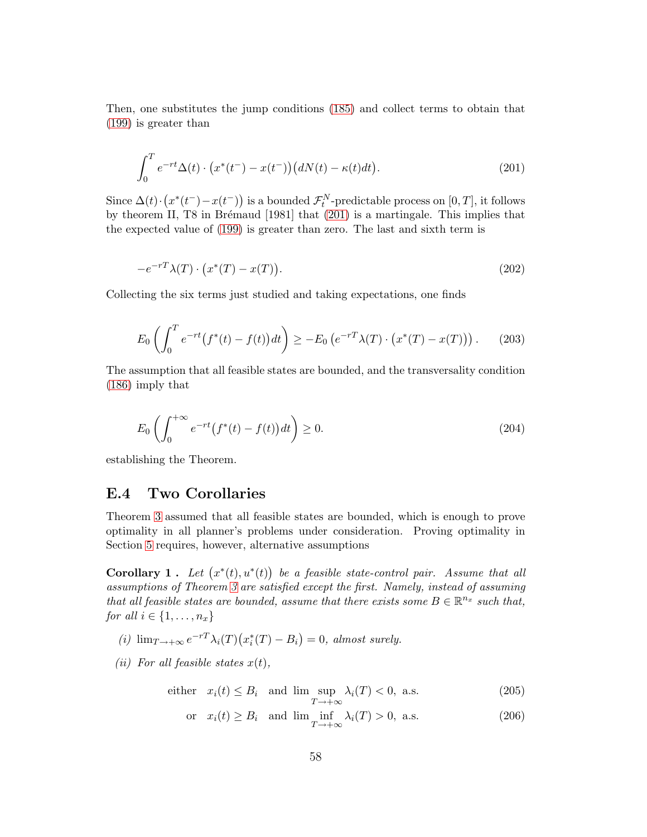<span id="page-57-1"></span>Then, one substitutes the jump conditions [\(185\)](#page-54-3) and collect terms to obtain that [\(199\)](#page-56-1) is greater than

$$
\int_0^T e^{-rt} \Delta(t) \cdot \left(x^*(t^-) - x(t^-)\right) \left(dN(t) - \kappa(t)dt\right).
$$
\n(201)

<span id="page-57-2"></span>Since  $\Delta(t) \cdot (x^*(t^-) - x(t^-))$  is a bounded  $\mathcal{F}_t^N$ -predictable process on  $[0, T]$ , it follows by theorem II, T8 in Brémaud  $[1981]$  that  $(201)$  is a martingale. This implies that the expected value of [\(199\)](#page-56-1) is greater than zero. The last and sixth term is

$$
-e^{-rT}\lambda(T)\cdot\big(x^*(T)-x(T)\big). \tag{202}
$$

Collecting the six terms just studied and taking expectations, one finds

$$
E_0\left(\int_0^T e^{-rt}(f^*(t) - f(t))dt\right) \ge -E_0\left(e^{-rT}\lambda(T) \cdot \left(x^*(T) - x(T)\right)\right). \tag{203}
$$

<span id="page-57-3"></span>The assumption that all feasible states are bounded, and the transversality condition [\(186\)](#page-54-4) imply that

$$
E_0 \left( \int_0^{+\infty} e^{-rt} \left( f^*(t) - f(t) \right) dt \right) \ge 0. \tag{204}
$$

establishing the Theorem.

### E.4 Two Corollaries

Theorem [3](#page-53-0) assumed that all feasible states are bounded, which is enough to prove optimality in all planner's problems under consideration. Proving optimality in Section [5](#page-28-0) requires, however, alternative assumptions

<span id="page-57-0"></span>**Corollary 1.** Let  $(x^*(t), u^*(t))$  be a feasible state-control pair. Assume that all assumptions of Theorem [3](#page-53-0) are satisfied except the first. Namely, instead of assuming that all feasible states are bounded, assume that there exists some  $B \in \mathbb{R}^{n_x}$  such that, for all  $i \in \{1, \ldots, n_x\}$ 

- (i)  $\lim_{T \to +\infty} e^{-rT} \lambda_i(T) (x_i^*(T) B_i) = 0$ , almost surely.
- (ii) For all feasible states  $x(t)$ ,

either 
$$
x_i(t) \leq B_i
$$
 and  $\lim_{T \to +\infty} \lambda_i(T) < 0$ , a.s. (205)

$$
\text{or} \quad x_i(t) \ge B_i \quad \text{and} \quad \lim_{T \to +\infty} \lambda_i(T) > 0, \text{ a.s.} \tag{206}
$$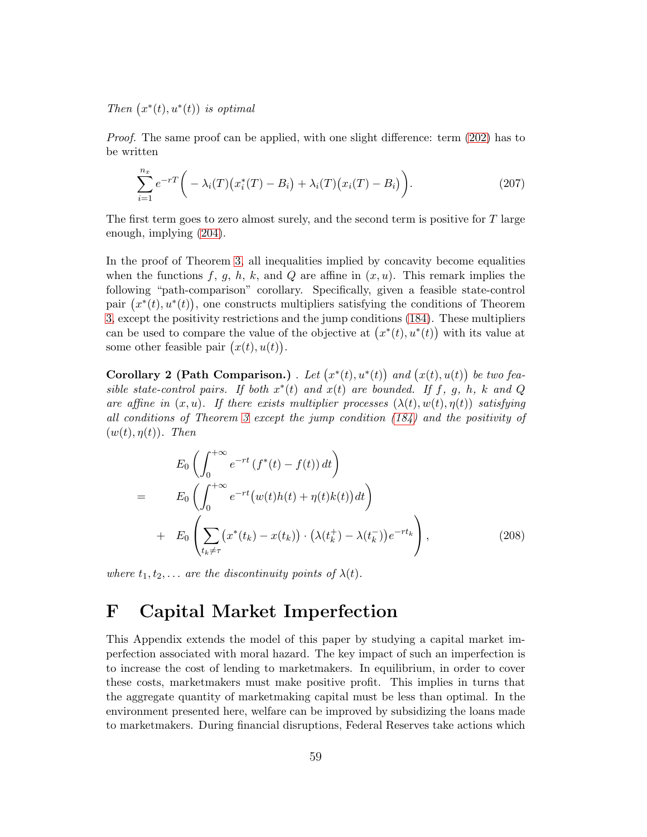Then  $(x^*(t), u^*(t))$  is optimal

Proof. The same proof can be applied, with one slight difference: term [\(202\)](#page-57-2) has to be written

$$
\sum_{i=1}^{n_x} e^{-rT} \bigg( -\lambda_i(T) \big( x_i^*(T) - B_i \big) + \lambda_i(T) \big( x_i(T) - B_i \big) \bigg). \tag{207}
$$

The first term goes to zero almost surely, and the second term is positive for T large enough, implying [\(204\)](#page-57-3).

In the proof of Theorem [3,](#page-53-0) all inequalities implied by concavity become equalities when the functions f, g, h, k, and Q are affine in  $(x, u)$ . This remark implies the following "path-comparison" corollary. Specifically, given a feasible state-control pair  $(x^*(t), u^*(t))$ , one constructs multipliers satisfying the conditions of Theorem [3,](#page-53-0) except the positivity restrictions and the jump conditions [\(184\)](#page-54-3). These multipliers can be used to compare the value of the objective at  $(x^*(t), u^*(t))$  with its value at some other feasible pair  $(x(t), u(t))$ .

<span id="page-58-1"></span>Corollary 2 (Path Comparison.) . Let  $(x^*(t), u^*(t))$  and  $(x(t), u(t))$  be two feasible state-control pairs. If both  $x^*(t)$  and  $x(t)$  are bounded. If f, g, h, k and Q are affine in  $(x, u)$ . If there exists multiplier processes  $(\lambda(t), w(t), \eta(t))$  satisfying all conditions of Theorem [3](#page-53-0) except the jump condition [\(184\)](#page-54-3) and the positivity of  $(w(t), \eta(t))$ . Then

$$
E_0 \left( \int_0^{+\infty} e^{-rt} \left( f^*(t) - f(t) \right) dt \right)
$$
  
= 
$$
E_0 \left( \int_0^{+\infty} e^{-rt} \left( w(t)h(t) + \eta(t)k(t) \right) dt \right)
$$
  
+ 
$$
E_0 \left( \sum_{t_k \neq \tau} \left( x^*(t_k) - x(t_k) \right) \cdot \left( \lambda(t_k^+) - \lambda(t_k^-) \right) e^{-rt_k} \right),
$$
(208)

where  $t_1, t_2, \ldots$  are the discontinuity points of  $\lambda(t)$ .

# <span id="page-58-0"></span>F Capital Market Imperfection

This Appendix extends the model of this paper by studying a capital market imperfection associated with moral hazard. The key impact of such an imperfection is to increase the cost of lending to marketmakers. In equilibrium, in order to cover these costs, marketmakers must make positive profit. This implies in turns that the aggregate quantity of marketmaking capital must be less than optimal. In the environment presented here, welfare can be improved by subsidizing the loans made to marketmakers. During financial disruptions, Federal Reserves take actions which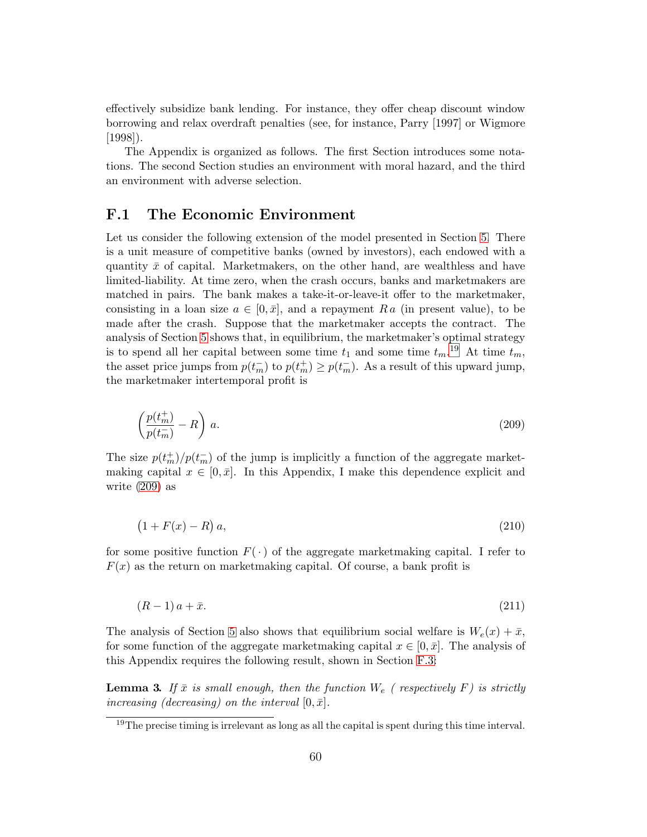effectively subsidize bank lending. For instance, they offer cheap discount window borrowing and relax overdraft penalties (see, for instance, Parry [1997] or Wigmore [1998]).

The Appendix is organized as follows. The first Section introduces some notations. The second Section studies an environment with moral hazard, and the third an environment with adverse selection.

### F.1 The Economic Environment

Let us consider the following extension of the model presented in Section [5.](#page-28-0) There is a unit measure of competitive banks (owned by investors), each endowed with a quantity  $\bar{x}$  of capital. Marketmakers, on the other hand, are wealthless and have limited-liability. At time zero, when the crash occurs, banks and marketmakers are matched in pairs. The bank makes a take-it-or-leave-it offer to the marketmaker, consisting in a loan size  $a \in [0, \bar{x}]$ , and a repayment R<sub>a</sub> (in present value), to be made after the crash. Suppose that the marketmaker accepts the contract. The analysis of Section [5](#page-28-0) shows that, in equilibrium, the marketmaker's optimal strategy is to spend all her capital between some time  $t_1$  and some time  $t_m$ .<sup>[19](#page-59-0)</sup> At time  $t_m$ , the asset price jumps from  $p(t_m^-)$  to  $p(t_m^+) \geq p(t_m^-)$ . As a result of this upward jump, the marketmaker intertemporal profit is

$$
\left(\frac{p(t_m^+)}{p(t_m^-)} - R\right) a. \tag{209}
$$

<span id="page-59-3"></span><span id="page-59-1"></span>The size  $p(t_m^+)/p(t_m^-)$  of the jump is implicitly a function of the aggregate marketmaking capital  $x \in [0, \bar{x}]$ . In this Appendix, I make this dependence explicit and write [\(209\)](#page-59-1) as

$$
(1 + F(x) - R) a,
$$
\n<sup>(210)</sup>

<span id="page-59-2"></span>for some positive function  $F(\cdot)$  of the aggregate marketmaking capital. I refer to  $F(x)$  as the return on marketmaking capital. Of course, a bank profit is

$$
(R-1)a + \bar{x}.\tag{211}
$$

The analysis of Section [5](#page-28-0) also shows that equilibrium social welfare is  $W_e(x) + \bar{x}$ , for some function of the aggregate marketmaking capital  $x \in [0, \bar{x}]$ . The analysis of this Appendix requires the following result, shown in Section [F.3:](#page-62-0)

**Lemma 3.** If  $\bar{x}$  is small enough, then the function  $W_e$  ( respectively F) is strictly increasing (decreasing) on the interval  $[0, \bar{x}]$ .

<span id="page-59-0"></span> $19$ The precise timing is irrelevant as long as all the capital is spent during this time interval.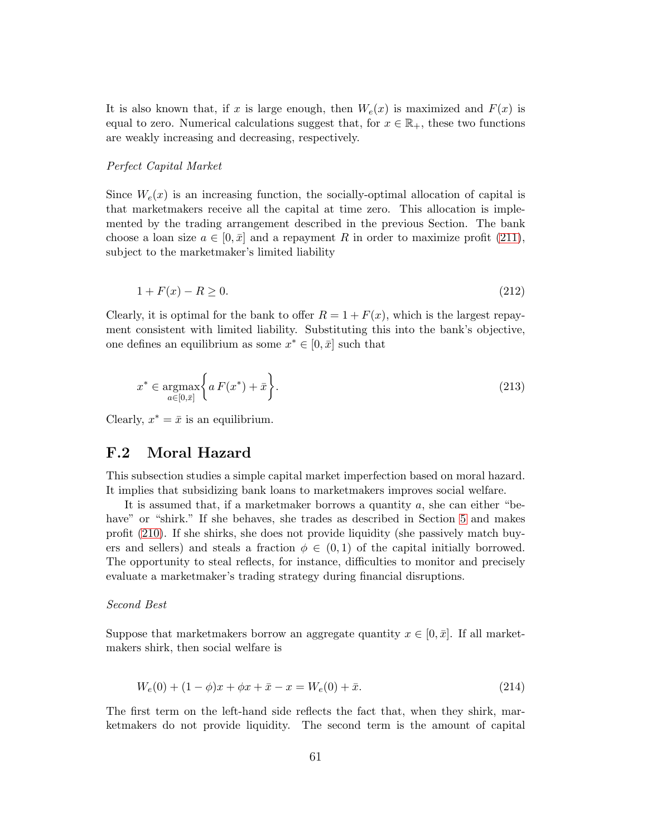It is also known that, if x is large enough, then  $W_e(x)$  is maximized and  $F(x)$  is equal to zero. Numerical calculations suggest that, for  $x \in \mathbb{R}_+$ , these two functions are weakly increasing and decreasing, respectively.

#### Perfect Capital Market

<span id="page-60-0"></span>Since  $W_e(x)$  is an increasing function, the socially-optimal allocation of capital is that marketmakers receive all the capital at time zero. This allocation is implemented by the trading arrangement described in the previous Section. The bank choose a loan size  $a \in [0, \bar{x}]$  and a repayment R in order to maximize profit [\(211\)](#page-59-2), subject to the marketmaker's limited liability

$$
1 + F(x) - R \ge 0. \tag{212}
$$

Clearly, it is optimal for the bank to offer  $R = 1 + F(x)$ , which is the largest repayment consistent with limited liability. Substituting this into the bank's objective, one defines an equilibrium as some  $x^* \in [0, \bar{x}]$  such that

$$
x^* \in \underset{a \in [0,\bar{x}]}{\operatorname{argmax}} \left\{ a \, F(x^*) + \bar{x} \right\}.
$$
\n
$$
(213)
$$

Clearly,  $x^* = \bar{x}$  is an equilibrium.

## F.2 Moral Hazard

This subsection studies a simple capital market imperfection based on moral hazard. It implies that subsidizing bank loans to marketmakers improves social welfare.

It is assumed that, if a marketmaker borrows a quantity  $a$ , she can either "behave" or "shirk." If she behaves, she trades as described in Section [5](#page-28-0) and makes profit [\(210\)](#page-59-3). If she shirks, she does not provide liquidity (she passively match buyers and sellers) and steals a fraction  $\phi \in (0,1)$  of the capital initially borrowed. The opportunity to steal reflects, for instance, difficulties to monitor and precisely evaluate a marketmaker's trading strategy during financial disruptions.

#### Second Best

Suppose that marketmakers borrow an aggregate quantity  $x \in [0, \bar{x}]$ . If all marketmakers shirk, then social welfare is

$$
W_e(0) + (1 - \phi)x + \phi x + \bar{x} - x = W_e(0) + \bar{x}.
$$
\n(214)

The first term on the left-hand side reflects the fact that, when they shirk, marketmakers do not provide liquidity. The second term is the amount of capital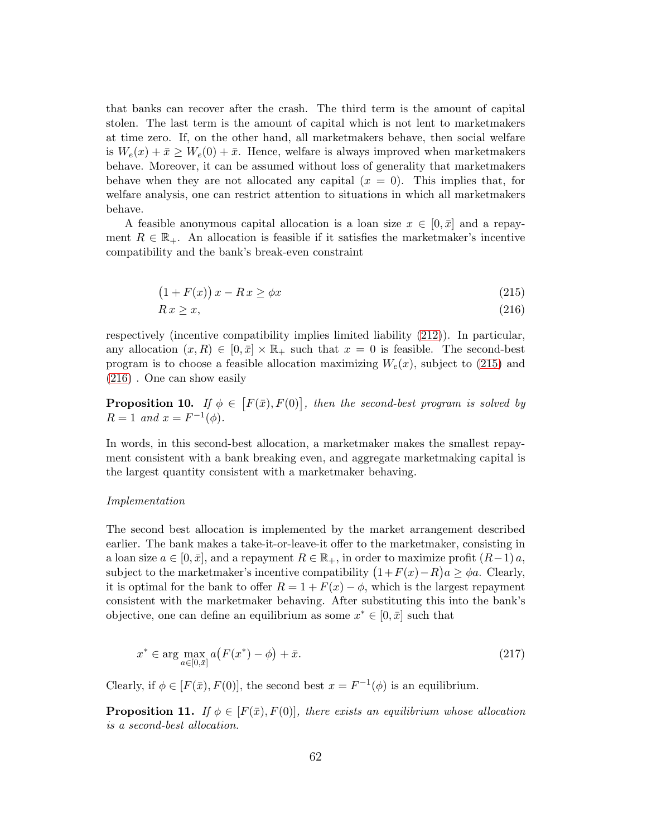that banks can recover after the crash. The third term is the amount of capital stolen. The last term is the amount of capital which is not lent to marketmakers at time zero. If, on the other hand, all marketmakers behave, then social welfare is  $W_e(x) + \bar{x} \geq W_e(0) + \bar{x}$ . Hence, welfare is always improved when marketmakers behave. Moreover, it can be assumed without loss of generality that marketmakers behave when they are not allocated any capital  $(x = 0)$ . This implies that, for welfare analysis, one can restrict attention to situations in which all marketmakers behave.

A feasible anonymous capital allocation is a loan size  $x \in [0, \bar{x}]$  and a repayment  $R \in \mathbb{R}_+$ . An allocation is feasible if it satisfies the marketmaker's incentive compatibility and the bank's break-even constraint

$$
(1 + F(x)) x - Rx \geq \phi x \tag{215}
$$

$$
Rx \ge x,\tag{216}
$$

<span id="page-61-0"></span>respectively (incentive compatibility implies limited liability [\(212\)](#page-60-0)). In particular, any allocation  $(x, R) \in [0, \bar{x}] \times \mathbb{R}_+$  such that  $x = 0$  is feasible. The second-best program is to choose a feasible allocation maximizing  $W_e(x)$ , subject to [\(215\)](#page-61-0) and [\(216\)](#page-61-0) . One can show easily

**Proposition 10.** If  $\phi \in [F(\bar{x}), F(0)]$ , then the second-best program is solved by  $R = 1$  and  $x = F^{-1}(\phi)$ .

In words, in this second-best allocation, a marketmaker makes the smallest repayment consistent with a bank breaking even, and aggregate marketmaking capital is the largest quantity consistent with a marketmaker behaving.

#### Implementation

The second best allocation is implemented by the market arrangement described earlier. The bank makes a take-it-or-leave-it offer to the marketmaker, consisting in a loan size  $a \in [0, \bar{x}]$ , and a repayment  $R \in \mathbb{R}_+$ , in order to maximize profit  $(R-1)a$ , subject to the marketmaker's incentive compatibility  $(1 + F(x) - R)a \ge \phi a$ . Clearly, it is optimal for the bank to offer  $R = 1 + F(x) - \phi$ , which is the largest repayment consistent with the marketmaker behaving. After substituting this into the bank's objective, one can define an equilibrium as some  $x^* \in [0, \bar{x}]$  such that

$$
x^* \in \arg\max_{a \in [0,\bar{x}]} a\big(F(x^*) - \phi\big) + \bar{x}.\tag{217}
$$

<span id="page-61-1"></span>Clearly, if  $\phi \in [F(\bar{x}), F(0)]$ , the second best  $x = F^{-1}(\phi)$  is an equilibrium.

**Proposition 11.** If  $\phi \in [F(\bar{x}), F(0)]$ , there exists an equilibrium whose allocation is a second-best allocation.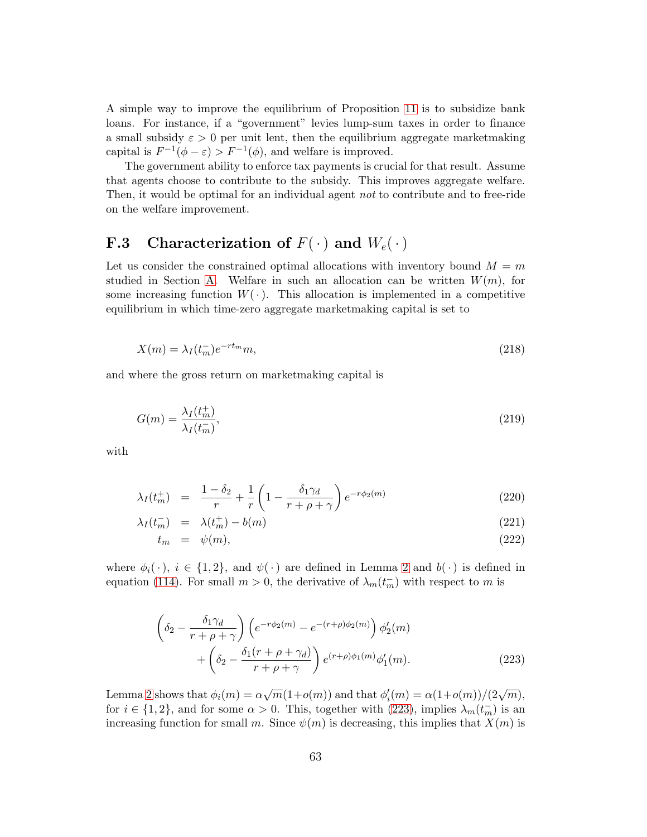A simple way to improve the equilibrium of Proposition [11](#page-61-1) is to subsidize bank loans. For instance, if a "government" levies lump-sum taxes in order to finance a small subsidy  $\varepsilon > 0$  per unit lent, then the equilibrium aggregate marketmaking capital is  $F^{-1}(\phi - \varepsilon) > F^{-1}(\phi)$ , and welfare is improved.

The government ability to enforce tax payments is crucial for that result. Assume that agents choose to contribute to the subsidy. This improves aggregate welfare. Then, it would be optimal for an individual agent *not* to contribute and to free-ride on the welfare improvement.

## <span id="page-62-0"></span>**F.3** Characterization of  $F(\cdot)$  and  $W_e(\cdot)$

Let us consider the constrained optimal allocations with inventory bound  $M = m$ studied in Section [A.](#page-35-3) Welfare in such an allocation can be written  $W(m)$ , for some increasing function  $W(\cdot)$ . This allocation is implemented in a competitive equilibrium in which time-zero aggregate marketmaking capital is set to

$$
X(m) = \lambda_I(t_m^-)e^{-rt_m}m,\tag{218}
$$

and where the gross return on marketmaking capital is

$$
G(m) = \frac{\lambda_I(t_m^+)}{\lambda_I(t_m^-)},
$$
\n(219)

with

$$
\lambda_I(t_m^+) = \frac{1-\delta_2}{r} + \frac{1}{r} \left(1 - \frac{\delta_1 \gamma_d}{r + \rho + \gamma}\right) e^{-r\phi_2(m)} \tag{220}
$$

$$
\lambda_I(t_m^-) = \lambda(t_m^+) - b(m) \tag{221}
$$

$$
t_m = \psi(m), \tag{222}
$$

where  $\phi_i(\cdot)$ ,  $i \in \{1,2\}$ , and  $\psi(\cdot)$  are defined in Lemma [2](#page-36-2) and  $b(\cdot)$  is defined in equation [\(114\)](#page-42-1). For small  $m > 0$ , the derivative of  $\lambda_m(t_m^-)$  with respect to m is

<span id="page-62-1"></span>
$$
\left(\delta_2 - \frac{\delta_1 \gamma_d}{r + \rho + \gamma}\right) \left(e^{-r\phi_2(m)} - e^{-(r+\rho)\phi_2(m)}\right) \phi_2'(m) + \left(\delta_2 - \frac{\delta_1(r + \rho + \gamma_d)}{r + \rho + \gamma}\right) e^{(r+\rho)\phi_1(m)} \phi_1'(m). \tag{223}
$$

Lemma [2](#page-36-2) shows that  $\phi_i(m) = \alpha \sqrt{m} (1 + o(m))$  and that  $\phi'_i(m) = \alpha (1 + o(m))/(2\sqrt{m}),$ for  $i \in \{1, 2\}$ , and for some  $\alpha > 0$ . This, together with [\(223\)](#page-62-1), implies  $\lambda_m(t_m)$  is an increasing function for small m. Since  $\psi(m)$  is decreasing, this implies that  $X(m)$  is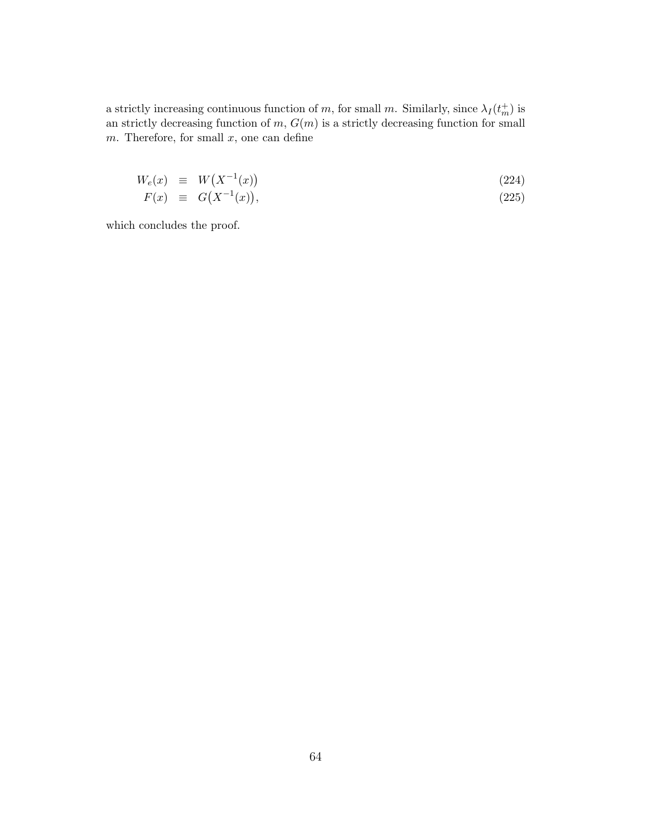a strictly increasing continuous function of m, for small m. Similarly, since  $\lambda_I(t_m^+)$  is an strictly decreasing function of  $m$ ,  $G(m)$  is a strictly decreasing function for small  $m$ . Therefore, for small  $x$ , one can define

$$
W_e(x) \equiv W(X^{-1}(x)) \nF(x) \equiv G(X^{-1}(x)),
$$
\n(224)

which concludes the proof.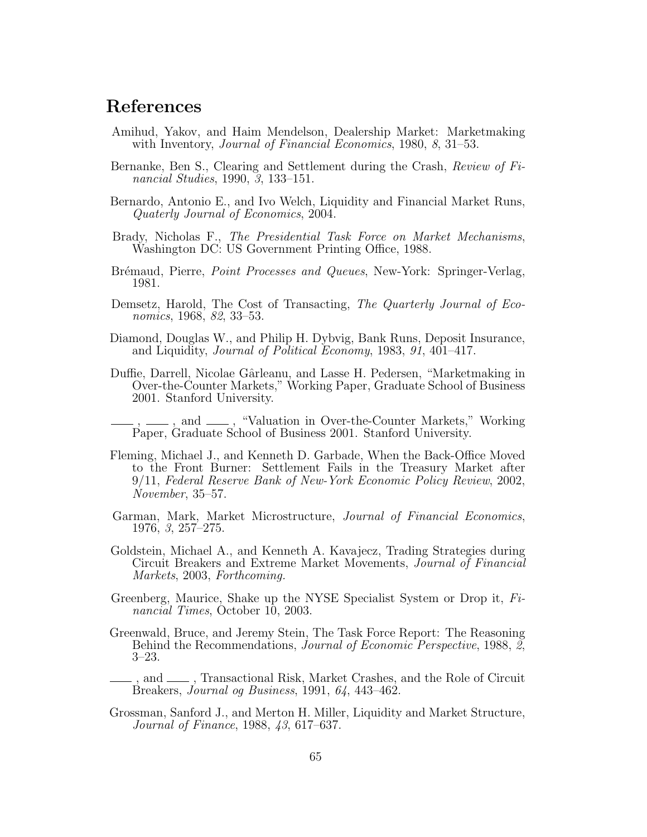## References

- Amihud, Yakov, and Haim Mendelson, Dealership Market: Marketmaking with Inventory, *Journal of Financial Economics*, 1980, 8, 31–53.
- Bernanke, Ben S., Clearing and Settlement during the Crash, Review of Financial Studies, 1990, 3, 133–151.
- Bernardo, Antonio E., and Ivo Welch, Liquidity and Financial Market Runs, Quaterly Journal of Economics, 2004.
- Brady, Nicholas F., The Presidential Task Force on Market Mechanisms, Washington DC: US Government Printing Office, 1988.
- Brémaud, Pierre, *Point Processes and Queues*, New-York: Springer-Verlag, 1981.
- Demsetz, Harold, The Cost of Transacting, The Quarterly Journal of Economics, 1968, 82, 33–53.
- Diamond, Douglas W., and Philip H. Dybvig, Bank Runs, Deposit Insurance, and Liquidity, Journal of Political Economy, 1983, 91, 401–417.
- Duffie, Darrell, Nicolae Gârleanu, and Lasse H. Pedersen, "Marketmaking in Over-the-Counter Markets," Working Paper, Graduate School of Business 2001. Stanford University.

, and  $\_\_\_\$ , "Valuation in Over-the-Counter Markets," Working Paper, Graduate School of Business 2001. Stanford University.

- Fleming, Michael J., and Kenneth D. Garbade, When the Back-Office Moved to the Front Burner: Settlement Fails in the Treasury Market after 9/11, Federal Reserve Bank of New-York Economic Policy Review, 2002, November, 35–57.
- Garman, Mark, Market Microstructure, Journal of Financial Economics, 1976, 3, 257–275.
- Goldstein, Michael A., and Kenneth A. Kavajecz, Trading Strategies during Circuit Breakers and Extreme Market Movements, Journal of Financial Markets, 2003, Forthcoming.
- Greenberg, Maurice, Shake up the NYSE Specialist System or Drop it, Financial Times, October 10, 2003.
- Greenwald, Bruce, and Jeremy Stein, The Task Force Report: The Reasoning Behind the Recommendations, *Journal of Economic Perspective*, 1988, 2, 3–23.
- , and  $\frac{1}{\sqrt{1-\frac{1}{\pi}}}$ , Transactional Risk, Market Crashes, and the Role of Circuit Breakers, Journal og Business, 1991, 64, 443–462.
- Grossman, Sanford J., and Merton H. Miller, Liquidity and Market Structure, Journal of Finance, 1988, 43, 617–637.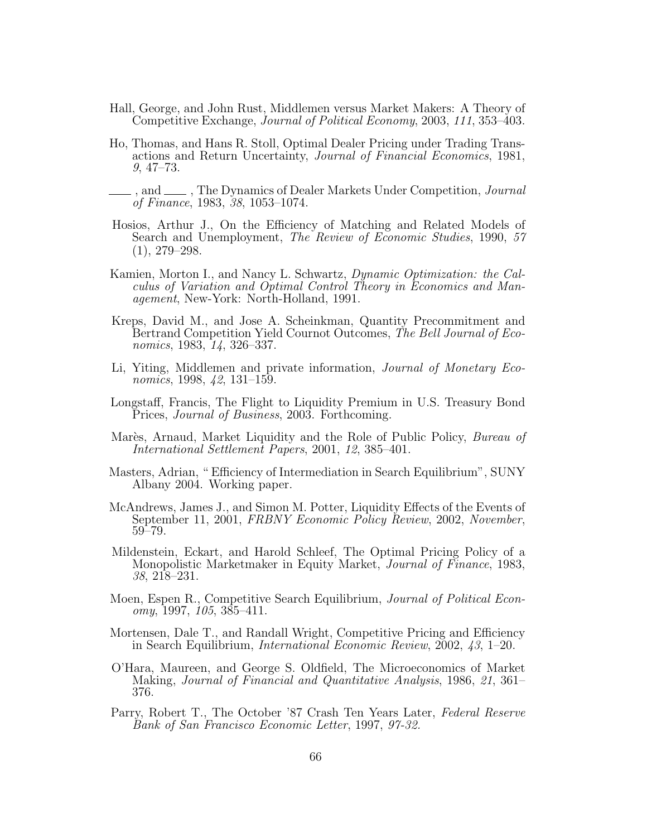- Hall, George, and John Rust, Middlemen versus Market Makers: A Theory of Competitive Exchange, Journal of Political Economy, 2003, 111, 353–403.
- Ho, Thomas, and Hans R. Stoll, Optimal Dealer Pricing under Trading Transactions and Return Uncertainty, Journal of Financial Economics, 1981, 9, 47–73.
- <sub>, and</sub> , The Dynamics of Dealer Markets Under Competition, *Journal* of Finance, 1983, 38, 1053–1074.
- Hosios, Arthur J., On the Efficiency of Matching and Related Models of Search and Unemployment, The Review of Economic Studies, 1990, 57 (1), 279–298.
- Kamien, Morton I., and Nancy L. Schwartz, Dynamic Optimization: the Calculus of Variation and Optimal Control Theory in Economics and Management, New-York: North-Holland, 1991.
- Kreps, David M., and Jose A. Scheinkman, Quantity Precommitment and Bertrand Competition Yield Cournot Outcomes, The Bell Journal of Economics, 1983, 14, 326–337.
- Li, Yiting, Middlemen and private information, Journal of Monetary Economics, 1998, 42, 131–159.
- Longstaff, Francis, The Flight to Liquidity Premium in U.S. Treasury Bond Prices, Journal of Business, 2003. Forthcoming.
- Mares, Arnaud, Market Liquidity and the Role of Public Policy, *Bureau of* International Settlement Papers, 2001, 12, 385–401.
- Masters, Adrian, " Efficiency of Intermediation in Search Equilibrium", SUNY Albany 2004. Working paper.
- McAndrews, James J., and Simon M. Potter, Liquidity Effects of the Events of September 11, 2001, FRBNY Economic Policy Review, 2002, November, 59–79.
- Mildenstein, Eckart, and Harold Schleef, The Optimal Pricing Policy of a Monopolistic Marketmaker in Equity Market, Journal of Finance, 1983, 38, 218–231.
- Moen, Espen R., Competitive Search Equilibrium, *Journal of Political Econ* $omy, 1997, 105, 385-411.$
- Mortensen, Dale T., and Randall Wright, Competitive Pricing and Efficiency in Search Equilibrium, International Economic Review, 2002, 43, 1–20.
- O'Hara, Maureen, and George S. Oldfield, The Microeconomics of Market Making, Journal of Financial and Quantitative Analysis, 1986, 21, 361– 376.
- Parry, Robert T., The October '87 Crash Ten Years Later, Federal Reserve Bank of San Francisco Economic Letter, 1997, 97-32.